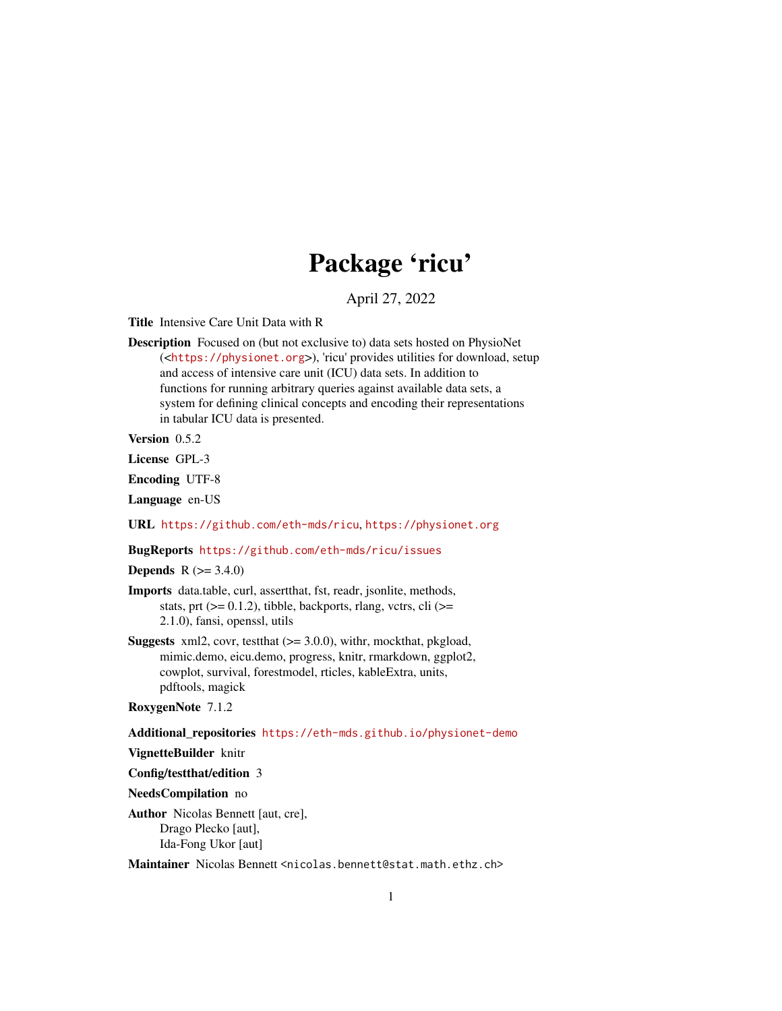# Package 'ricu'

## April 27, 2022

<span id="page-0-0"></span>Title Intensive Care Unit Data with R

Description Focused on (but not exclusive to) data sets hosted on PhysioNet (<<https://physionet.org>>), 'ricu' provides utilities for download, setup and access of intensive care unit (ICU) data sets. In addition to functions for running arbitrary queries against available data sets, a system for defining clinical concepts and encoding their representations in tabular ICU data is presented.

Version 0.5.2

License GPL-3

Encoding UTF-8

Language en-US

URL <https://github.com/eth-mds/ricu>, <https://physionet.org>

BugReports <https://github.com/eth-mds/ricu/issues>

**Depends**  $R (= 3.4.0)$ 

Imports data.table, curl, assertthat, fst, readr, jsonlite, methods, stats, prt  $(>= 0.1.2)$ , tibble, backports, rlang, vctrs, cli $(>= 1.2)$ 2.1.0), fansi, openssl, utils

Suggests xml2, covr, testthat (>= 3.0.0), withr, mockthat, pkgload, mimic.demo, eicu.demo, progress, knitr, rmarkdown, ggplot2, cowplot, survival, forestmodel, rticles, kableExtra, units, pdftools, magick

## RoxygenNote 7.1.2

Additional\_repositories <https://eth-mds.github.io/physionet-demo>

VignetteBuilder knitr

Config/testthat/edition 3

NeedsCompilation no

Author Nicolas Bennett [aut, cre], Drago Plecko [aut], Ida-Fong Ukor [aut]

Maintainer Nicolas Bennett <nicolas.bennett@stat.math.ethz.ch>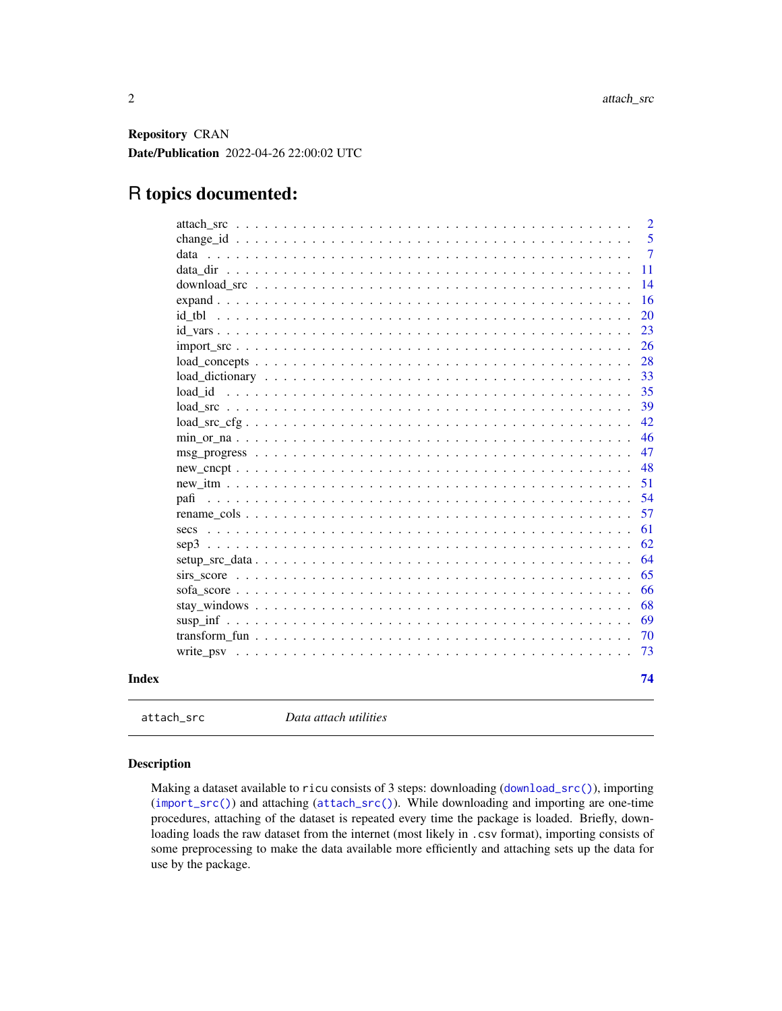<span id="page-1-0"></span>Repository CRAN Date/Publication 2022-04-26 22:00:02 UTC

## R topics documented:

|                                                                                                                 |  |  | $\overline{2}$ |
|-----------------------------------------------------------------------------------------------------------------|--|--|----------------|
|                                                                                                                 |  |  | 5              |
|                                                                                                                 |  |  | 7              |
|                                                                                                                 |  |  | 11             |
|                                                                                                                 |  |  | 14             |
|                                                                                                                 |  |  | 16             |
|                                                                                                                 |  |  | 20             |
|                                                                                                                 |  |  | 23             |
|                                                                                                                 |  |  | 26             |
|                                                                                                                 |  |  | 28             |
|                                                                                                                 |  |  | 33             |
|                                                                                                                 |  |  | 35             |
|                                                                                                                 |  |  | 39             |
|                                                                                                                 |  |  | 42             |
|                                                                                                                 |  |  | 46             |
| $msg\_progress \dots \dots \dots \dots \dots \dots \dots \dots \dots \dots \dots \dots \dots \dots \dots \dots$ |  |  | 47             |
|                                                                                                                 |  |  | 48             |
|                                                                                                                 |  |  | 51             |
|                                                                                                                 |  |  | 54             |
|                                                                                                                 |  |  | 57             |
|                                                                                                                 |  |  | 61             |
|                                                                                                                 |  |  | 62             |
|                                                                                                                 |  |  | 64             |
|                                                                                                                 |  |  | 65             |
|                                                                                                                 |  |  | 66             |
|                                                                                                                 |  |  | 68             |
|                                                                                                                 |  |  | 69             |
|                                                                                                                 |  |  | 70             |
|                                                                                                                 |  |  | 73             |
|                                                                                                                 |  |  | 74             |

<span id="page-1-1"></span>attach\_src *Data attach utilities*

## Description

Making a dataset available to ricu consists of 3 steps: downloading ([download\\_src\(\)](#page-13-1)), importing ([import\\_src\(\)](#page-25-1)) and attaching ([attach\\_src\(\)](#page-1-1)). While downloading and importing are one-time procedures, attaching of the dataset is repeated every time the package is loaded. Briefly, downloading loads the raw dataset from the internet (most likely in . csv format), importing consists of some preprocessing to make the data available more efficiently and attaching sets up the data for use by the package.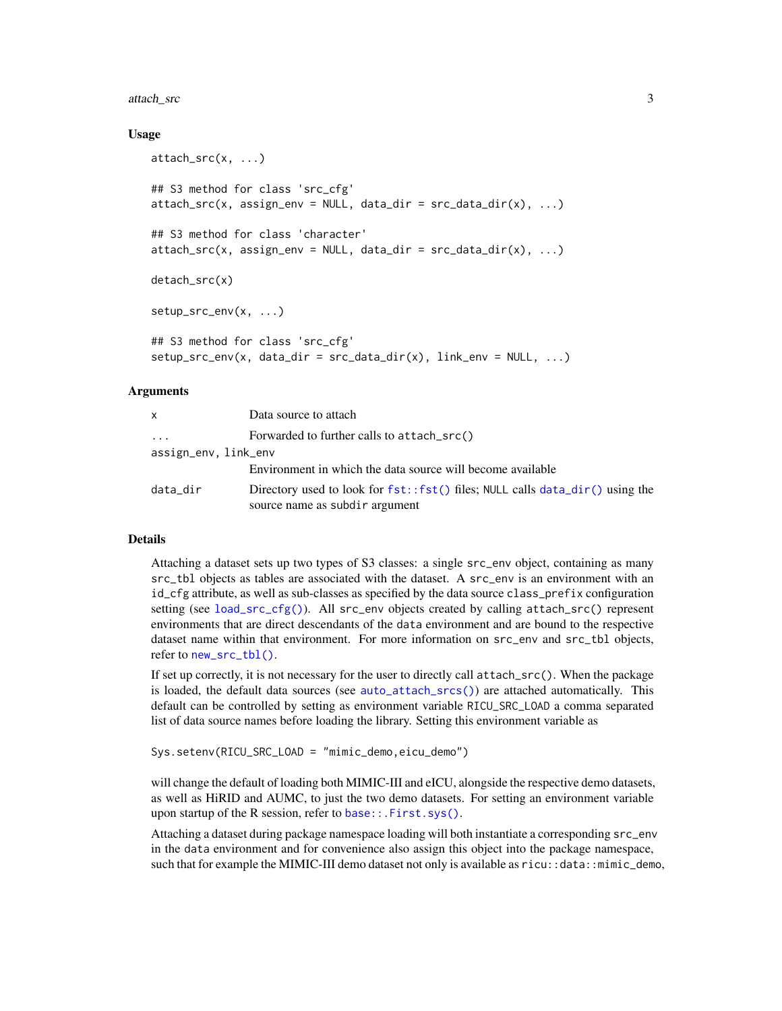#### attach\_src 3

## Usage

```
attach_src(x, ...)
## S3 method for class 'src_cfg'
attach\_src(x, assign\_env = NULL, data\_dir = src\_data\_dir(x), ...)## S3 method for class 'character'
attach\_src(x, assign\_env = NULL, data\_dir = src\_data\_dir(x), ...)detach_src(x)
setup_src_env(x, ...)
## S3 method for class 'src_cfg'
setup\_src\_env(x, data\_dir = src\_data\_dir(x), link\_env = NULL, ...)
```
## Arguments

| X                       | Data source to attach                                                                                          |
|-------------------------|----------------------------------------------------------------------------------------------------------------|
| $\cdot$ $\cdot$ $\cdot$ | Forwarded to further calls to attach_src()                                                                     |
| assign_env, link_env    |                                                                                                                |
|                         | Environment in which the data source will become available                                                     |
| data_dir                | Directory used to look for fst::fst() files; NULL calls data_dir() using the<br>source name as subdir argument |

## Details

Attaching a dataset sets up two types of S3 classes: a single src\_env object, containing as many src\_tbl objects as tables are associated with the dataset. A src\_env is an environment with an id\_cfg attribute, as well as sub-classes as specified by the data source class\_prefix configuration setting (see [load\\_src\\_cfg\(\)](#page-41-1)). All src\_env objects created by calling attach\_src() represent environments that are direct descendants of the data environment and are bound to the respective dataset name within that environment. For more information on src\_env and src\_tbl objects, refer to [new\\_src\\_tbl\(\)](#page-0-0).

If set up correctly, it is not necessary for the user to directly call attach\_src(). When the package is loaded, the default data sources (see [auto\\_attach\\_srcs\(\)](#page-10-2)) are attached automatically. This default can be controlled by setting as environment variable RICU\_SRC\_LOAD a comma separated list of data source names before loading the library. Setting this environment variable as

```
Sys.setenv(RICU_SRC_LOAD = "mimic_demo,eicu_demo")
```
will change the default of loading both MIMIC-III and eICU, alongside the respective demo datasets, as well as HiRID and AUMC, to just the two demo datasets. For setting an environment variable upon startup of the R session, refer to [base::.First.sys\(\)](#page-0-0).

Attaching a dataset during package namespace loading will both instantiate a corresponding src\_env in the data environment and for convenience also assign this object into the package namespace, such that for example the MIMIC-III demo dataset not only is available as ricu::data::mimic\_demo,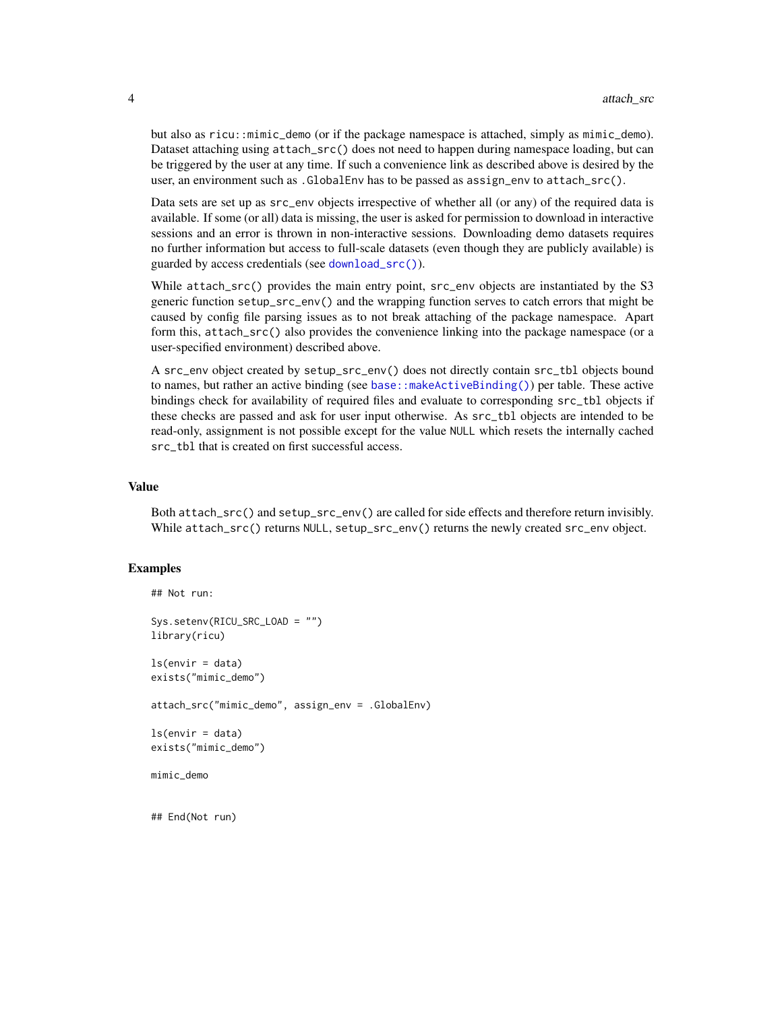but also as ricu::mimic\_demo (or if the package namespace is attached, simply as mimic\_demo). Dataset attaching using attach\_src() does not need to happen during namespace loading, but can be triggered by the user at any time. If such a convenience link as described above is desired by the user, an environment such as .GlobalEnv has to be passed as assign\_env to attach\_src().

Data sets are set up as src\_env objects irrespective of whether all (or any) of the required data is available. If some (or all) data is missing, the user is asked for permission to download in interactive sessions and an error is thrown in non-interactive sessions. Downloading demo datasets requires no further information but access to full-scale datasets (even though they are publicly available) is guarded by access credentials (see [download\\_src\(\)](#page-13-1)).

While attach\_src() provides the main entry point, src\_env objects are instantiated by the S3 generic function setup\_src\_env() and the wrapping function serves to catch errors that might be caused by config file parsing issues as to not break attaching of the package namespace. Apart form this, attach\_src() also provides the convenience linking into the package namespace (or a user-specified environment) described above.

A src\_env object created by setup\_src\_env() does not directly contain src\_tbl objects bound to names, but rather an active binding (see [base::makeActiveBinding\(\)](#page-0-0)) per table. These active bindings check for availability of required files and evaluate to corresponding src\_tbl objects if these checks are passed and ask for user input otherwise. As src\_tbl objects are intended to be read-only, assignment is not possible except for the value NULL which resets the internally cached src\_tbl that is created on first successful access.

## Value

Both attach\_src() and setup\_src\_env() are called for side effects and therefore return invisibly. While attach\_src() returns NULL, setup\_src\_env() returns the newly created src\_env object.

## Examples

```
## Not run:
Sys.setenv(RICU_SRC_LOAD = "")
library(ricu)
ls(envir = data)exists("mimic_demo")
attach_src("mimic_demo", assign_env = .GlobalEnv)
ls(envir = data)exists("mimic_demo")
mimic_demo
## End(Not run)
```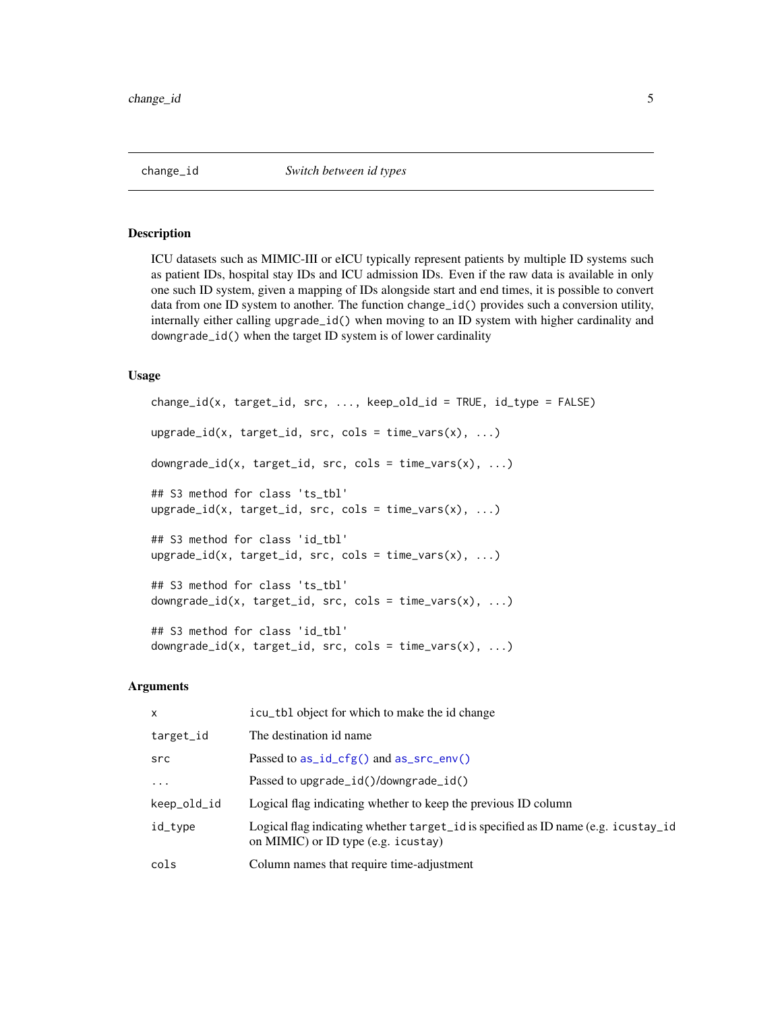<span id="page-4-0"></span>

## Description

ICU datasets such as MIMIC-III or eICU typically represent patients by multiple ID systems such as patient IDs, hospital stay IDs and ICU admission IDs. Even if the raw data is available in only one such ID system, given a mapping of IDs alongside start and end times, it is possible to convert data from one ID system to another. The function change\_id() provides such a conversion utility, internally either calling upgrade\_id() when moving to an ID system with higher cardinality and downgrade\_id() when the target ID system is of lower cardinality

#### Usage

```
change_id(x, target_id, src, ..., keep-old_id = TRUE, id_type = FALSE)upsrade_id(x, target_id, src, cols = time\_vars(x), ...)downgrade_id(x, target_id, src, cols = time_vars(x), ...)
## S3 method for class 'ts_tbl'
upsrade_id(x, target_id, src, cols = time\_vars(x), ...)## S3 method for class 'id_tbl'
upsrade_id(x, target_id, src, cols = time\_vars(x), ...)## S3 method for class 'ts_tbl'
downgrade_id(x, target_id, src, cols = time_vars(x), ...)
## S3 method for class 'id_tbl'
downgrade_id(x, target_id, src, cols = time_vars(x), ...)
```
## Arguments

| X           | icu_tb1 object for which to make the id change                                                                            |
|-------------|---------------------------------------------------------------------------------------------------------------------------|
| target_id   | The destination id name.                                                                                                  |
| src         | Passed to $as_id_cfg()$ and $as_src_en(v)$                                                                                |
| .           | Passed to upgrade_id()/downgrade_id()                                                                                     |
| keep_old_id | Logical flag indicating whether to keep the previous ID column                                                            |
| id_type     | Logical flag indicating whether target id is specified as ID name (e.g. icustay id<br>on MIMIC) or ID type (e.g. icustay) |
| cols        | Column names that require time-adjustment                                                                                 |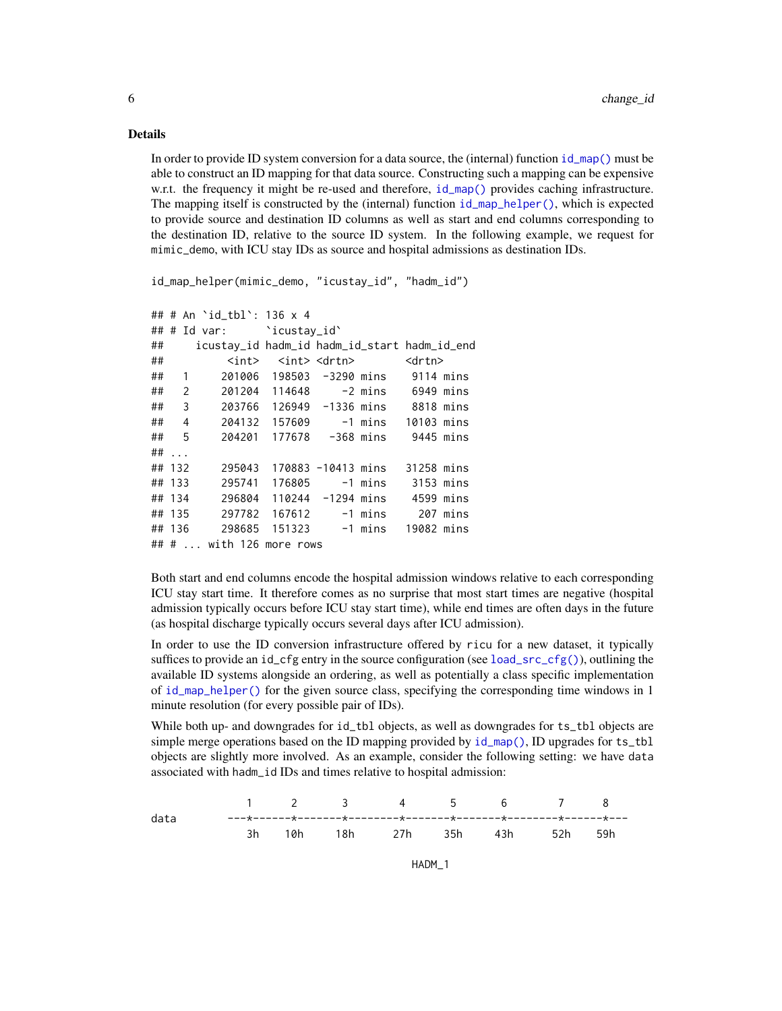## Details

In order to provide ID system conversion for a data source, the (internal) function  $id_{map}()$  must be able to construct an ID mapping for that data source. Constructing such a mapping can be expensive w.r.t. the frequency it might be re-used and therefore,  $id_{map}()$  provides caching infrastructure. The mapping itself is constructed by the (internal) function [id\\_map\\_helper\(\)](#page-0-0), which is expected to provide source and destination ID columns as well as start and end columns corresponding to the destination ID, relative to the source ID system. In the following example, we request for mimic\_demo, with ICU stay IDs as source and hospital admissions as destination IDs.

```
id_map_helper(mimic_demo, "icustay_id", "hadm_id")
```

```
## # An `id_tbl`: 136 x 4
## # Id var: `icustay_id`
## icustay_id hadm_id hadm_id_start hadm_id_end
## <int> <int> <drtn> <drtn>
## 1 201006 198503 -3290 mins 9114 mins
## 2 201204 114648 -2 mins 6949 mins
## 3 203766 126949 -1336 mins 8818 mins
## 4 204132 157609 -1 mins 10103 mins
## 5 204201 177678 -368 mins 9445 mins
## ...
## 132 295043 170883 -10413 mins 31258 mins
## 133 295741 176805 -1 mins 3153 mins
## 134 296804 110244 -1294 mins 4599 mins
## 135 297782 167612 -1 mins 207 mins
## 136 298685 151323 -1 mins 19082 mins
## # ... with 126 more rows
```
Both start and end columns encode the hospital admission windows relative to each corresponding ICU stay start time. It therefore comes as no surprise that most start times are negative (hospital admission typically occurs before ICU stay start time), while end times are often days in the future (as hospital discharge typically occurs several days after ICU admission).

In order to use the ID conversion infrastructure offered by ricu for a new dataset, it typically suffices to provide an id\_cfg entry in the source configuration (see load\_ $src_cfg()$ ), outlining the available ID systems alongside an ordering, as well as potentially a class specific implementation of [id\\_map\\_helper\(\)](#page-0-0) for the given source class, specifying the corresponding time windows in 1 minute resolution (for every possible pair of IDs).

While both up- and downgrades for id\_tbl objects, as well as downgrades for ts\_tbl objects are simple merge operations based on the ID mapping provided by [id\\_map\(\)](#page-0-0), ID upgrades for ts\_tbl objects are slightly more involved. As an example, consider the following setting: we have data associated with hadm\_id IDs and times relative to hospital admission:



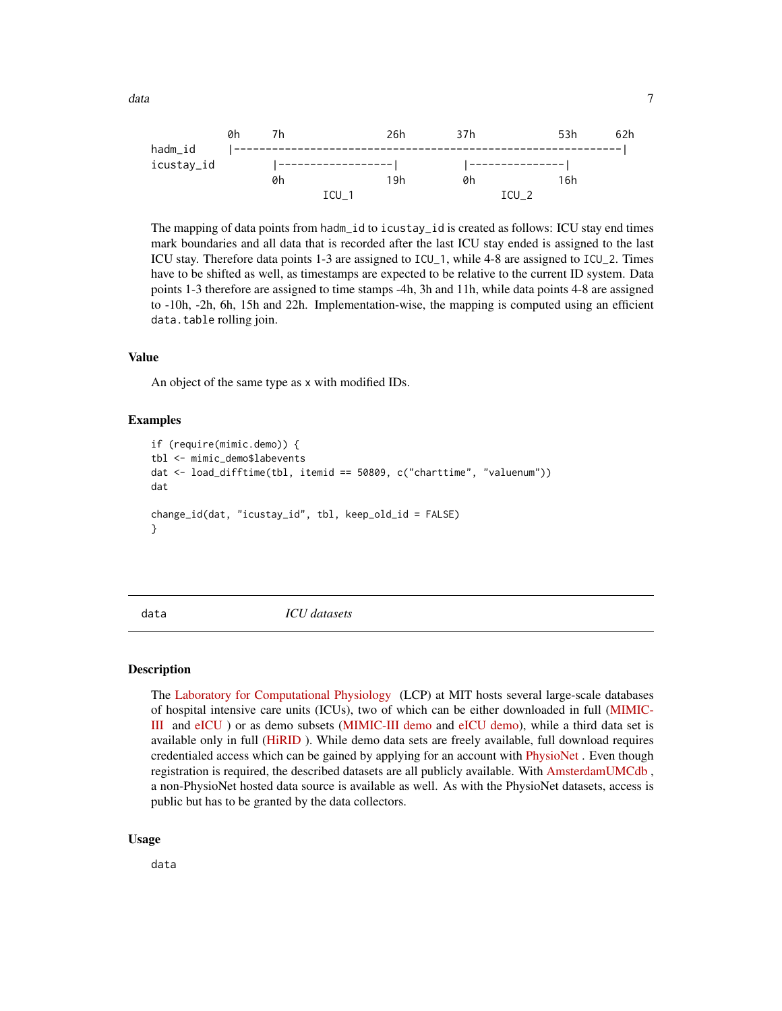<span id="page-6-0"></span>

The mapping of data points from hadm\_id to icustay\_id is created as follows: ICU stay end times mark boundaries and all data that is recorded after the last ICU stay ended is assigned to the last ICU stay. Therefore data points 1-3 are assigned to ICU\_1, while 4-8 are assigned to ICU\_2. Times have to be shifted as well, as timestamps are expected to be relative to the current ID system. Data points 1-3 therefore are assigned to time stamps -4h, 3h and 11h, while data points 4-8 are assigned to -10h, -2h, 6h, 15h and 22h. Implementation-wise, the mapping is computed using an efficient data.table rolling join.

## Value

An object of the same type as x with modified IDs.

## Examples

```
if (require(mimic.demo)) {
tbl <- mimic_demo$labevents
dat <- load_difftime(tbl, itemid == 50809, c("charttime", "valuenum"))
dat
change_id(dat, "icustay_id", tbl, keep_old_id = FALSE)
}
```
<span id="page-6-1"></span>

data *ICU datasets*

#### Description

The [Laboratory for Computational Physiology](https://lcp.mit.edu/index.html) (LCP) at MIT hosts several large-scale databases of hospital intensive care units (ICUs), two of which can be either downloaded in full [\(MIMIC-](https://physionet.org/content/mimiciii/1.4/)[III](https://physionet.org/content/mimiciii/1.4/) and [eICU](https://physionet.org/content/eicu-crd/2.0/) ) or as demo subsets [\(MIMIC-III demo](https://physionet.org/content/mimiciii-demo/1.4/) and [eICU demo\)](https://physionet.org/content/eicu-crd-demo/2.0/), while a third data set is available only in full [\(HiRID](https://physionet.org/content/hirid/1.0/) ). While demo data sets are freely available, full download requires credentialed access which can be gained by applying for an account with [PhysioNet](https://physionet.org/register/) . Even though registration is required, the described datasets are all publicly available. With [AmsterdamUMCdb](https://amsterdammedicaldatascience.nl/#amsterdamumcdb) , a non-PhysioNet hosted data source is available as well. As with the PhysioNet datasets, access is public but has to be granted by the data collectors.

#### Usage

data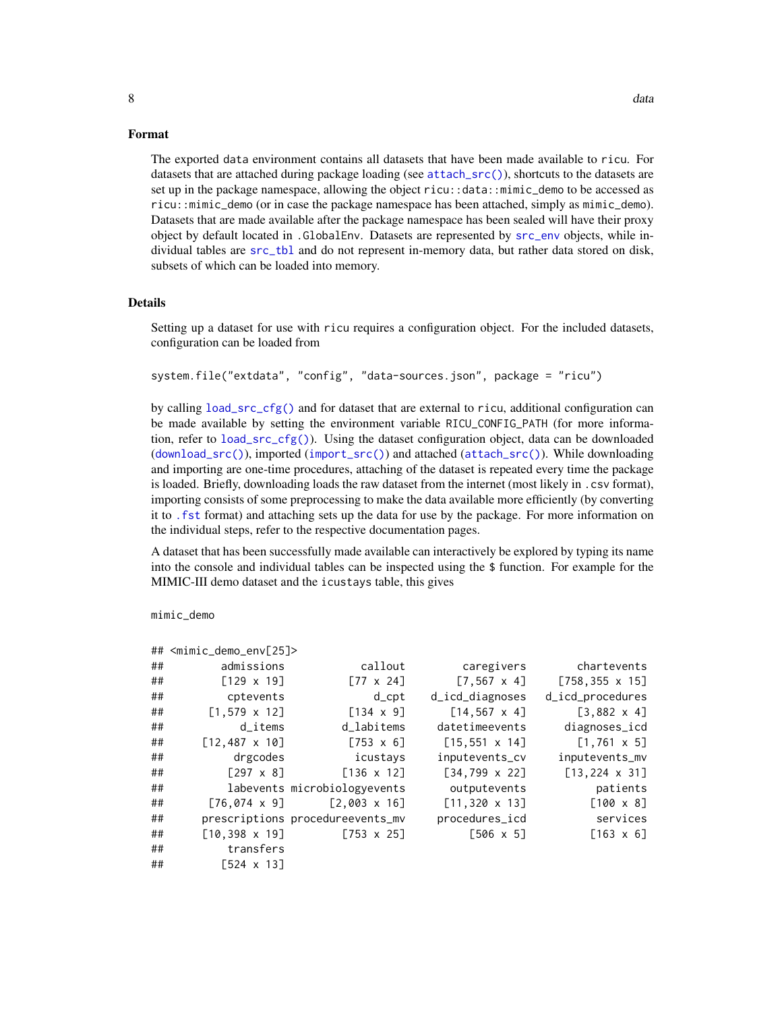## Format

The exported data environment contains all datasets that have been made available to ricu. For datasets that are attached during package loading (see [attach\\_src\(\)](#page-1-1)), shortcuts to the datasets are set up in the package namespace, allowing the object ricu::data::mimic\_demo to be accessed as ricu::mimic\_demo (or in case the package namespace has been attached, simply as mimic\_demo). Datasets that are made available after the package namespace has been sealed will have their proxy object by default located in .GlobalEnv. Datasets are represented by [src\\_env](#page-0-0) objects, while in-

#### Details

subsets of which can be loaded into memory.

Setting up a dataset for use with ricu requires a configuration object. For the included datasets, configuration can be loaded from

dividual tables are [src\\_tbl](#page-0-0) and do not represent in-memory data, but rather data stored on disk,

```
system.file("extdata", "config", "data-sources.json", package = "ricu")
```
by calling [load\\_src\\_cfg\(\)](#page-41-1) and for dataset that are external to ricu, additional configuration can be made available by setting the environment variable RICU\_CONFIG\_PATH (for more information, refer to [load\\_src\\_cfg\(\)](#page-41-1)). Using the dataset configuration object, data can be downloaded ([download\\_src\(\)](#page-13-1)), imported ([import\\_src\(\)](#page-25-1)) and attached ([attach\\_src\(\)](#page-1-1)). While downloading and importing are one-time procedures, attaching of the dataset is repeated every time the package is loaded. Briefly, downloading loads the raw dataset from the internet (most likely in .csv format), importing consists of some preprocessing to make the data available more efficiently (by converting it to [.fst](#page-0-0) format) and attaching sets up the data for use by the package. For more information on the individual steps, refer to the respective documentation pages.

A dataset that has been successfully made available can interactively be explored by typing its name into the console and individual tables can be inspected using the \$ function. For example for the MIMIC-III demo dataset and the icustays table, this gives

mimic\_demo

|    | ## <mimic_demo_env[25]></mimic_demo_env[25]> |                                   |                       |                              |
|----|----------------------------------------------|-----------------------------------|-----------------------|------------------------------|
| ## | admissions                                   | callout                           | caregivers            | chartevents                  |
| ## | $[129 \times 19]$                            | $[77 \times 24]$                  | $[7, 567 \times 4]$   | $[758, 355 \times 15]$       |
| ## | cptevents                                    | $d$ _ $cpt$                       | d_icd_diagnoses       | d_icd_procedures             |
| ## | $[1,579 \times 12]$                          | $[134 \times 9]$                  | $[14, 567 \times 4]$  | $[3,882 \times 4]$           |
| ## | d items                                      | d labitems                        | datetimeevents        | diagnoses_icd                |
| ## | $[12, 487 \times 10]$                        | $[753 \times 6]$                  | $[15, 551 \times 14]$ | $[1, 761 \times 5]$          |
| ## | drgcodes                                     | icustays                          | inputevents_cv        | inputevents_mv               |
| ## | $\lceil 297 \times 8 \rceil$                 | $\lceil 136 \times 12 \rceil$     | $[34, 799 \times 22]$ | $[13, 224 \times 31]$        |
| ## |                                              | labevents microbiologyevents      | outputevents          | patients                     |
| ## |                                              | $[76, 074 \times 9]$ [2,003 x 16] | $[11, 320 \times 13]$ | $\lceil 100 \times 8 \rceil$ |
| ## |                                              | prescriptions procedureevents_mv  | procedures_icd        | services                     |
| ## |                                              | $[10, 398 \times 19]$ [753 x 25]  | $[506 \times 5]$      | $[163 \times 6]$             |
| ## | transfers                                    |                                   |                       |                              |
| ## | $\sqrt{524} \times 13$                       |                                   |                       |                              |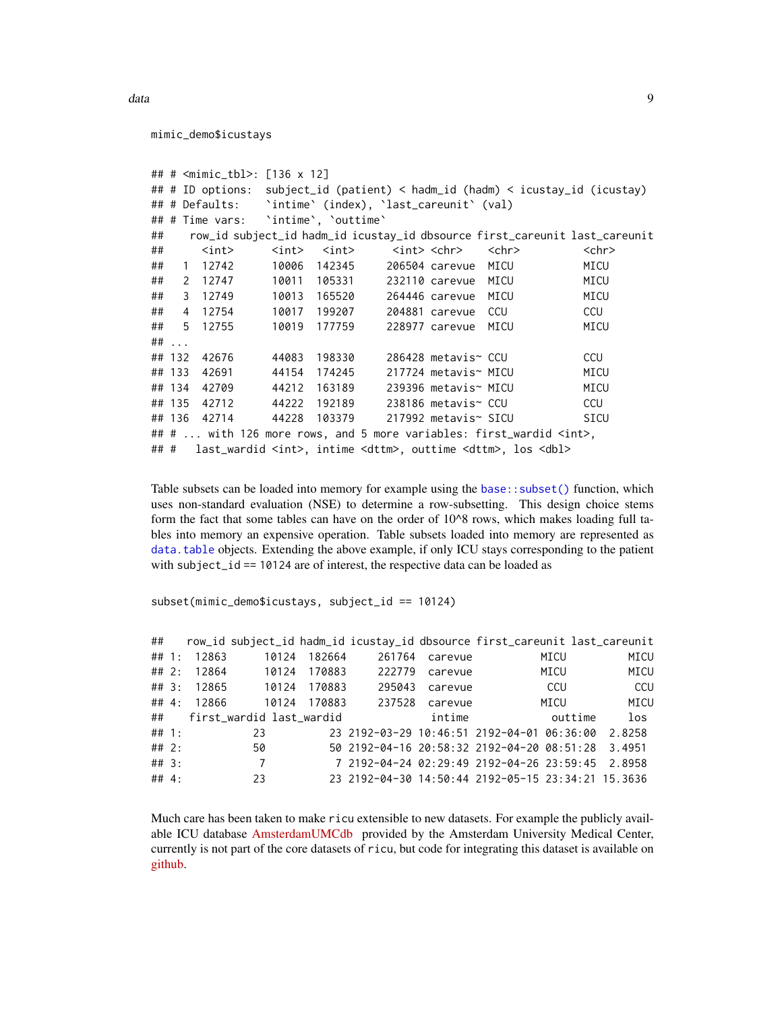```
mimic_demo$icustays
```

```
## # <mimic_tbl>: [136 x 12]
## # ID options: subject_id (patient) < hadm_id (hadm) < icustay_id (icustay)
## # Defaults: `intime` (index), `last_careunit` (val)
## # Time vars: `intime`, `outtime`
## row_id subject_id hadm_id icustay_id dbsource first_careunit last_careunit
## <int> <int> <int> <int> <chr> <chr> <chr>
## 1 12742 10006 142345 206504 carevue MICU MICU
## 2 12747 10011 105331 232110 carevue MICU MICU
## 3 12749 10013 165520 264446 carevue MICU MICU
## 4 12754 10017 199207 204881 carevue CCU CCU
## 5 12755 10019 177759 228977 carevue MICU MICU
## ...
## 132 42676 44083 198330 286428 metavis~ CCU CCU
## 133 42691 44154 174245 217724 metavis~ MICU MICU
## 134 42709 44212 163189 239396 metavis~ MICU MICU
## 135 42712 44222 192189 238186 metavis~ CCU CCU
## 136 42714 44228 103379 217992 metavis~ SICU SICU
## # ... with 126 more rows, and 5 more variables: first_wardid <int>,
## # last_wardid <int>, intime <dttm>, outtime <dttm>, los <dbl>
```
Table subsets can be loaded into memory for example using the  $base::subset()$  function, which uses non-standard evaluation (NSE) to determine a row-subsetting. This design choice stems form the fact that some tables can have on the order of 10<sup> $\lambda$ </sup>8 rows, which makes loading full tables into memory an expensive operation. Table subsets loaded into memory are represented as [data.table](#page-0-0) objects. Extending the above example, if only ICU stays corresponding to the patient with subject\_id == 10124 are of interest, the respective data can be loaded as

subset(mimic\_demo\$icustays, subject\_id == 10124)

| ##        |             |                          |        | row_id subject_id hadm_id icustay_id dbsource first_careunit last_careunit |         |            |        |
|-----------|-------------|--------------------------|--------|----------------------------------------------------------------------------|---------|------------|--------|
| $\#$ # 1: | 12863       | 10124                    | 182664 | 261764                                                                     | carevue | MICU       | MICU   |
|           | ## 2: 12864 | 10124                    | 170883 | 222779                                                                     | carevue | MICU       | MICU   |
| ## 3:     |             | 12865 10124              | 170883 | 295043                                                                     | carevue | <b>CCU</b> | CCU    |
|           | ## 4: 12866 | 10124                    | 170883 | 237528                                                                     | carevue | MICU       | MICU   |
| ##        |             | first wardid last wardid |        |                                                                            | intime  | outtime    | $\log$ |
| $\#$ # 1: |             | 23                       |        | 23 2192-03-29 10:46:51 2192-04-01 06:36:00                                 |         |            | 2.8258 |
| ## 2:     |             | 50                       |        | 50 2192-04-16 20:58:32 2192-04-20 08:51:28 3.4951                          |         |            |        |
| ##3:      |             | 7                        |        | 7 2192-04-24 02:29:49 2192-04-26 23:59:45 2.8958                           |         |            |        |
| ## 4:     |             | 23                       |        | 23 2192-04-30 14:50:44 2192-05-15 23:34:21 15.3636                         |         |            |        |

Much care has been taken to make ricu extensible to new datasets. For example the publicly available ICU database [AmsterdamUMCdb](https://www.amsterdammedicaldatascience.nl/#amsterdamumcdb) provided by the Amsterdam University Medical Center, currently is not part of the core datasets of ricu, but code for integrating this dataset is available on [github.](https://github.com/eth-mds/aumc)

data and the set of the set of the set of the set of the set of the set of the set of the set of the set of the set of the set of the set of the set of the set of the set of the set of the set of the set of the set of the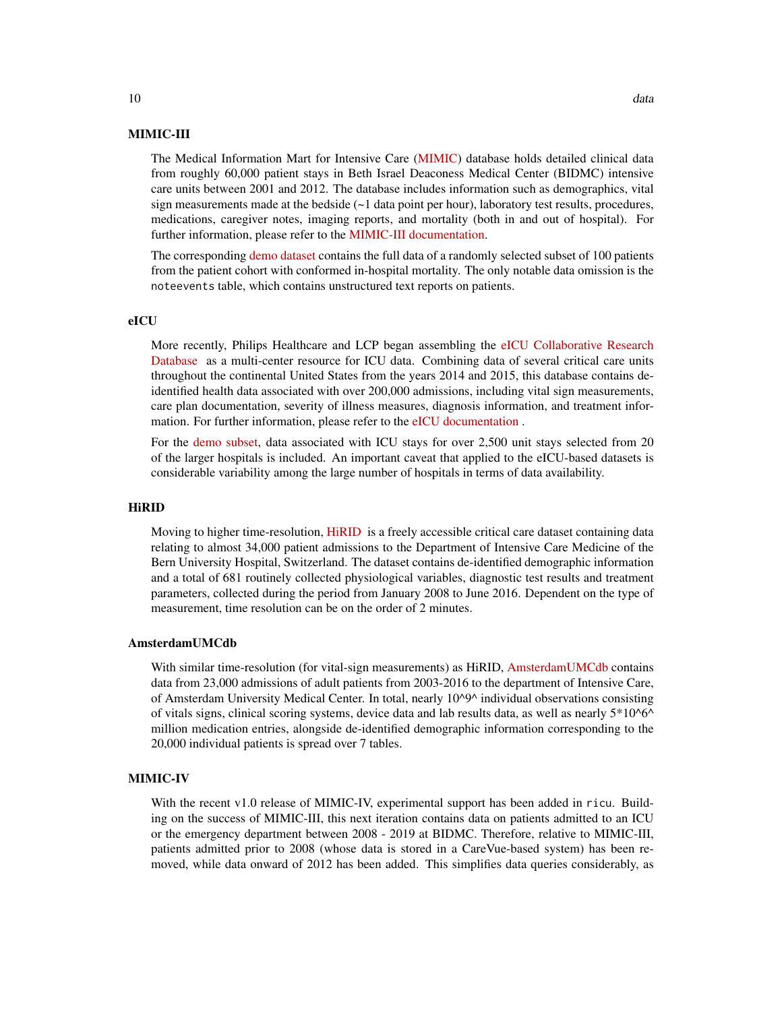## MIMIC-III

The Medical Information Mart for Intensive Care [\(MIMIC\)](https://physionet.org/content/mimiciii/) database holds detailed clinical data from roughly 60,000 patient stays in Beth Israel Deaconess Medical Center (BIDMC) intensive care units between 2001 and 2012. The database includes information such as demographics, vital sign measurements made at the bedside (~1 data point per hour), laboratory test results, procedures, medications, caregiver notes, imaging reports, and mortality (both in and out of hospital). For further information, please refer to the [MIMIC-III documentation.](https://mimic.mit.edu/docs/iii/)

The corresponding [demo dataset](https://physionet.org/content/mimiciii-demo/) contains the full data of a randomly selected subset of 100 patients from the patient cohort with conformed in-hospital mortality. The only notable data omission is the noteevents table, which contains unstructured text reports on patients.

## eICU

More recently, Philips Healthcare and LCP began assembling the [eICU Collaborative Research](https://physionet.org/content/eicu-crd/2.0/) [Database](https://physionet.org/content/eicu-crd/2.0/) as a multi-center resource for ICU data. Combining data of several critical care units throughout the continental United States from the years 2014 and 2015, this database contains deidentified health data associated with over 200,000 admissions, including vital sign measurements, care plan documentation, severity of illness measures, diagnosis information, and treatment information. For further information, please refer to the [eICU documentation](https://eicu-crd.mit.edu/about/eicu/).

For the [demo subset,](https://physionet.org/content/eicu-crd-demo/2.0/) data associated with ICU stays for over 2,500 unit stays selected from 20 of the larger hospitals is included. An important caveat that applied to the eICU-based datasets is considerable variability among the large number of hospitals in terms of data availability.

## HiRID

Moving to higher time-resolution, [HiRID](https://physionet.org/content/hirid/1.0/) is a freely accessible critical care dataset containing data relating to almost 34,000 patient admissions to the Department of Intensive Care Medicine of the Bern University Hospital, Switzerland. The dataset contains de-identified demographic information and a total of 681 routinely collected physiological variables, diagnostic test results and treatment parameters, collected during the period from January 2008 to June 2016. Dependent on the type of measurement, time resolution can be on the order of 2 minutes.

#### AmsterdamUMCdb

With similar time-resolution (for vital-sign measurements) as HiRID, [AmsterdamUMCdb](https://amsterdammedicaldatascience.nl/#amsterdamumcdb) contains data from 23,000 admissions of adult patients from 2003-2016 to the department of Intensive Care, of Amsterdam University Medical Center. In total, nearly 10^9^ individual observations consisting of vitals signs, clinical scoring systems, device data and lab results data, as well as nearly 5\*10^6^ million medication entries, alongside de-identified demographic information corresponding to the 20,000 individual patients is spread over 7 tables.

## MIMIC-IV

With the recent v1.0 release of MIMIC-IV, experimental support has been added in ricu. Building on the success of MIMIC-III, this next iteration contains data on patients admitted to an ICU or the emergency department between 2008 - 2019 at BIDMC. Therefore, relative to MIMIC-III, patients admitted prior to 2008 (whose data is stored in a CareVue-based system) has been removed, while data onward of 2012 has been added. This simplifies data queries considerably, as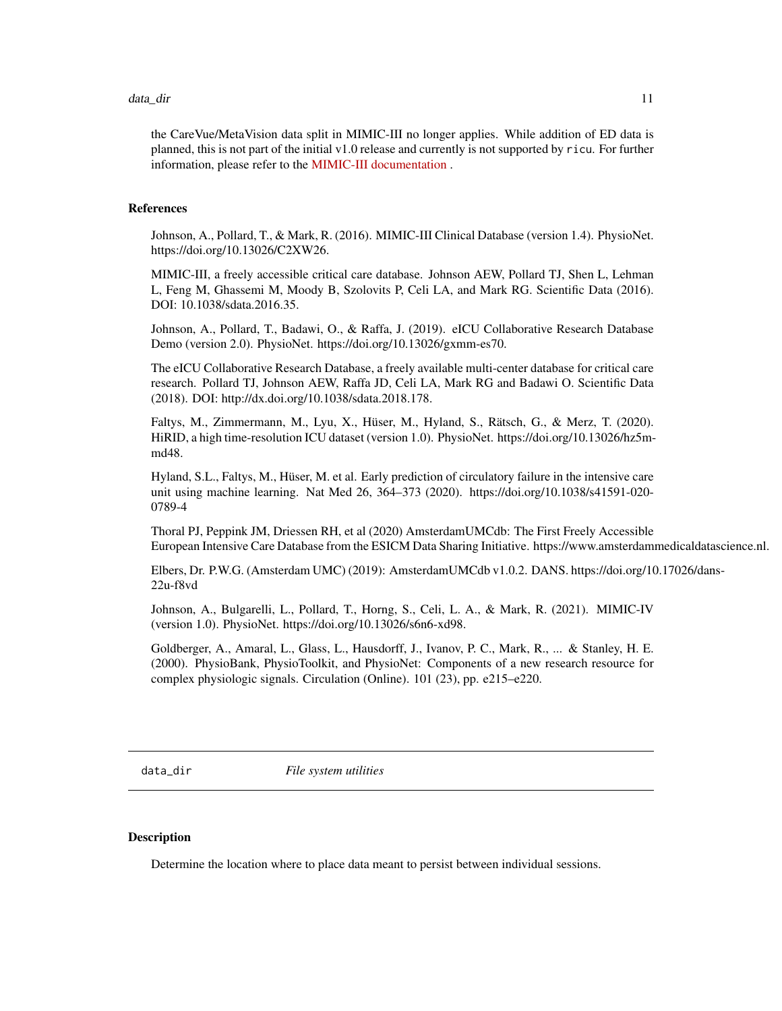#### <span id="page-10-0"></span>data\_dir 11

the CareVue/MetaVision data split in MIMIC-III no longer applies. While addition of ED data is planned, this is not part of the initial v1.0 release and currently is not supported by ricu. For further information, please refer to the [MIMIC-III documentation](https://mimic.mit.edu/docs/iii/) .

## References

Johnson, A., Pollard, T., & Mark, R. (2016). MIMIC-III Clinical Database (version 1.4). PhysioNet. https://doi.org/10.13026/C2XW26.

MIMIC-III, a freely accessible critical care database. Johnson AEW, Pollard TJ, Shen L, Lehman L, Feng M, Ghassemi M, Moody B, Szolovits P, Celi LA, and Mark RG. Scientific Data (2016). DOI: 10.1038/sdata.2016.35.

Johnson, A., Pollard, T., Badawi, O., & Raffa, J. (2019). eICU Collaborative Research Database Demo (version 2.0). PhysioNet. https://doi.org/10.13026/gxmm-es70.

The eICU Collaborative Research Database, a freely available multi-center database for critical care research. Pollard TJ, Johnson AEW, Raffa JD, Celi LA, Mark RG and Badawi O. Scientific Data (2018). DOI: http://dx.doi.org/10.1038/sdata.2018.178.

Faltys, M., Zimmermann, M., Lyu, X., Hüser, M., Hyland, S., Rätsch, G., & Merz, T. (2020). HiRID, a high time-resolution ICU dataset (version 1.0). PhysioNet. https://doi.org/10.13026/hz5mmd48.

Hyland, S.L., Faltys, M., Hüser, M. et al. Early prediction of circulatory failure in the intensive care unit using machine learning. Nat Med 26, 364–373 (2020). https://doi.org/10.1038/s41591-020- 0789-4

Thoral PJ, Peppink JM, Driessen RH, et al (2020) AmsterdamUMCdb: The First Freely Accessible European Intensive Care Database from the ESICM Data Sharing Initiative. https://www.amsterdammedicaldatascience.nl.

Elbers, Dr. P.W.G. (Amsterdam UMC) (2019): AmsterdamUMCdb v1.0.2. DANS. https://doi.org/10.17026/dans-22u-f8vd

Johnson, A., Bulgarelli, L., Pollard, T., Horng, S., Celi, L. A., & Mark, R. (2021). MIMIC-IV (version 1.0). PhysioNet. https://doi.org/10.13026/s6n6-xd98.

Goldberger, A., Amaral, L., Glass, L., Hausdorff, J., Ivanov, P. C., Mark, R., ... & Stanley, H. E. (2000). PhysioBank, PhysioToolkit, and PhysioNet: Components of a new research resource for complex physiologic signals. Circulation (Online). 101 (23), pp. e215–e220.

<span id="page-10-1"></span>data\_dir *File system utilities*

#### <span id="page-10-2"></span>Description

Determine the location where to place data meant to persist between individual sessions.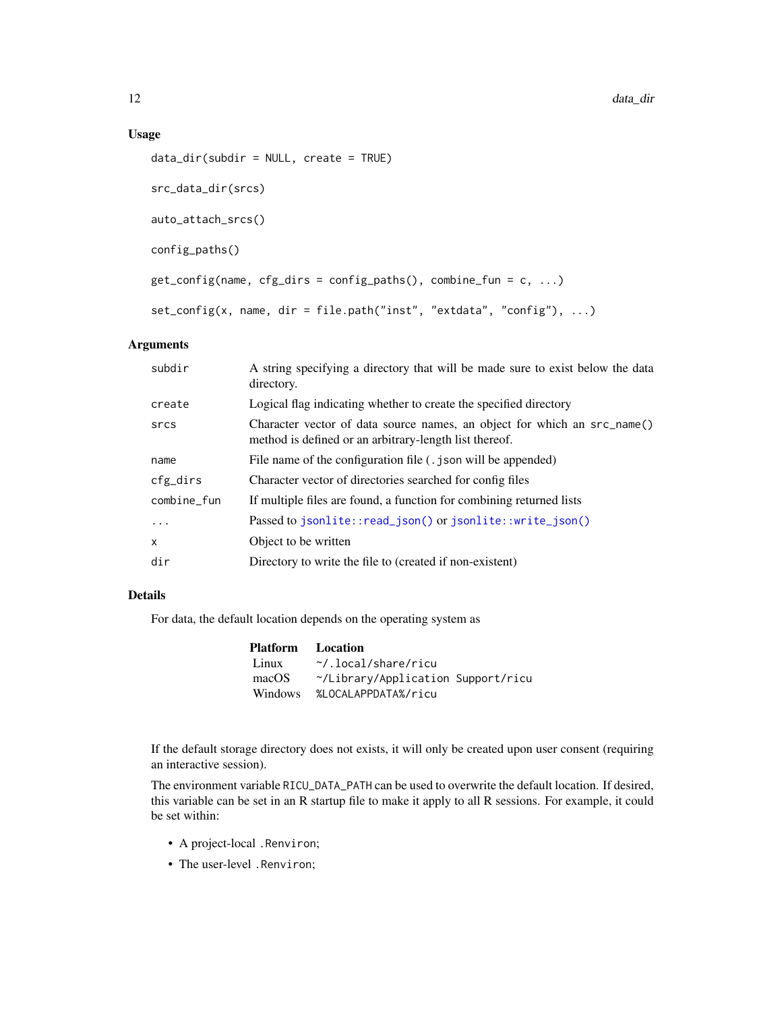12 data\_dir

## Usage

```
data_dir(subdir = NULL, create = TRUE)
src_data_dir(srcs)
auto_attach_srcs()
config_paths()
get\_config(name, cfg\_dirs = config\_paths(), combine\_fun = c, ...)set_config(x, name, dir = file.path("inst", "extdata", "config"), ...)
```
## Arguments

| subdir      | A string specifying a directory that will be made sure to exist below the data<br>directory.                                       |
|-------------|------------------------------------------------------------------------------------------------------------------------------------|
| create      | Logical flag indicating whether to create the specified directory                                                                  |
| srcs        | Character vector of data source names, an object for which an src_name()<br>method is defined or an arbitrary-length list thereof. |
| name        | File name of the configuration file (. json will be appended)                                                                      |
| cfg_dirs    | Character vector of directories searched for config files                                                                          |
| combine_fun | If multiple files are found, a function for combining returned lists                                                               |
| $\ddots$    | Passed to jsonlite::read_json() or jsonlite::write_json()                                                                          |
| $\times$    | Object to be written                                                                                                               |
| dir         | Directory to write the file to (created if non-existent)                                                                           |

## Details

For data, the default location depends on the operating system as

| Platform       | Location                           |
|----------------|------------------------------------|
| Linux          | $\gamma$ .local/share/ricu         |
| macOS          | ~/Library/Application Support/ricu |
| <b>Windows</b> | %LOCALAPPDATA%/ricu                |

If the default storage directory does not exists, it will only be created upon user consent (requiring an interactive session).

The environment variable RICU\_DATA\_PATH can be used to overwrite the default location. If desired, this variable can be set in an R startup file to make it apply to all R sessions. For example, it could be set within:

- A project-local .Renviron;
- The user-level .Renviron;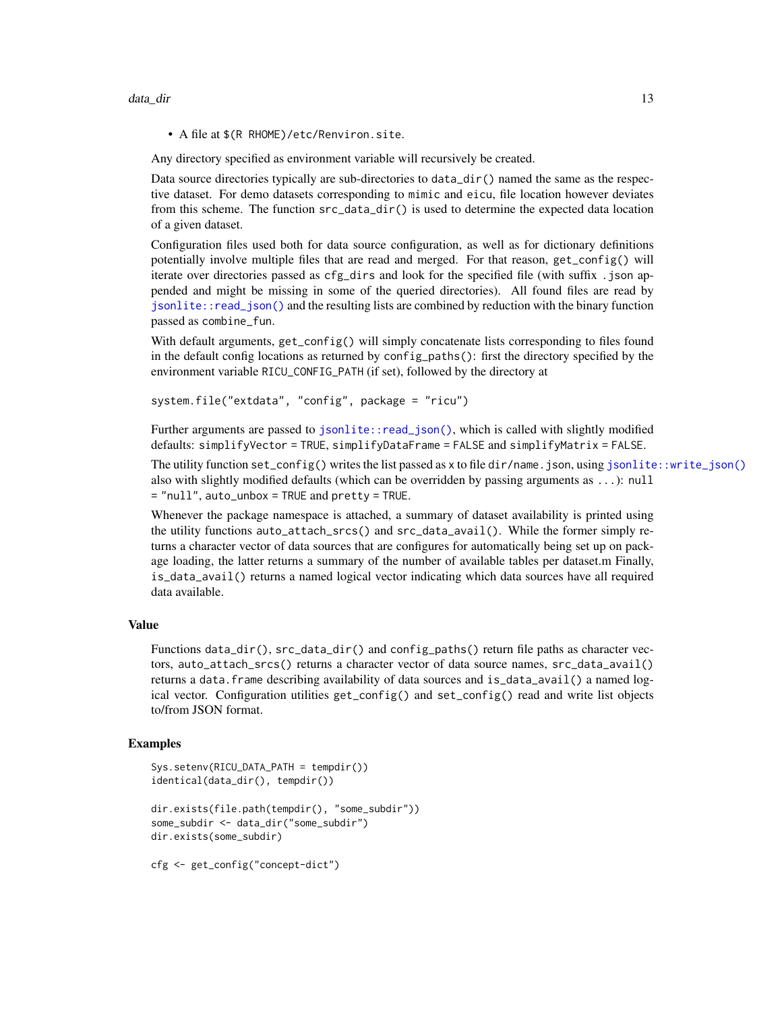• A file at \$(R RHOME)/etc/Renviron.site.

Any directory specified as environment variable will recursively be created.

Data source directories typically are sub-directories to  $data\_dir()$  named the same as the respective dataset. For demo datasets corresponding to mimic and eicu, file location however deviates from this scheme. The function src\_data\_dir() is used to determine the expected data location of a given dataset.

Configuration files used both for data source configuration, as well as for dictionary definitions potentially involve multiple files that are read and merged. For that reason, get\_config() will iterate over directories passed as cfg\_dirs and look for the specified file (with suffix .json appended and might be missing in some of the queried directories). All found files are read by [jsonlite::read\\_json\(\)](#page-0-0) and the resulting lists are combined by reduction with the binary function passed as combine\_fun.

With default arguments, get\_config() will simply concatenate lists corresponding to files found in the default config locations as returned by config\_paths(): first the directory specified by the environment variable RICU\_CONFIG\_PATH (if set), followed by the directory at

```
system.file("extdata", "config", package = "ricu")
```
Further arguments are passed to [jsonlite::read\\_json\(\)](#page-0-0), which is called with slightly modified defaults: simplifyVector = TRUE, simplifyDataFrame = FALSE and simplifyMatrix = FALSE.

The utility function set\_config() writes the list passed as x to file dir/name.json, using [jsonlite::write\\_json\(\)](#page-0-0) also with slightly modified defaults (which can be overridden by passing arguments as  $\dots$ ): null = "null", auto\_unbox = TRUE and pretty = TRUE.

Whenever the package namespace is attached, a summary of dataset availability is printed using the utility functions auto\_attach\_srcs() and src\_data\_avail(). While the former simply returns a character vector of data sources that are configures for automatically being set up on package loading, the latter returns a summary of the number of available tables per dataset.m Finally, is\_data\_avail() returns a named logical vector indicating which data sources have all required data available.

## Value

Functions data\_dir(),  $src\_data\_dir()$  and config\_paths() return file paths as character vectors, auto\_attach\_srcs() returns a character vector of data source names, src\_data\_avail() returns a data.frame describing availability of data sources and is\_data\_avail() a named logical vector. Configuration utilities get\_config() and set\_config() read and write list objects to/from JSON format.

## Examples

```
Sys.setenv(RICU_DATA_PATH = tempdir())
identical(data_dir(), tempdir())
dir.exists(file.path(tempdir(), "some_subdir"))
some_subdir <- data_dir("some_subdir")
dir.exists(some_subdir)
cfg <- get_config("concept-dict")
```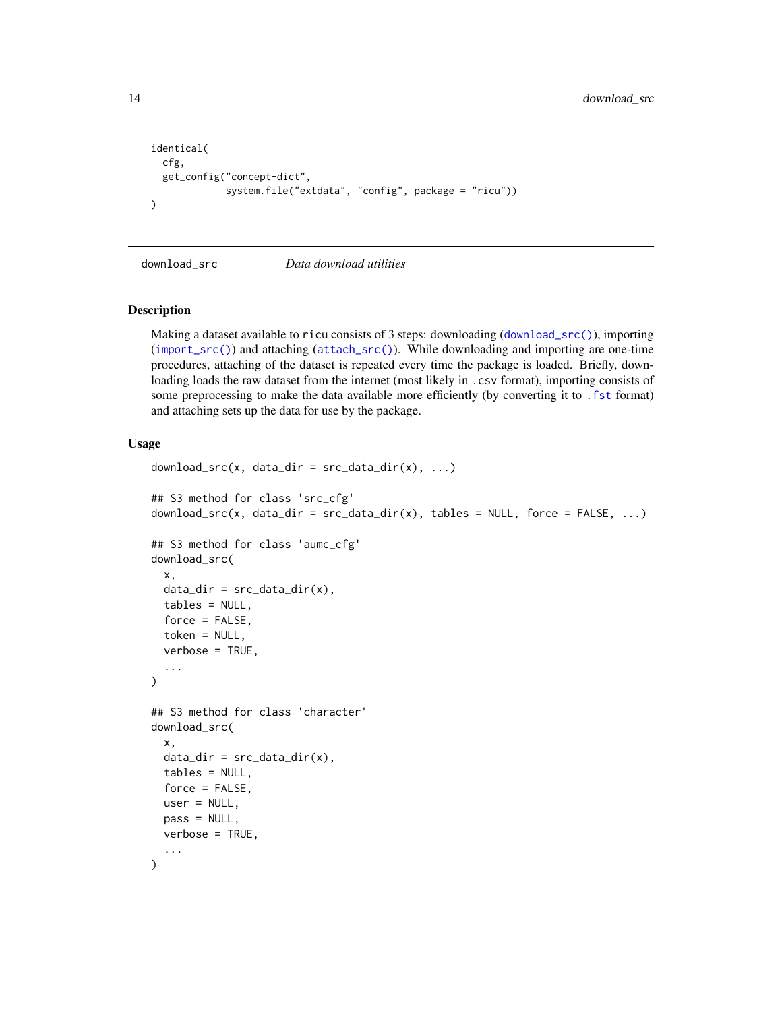```
identical(
  cfg,
  get_config("concept-dict",
              system.file("extdata", "config", package = "ricu"))
\mathcal{L}
```
<span id="page-13-1"></span>download\_src *Data download utilities*

## Description

Making a dataset available to ricu consists of 3 steps: downloading ([download\\_src\(\)](#page-13-1)), importing ([import\\_src\(\)](#page-25-1)) and attaching ([attach\\_src\(\)](#page-1-1)). While downloading and importing are one-time procedures, attaching of the dataset is repeated every time the package is loaded. Briefly, downloading loads the raw dataset from the internet (most likely in .csv format), importing consists of some preprocessing to make the data available more efficiently (by converting it to . fst format) and attaching sets up the data for use by the package.

## Usage

```
download\_src(x, data\_dir = src\_data\_dir(x), ...)## S3 method for class 'src_cfg'
download\_src(x, data\_dir = src\_data\_dir(x), tables = NULL, force = FALSE, ...)## S3 method for class 'aumc_cfg'
download_src(
 x,
 data\_dir = src\_data\_dir(x),
  tables = NULL,
  force = FALSE,
  token = NULL,
  verbose = TRUE,
  ...
\mathcal{E}## S3 method for class 'character'
download_src(
  x,
  data\_dir = src\_data\_dir(x),
  tables = NULL,
  force = FALSE,
 user = NULL,
 pass = NULL,
 verbose = TRUE,
  ...
)
```
<span id="page-13-0"></span>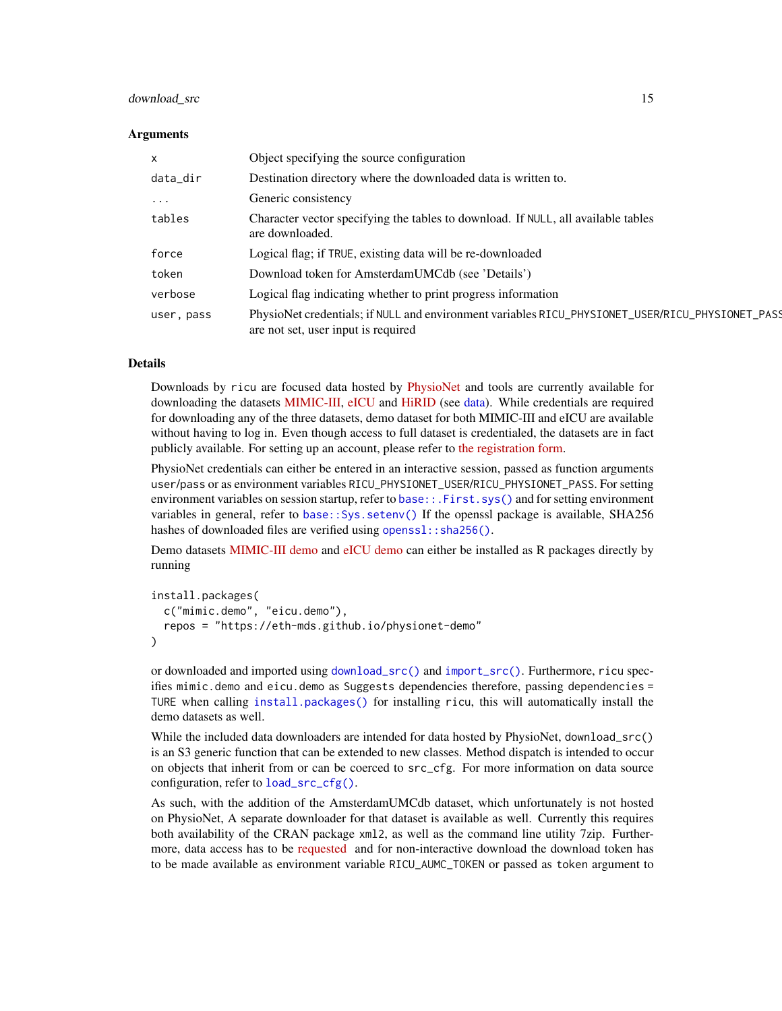### download src 15

### Arguments

| X          | Object specifying the source configuration                                                                                              |
|------------|-----------------------------------------------------------------------------------------------------------------------------------------|
| data_dir   | Destination directory where the downloaded data is written to.                                                                          |
| $\cdots$   | Generic consistency                                                                                                                     |
| tables     | Character vector specifying the tables to download. If NULL, all available tables<br>are downloaded.                                    |
| force      | Logical flag; if TRUE, existing data will be re-downloaded                                                                              |
| token      | Download token for AmsterdamUMCdb (see 'Details')                                                                                       |
| verbose    | Logical flag indicating whether to print progress information                                                                           |
| user, pass | PhysioNet credentials; if NULL and environment variables RICU_PHYSIONET_USER/RICU_PHYSIONET_PASS<br>are not set, user input is required |

## Details

Downloads by ricu are focused data hosted by [PhysioNet](https://physionet.org) and tools are currently available for downloading the datasets [MIMIC-III,](https://physionet.org/content/mimiciii/1.4/) [eICU](https://physionet.org/content/eicu-crd/2.0/) and [HiRID](https://physionet.org/content/hirid/1.0/) (see [data\)](#page-6-1). While credentials are required for downloading any of the three datasets, demo dataset for both MIMIC-III and eICU are available without having to log in. Even though access to full dataset is credentialed, the datasets are in fact publicly available. For setting up an account, please refer to [the registration form.](https://physionet.org/register/)

PhysioNet credentials can either be entered in an interactive session, passed as function arguments user/pass or as environment variables RICU\_PHYSIONET\_USER/RICU\_PHYSIONET\_PASS. For setting environment variables on session startup, refer to [base::.First.sys\(\)](#page-0-0) and for setting environment variables in general, refer to [base::Sys.setenv\(\)](#page-0-0) If the openssl package is available, SHA256 hashes of downloaded files are verified using [openssl::sha256\(\)](#page-0-0).

Demo datasets [MIMIC-III demo](https://physionet.org/content/mimiciii-demo/1.4/) and [eICU demo](https://physionet.org/content/eicu-crd-demo/2.0/) can either be installed as R packages directly by running

```
install.packages(
 c("mimic.demo", "eicu.demo"),
  repos = "https://eth-mds.github.io/physionet-demo"
)
```
or downloaded and imported using [download\\_src\(\)](#page-13-1) and [import\\_src\(\)](#page-25-1). Furthermore, ricu specifies mimic.demo and eicu.demo as Suggests dependencies therefore, passing dependencies = TURE when calling [install.packages\(\)](#page-0-0) for installing ricu, this will automatically install the demo datasets as well.

While the included data downloaders are intended for data hosted by PhysioNet, download\_src() is an S3 generic function that can be extended to new classes. Method dispatch is intended to occur on objects that inherit from or can be coerced to src\_cfg. For more information on data source configuration, refer to [load\\_src\\_cfg\(\)](#page-41-1).

As such, with the addition of the AmsterdamUMCdb dataset, which unfortunately is not hosted on PhysioNet, A separate downloader for that dataset is available as well. Currently this requires both availability of the CRAN package xml2, as well as the command line utility 7zip. Furthermore, data access has to be [requested](https://amsterdammedicaldatascience.nl/#amsterdamumcdb) and for non-interactive download the download token has to be made available as environment variable RICU\_AUMC\_TOKEN or passed as token argument to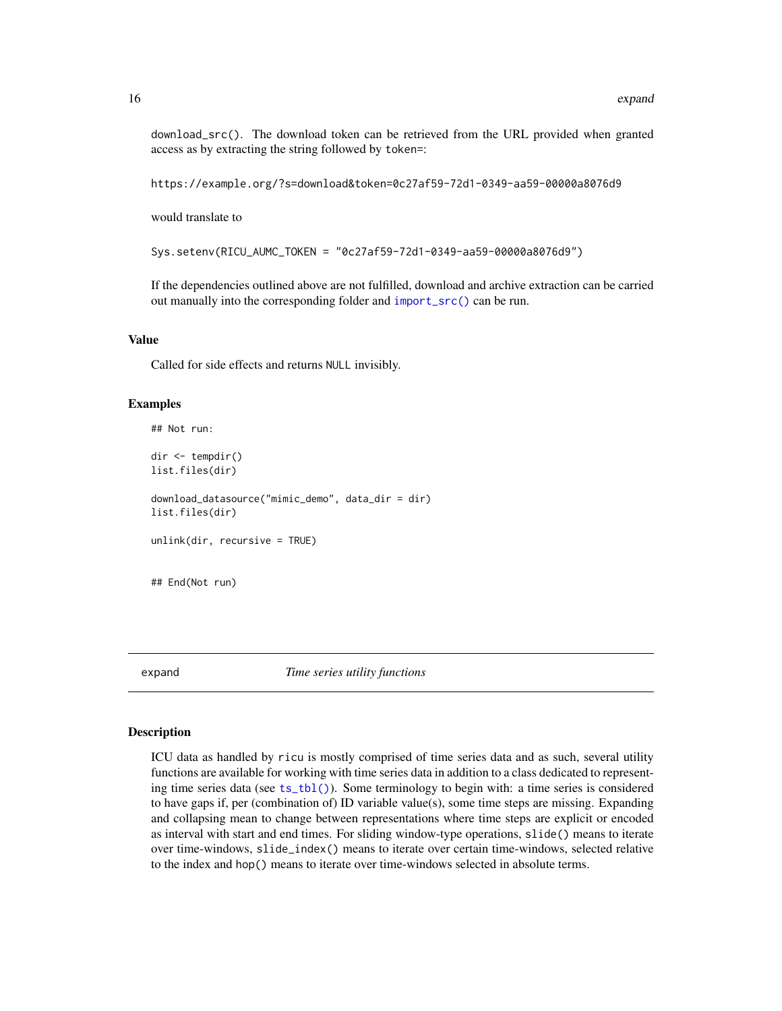<span id="page-15-0"></span>download\_src(). The download token can be retrieved from the URL provided when granted access as by extracting the string followed by token=:

https://example.org/?s=download&token=0c27af59-72d1-0349-aa59-00000a8076d9

would translate to

Sys.setenv(RICU\_AUMC\_TOKEN = "0c27af59-72d1-0349-aa59-00000a8076d9")

If the dependencies outlined above are not fulfilled, download and archive extraction can be carried out manually into the corresponding folder and [import\\_src\(\)](#page-25-1) can be run.

## Value

Called for side effects and returns NULL invisibly.

#### Examples

```
## Not run:
dir <- tempdir()
list.files(dir)
download_datasource("mimic_demo", data_dir = dir)
list.files(dir)
unlink(dir, recursive = TRUE)
## End(Not run)
```
expand *Time series utility functions*

#### Description

ICU data as handled by ricu is mostly comprised of time series data and as such, several utility functions are available for working with time series data in addition to a class dedicated to representing time series data (see [ts\\_tbl\(\)](#page-19-1)). Some terminology to begin with: a time series is considered to have gaps if, per (combination of) ID variable value(s), some time steps are missing. Expanding and collapsing mean to change between representations where time steps are explicit or encoded as interval with start and end times. For sliding window-type operations, slide() means to iterate over time-windows, slide\_index() means to iterate over certain time-windows, selected relative to the index and hop() means to iterate over time-windows selected in absolute terms.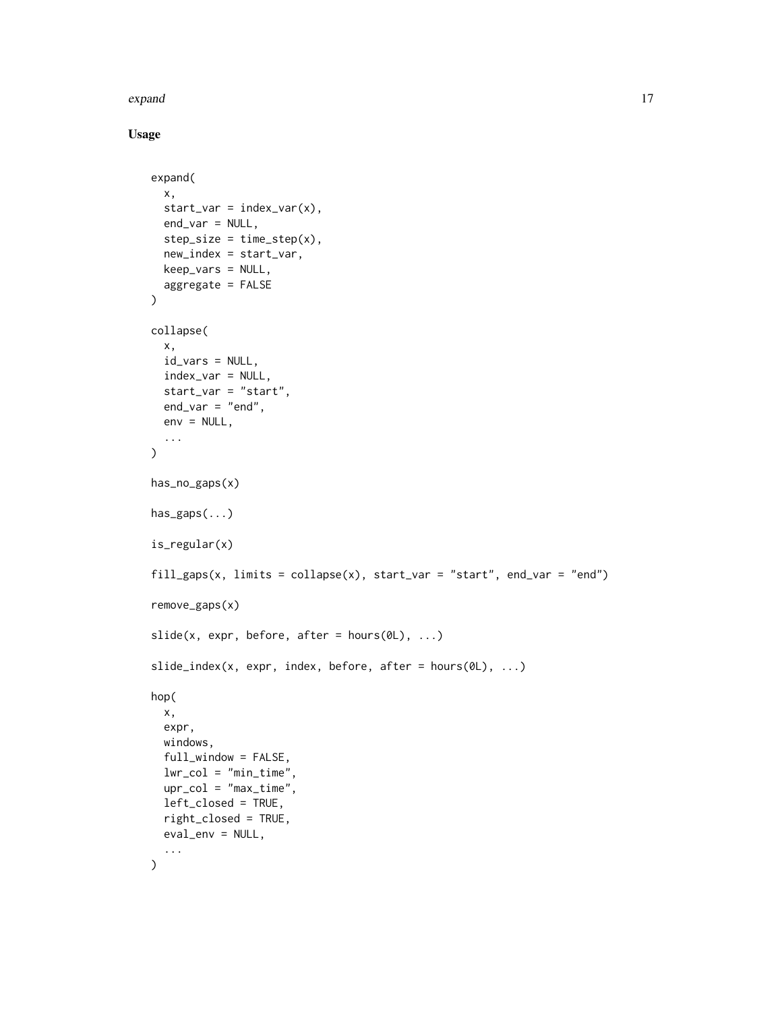## expand to the contract of the contract of the contract of the contract of the contract of the contract of the contract of the contract of the contract of the contract of the contract of the contract of the contract of the

## Usage

```
expand(
  x,
  start\_var = index\_var(x),
  end_var = NULL,
 step\_size = time\_step(x),
 new_index = start_var,
 keep_vars = NULL,
 aggregate = FALSE
\lambdacollapse(
  x,
 id_vars = NULL,
  index_var = NULL,
  start_var = "start",
 end_var = "end",env = NULL,...
\mathcal{L}has_no_gaps(x)
has_gaps(...)
is_regular(x)
fill_gaps(x, limits = collapse(x), start_var = "start", end_var = "end")
remove_gaps(x)
slide(x, expr, before, after = hours(0L), ...)slide_index(x, expr, index, before, after = hours(0L), ...)
hop(
 x,
  expr,
 windows,
  full_window = FALSE,
 lwr_col = "min_time",
 upr_{col} = "max_time",
 left_closed = TRUE,
 right_closed = TRUE,
 eval_env = NULL,
  ...
\mathcal{L}
```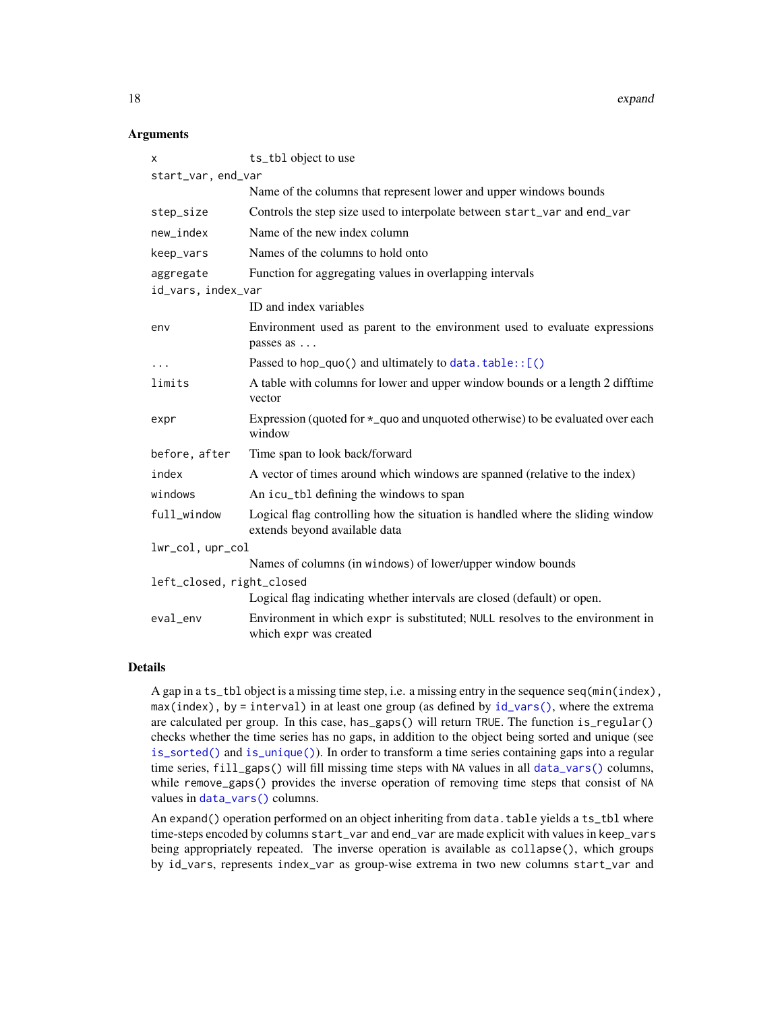18 expand

### **Arguments**

| X                         | ts_tbl object to use                                                                                            |
|---------------------------|-----------------------------------------------------------------------------------------------------------------|
| start_var, end_var        |                                                                                                                 |
|                           | Name of the columns that represent lower and upper windows bounds                                               |
| step_size                 | Controls the step size used to interpolate between start_var and end_var                                        |
| new_index                 | Name of the new index column                                                                                    |
| keep_vars                 | Names of the columns to hold onto                                                                               |
| aggregate                 | Function for aggregating values in overlapping intervals                                                        |
| id_vars, index_var        |                                                                                                                 |
|                           | ID and index variables                                                                                          |
| env                       | Environment used as parent to the environment used to evaluate expressions<br>passes as                         |
| $\cdots$                  | Passed to hop_quo() and ultimately to $data.title::[()$                                                         |
| limits                    | A table with columns for lower and upper window bounds or a length 2 difftime<br>vector                         |
| expr                      | Expression (quoted for $\star$ quo and unquoted otherwise) to be evaluated over each<br>window                  |
| before, after             | Time span to look back/forward                                                                                  |
| index                     | A vector of times around which windows are spanned (relative to the index)                                      |
| windows                   | An icu_tbl defining the windows to span                                                                         |
| full_window               | Logical flag controlling how the situation is handled where the sliding window<br>extends beyond available data |
| lwr_col, upr_col          |                                                                                                                 |
|                           | Names of columns (in windows) of lower/upper window bounds                                                      |
| left_closed, right_closed |                                                                                                                 |
|                           | Logical flag indicating whether intervals are closed (default) or open.                                         |
| eval_env                  | Environment in which expr is substituted; NULL resolves to the environment in<br>which expr was created         |

## Details

A gap in a ts\_tbl object is a missing time step, i.e. a missing entry in the sequence seq(min(index),  $max(index)$ , by = interval) in at least one group (as defined by  $id\_vars()$ , where the extrema are calculated per group. In this case, has\_gaps() will return TRUE. The function is\_regular() checks whether the time series has no gaps, in addition to the object being sorted and unique (see [is\\_sorted\(\)](#page-56-1) and [is\\_unique\(\)](#page-56-1)). In order to transform a time series containing gaps into a regular time series, fill\_gaps() will fill missing time steps with NA values in all [data\\_vars\(\)](#page-22-2) columns, while remove\_gaps() provides the inverse operation of removing time steps that consist of NA values in [data\\_vars\(\)](#page-22-2) columns.

An expand() operation performed on an object inheriting from data.table yields a ts\_tbl where time-steps encoded by columns start\_var and end\_var are made explicit with values in keep\_vars being appropriately repeated. The inverse operation is available as collapse(), which groups by id\_vars, represents index\_var as group-wise extrema in two new columns start\_var and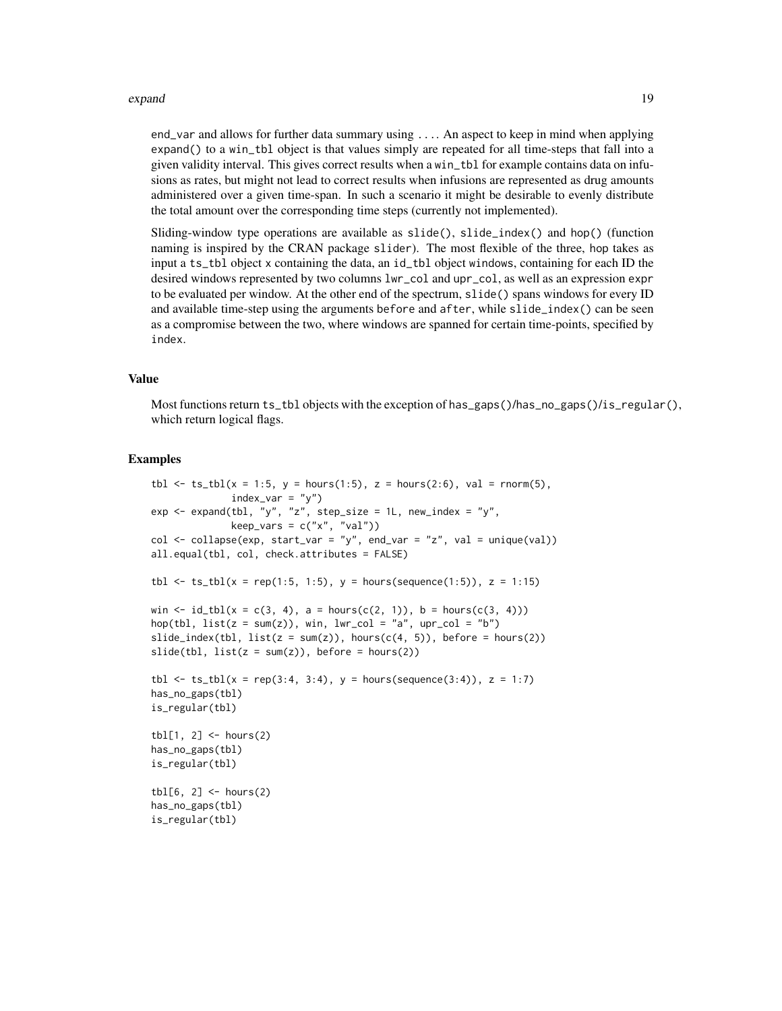#### expand to the contract of the contract of the contract of the contract of the contract of the contract of the contract of the contract of the contract of the contract of the contract of the contract of the contract of the

end\_var and allows for further data summary using .... An aspect to keep in mind when applying expand() to a win\_tbl object is that values simply are repeated for all time-steps that fall into a given validity interval. This gives correct results when a win\_tbl for example contains data on infusions as rates, but might not lead to correct results when infusions are represented as drug amounts administered over a given time-span. In such a scenario it might be desirable to evenly distribute the total amount over the corresponding time steps (currently not implemented).

Sliding-window type operations are available as slide(), slide\_index() and hop() (function naming is inspired by the CRAN package slider). The most flexible of the three, hop takes as input a ts\_tbl object x containing the data, an id\_tbl object windows, containing for each ID the desired windows represented by two columns lwr\_col and upr\_col, as well as an expression expr to be evaluated per window. At the other end of the spectrum, slide() spans windows for every ID and available time-step using the arguments before and after, while slide\_index() can be seen as a compromise between the two, where windows are spanned for certain time-points, specified by index.

## Value

Most functions return ts\_tbl objects with the exception of has\_gaps()/has\_no\_gaps()/is\_regular(), which return logical flags.

#### Examples

```
tbl \le ts_tbl(x = 1:5, y = hours(1:5), z = hours(2:6), val = rnorm(5),
              index\_var = "y")exp \le - expand(tbl, "y", "z", step_size = 1L, new_index = "y",
              keep\_vars = c("x", "val"))col \leftarrow collapse(exp, start\_var = "y", end\_var = "z", val = unique(val))all.equal(tbl, col, check.attributes = FALSE)
tbl \le ts_tbl(x = rep(1:5, 1:5), y = hours(sequence(1:5)), z = 1:15)
win \le id_tbl(x = c(3, 4), a = hours(c(2, 1)), b = hours(c(3, 4)))
hop(tbl, list(z = sum(z)), win, lwr_col = "a", upr_col = "b")slide_index(tbl, list(z = sum(z)), hours(c(4, 5)), before = hours(2))
slide(thl, list(z = sum(z)), before = hours(2))tbl <- ts_tbl(x = rep(3:4, 3:4), y = hours(sequence(3:4)), z = 1:7)
has_no_gaps(tbl)
is_regular(tbl)
\text{thl}[1, 2] \leq \text{hours}(2)has_no_gaps(tbl)
is_regular(tbl)
tbl[6, 2] < - hours(2)
has_no_gaps(tbl)
is_regular(tbl)
```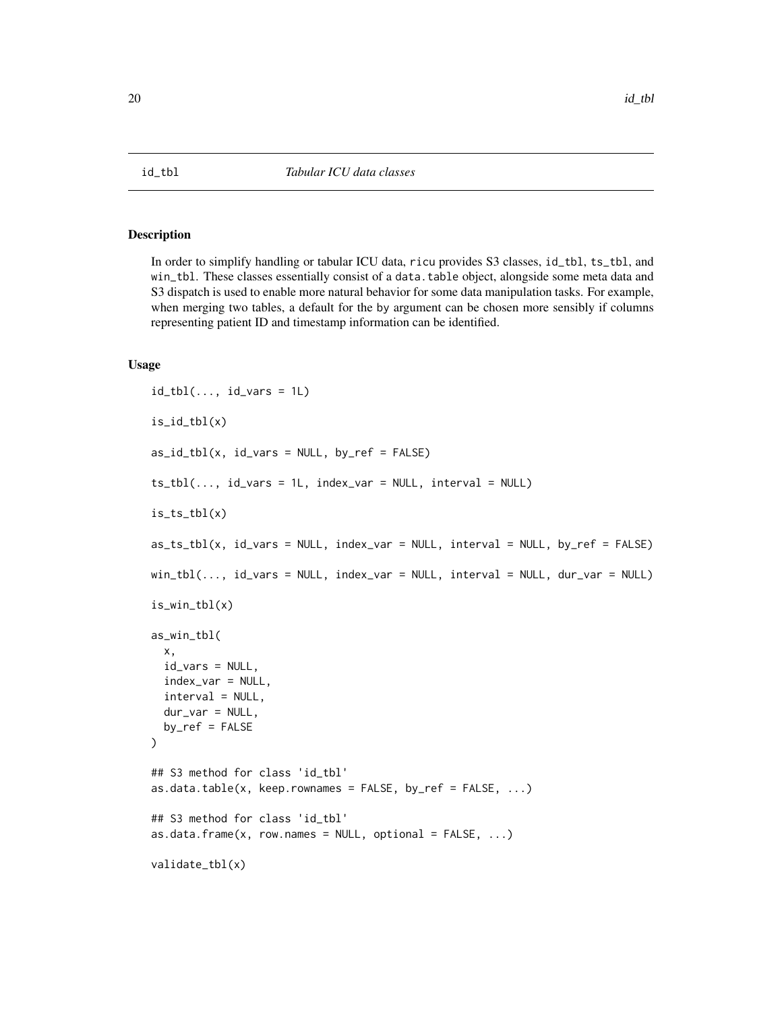<span id="page-19-2"></span><span id="page-19-0"></span>

## <span id="page-19-1"></span>Description

In order to simplify handling or tabular ICU data, ricu provides S3 classes, id\_tbl, ts\_tbl, and win\_tbl. These classes essentially consist of a data.table object, alongside some meta data and S3 dispatch is used to enable more natural behavior for some data manipulation tasks. For example, when merging two tables, a default for the by argument can be chosen more sensibly if columns representing patient ID and timestamp information can be identified.

## Usage

```
id_tbl(..., id_vars = 1L)is_id_tbl(x)
as_id_tbl(x, id_vars = NULL, by_ref = FALSE)ts_tbl(..., id_vars = 1L, index_var = NULL, interval = NULL)is_ts_tbl(x)
as_ts_tbl(x, id_vars = NULL, index_var = NULL, interval = NULL, by_ref = FALSE)
win_tbl(..., id_vars = NULL, index_var = NULL, interval = NULL, dur_var = NULL)
is_win_tbl(x)
as_win_tbl(
 x,
  id_vars = NULL,
 index_var = NULL,
  interval = NULL,dur_var = NULL,
 by_ref = FALSE)
## S3 method for class 'id_tbl'
as.data.table(x, keep.rownames = FALSE, by_ref = FALSE, \dots)
## S3 method for class 'id_tbl'
as.data.frame(x, row.names = NULL, optional = FALSE, ...)
validate_tbl(x)
```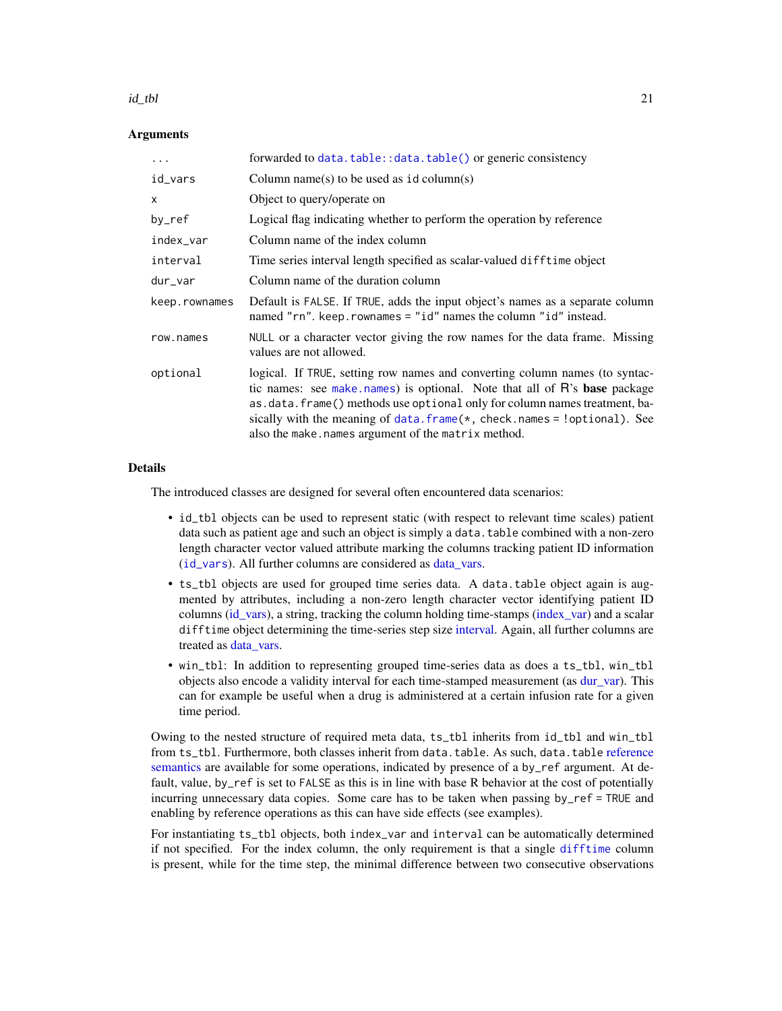#### $id_{\text{u}}$ tbl  $21$

## **Arguments**

| $\ddots$      | forwarded to data.table::data.table() or generic consistency                                                                                                                                                                                                                                                                                                               |
|---------------|----------------------------------------------------------------------------------------------------------------------------------------------------------------------------------------------------------------------------------------------------------------------------------------------------------------------------------------------------------------------------|
| id_vars       | Column name(s) to be used as $id$ column(s)                                                                                                                                                                                                                                                                                                                                |
| X             | Object to query/operate on                                                                                                                                                                                                                                                                                                                                                 |
| by_ref        | Logical flag indicating whether to perform the operation by reference                                                                                                                                                                                                                                                                                                      |
| index_var     | Column name of the index column                                                                                                                                                                                                                                                                                                                                            |
| interval      | Time series interval length specified as scalar-valued difftime object                                                                                                                                                                                                                                                                                                     |
| dur_var       | Column name of the duration column                                                                                                                                                                                                                                                                                                                                         |
| keep.rownames | Default is FALSE. If TRUE, adds the input object's names as a separate column<br>named "rn". keep. rownames = "id" names the column "id" instead.                                                                                                                                                                                                                          |
| row.names     | NULL or a character vector giving the row names for the data frame. Missing<br>values are not allowed.                                                                                                                                                                                                                                                                     |
| optional      | logical. If TRUE, setting row names and converting column names (to syntac-<br>tic names: see make names) is optional. Note that all of R's base package<br>as.data.frame() methods use optional only for column names treatment, ba-<br>sically with the meaning of data. $frame(*, check.names = !optional)$ . See<br>also the make.names argument of the matrix method. |

## Details

The introduced classes are designed for several often encountered data scenarios:

- id\_tbl objects can be used to represent static (with respect to relevant time scales) patient data such as patient age and such an object is simply a data.table combined with a non-zero length character vector valued attribute marking the columns tracking patient ID information ([id\\_vars](#page-22-1)). All further columns are considered as [data\\_vars.](#page-22-2)
- ts\_tbl objects are used for grouped time series data. A data.table object again is augmented by attributes, including a non-zero length character vector identifying patient ID columns [\(id\\_vars\)](#page-22-1), a string, tracking the column holding time-stamps [\(index\\_var\)](#page-22-2) and a scalar difftime object determining the time-series step size [interval.](#page-22-2) Again, all further columns are treated as [data\\_vars.](#page-22-2)
- win\_tbl: In addition to representing grouped time-series data as does a ts\_tbl, win\_tbl objects also encode a validity interval for each time-stamped measurement (as [dur\\_var\)](#page-22-2). This can for example be useful when a drug is administered at a certain infusion rate for a given time period.

Owing to the nested structure of required meta data, ts\_tbl inherits from id\_tbl and win\_tbl from ts\_tbl. Furthermore, both classes inherit from data.table. As such, data.table [reference](#page-0-0) [semantics](#page-0-0) are available for some operations, indicated by presence of a by\_ref argument. At default, value, by\_ref is set to FALSE as this is in line with base R behavior at the cost of potentially incurring unnecessary data copies. Some care has to be taken when passing by\_ref = TRUE and enabling by reference operations as this can have side effects (see examples).

For instantiating ts\_tbl objects, both index\_var and interval can be automatically determined if not specified. For the index column, the only requirement is that a single [difftime](#page-0-0) column is present, while for the time step, the minimal difference between two consecutive observations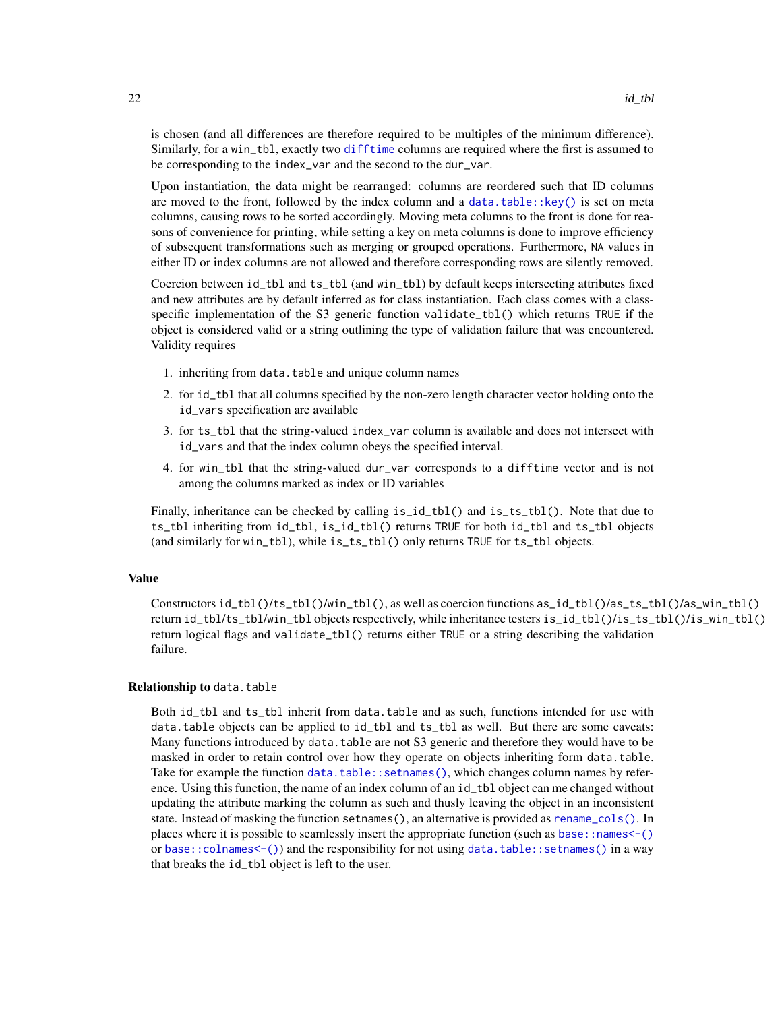is chosen (and all differences are therefore required to be multiples of the minimum difference). Similarly, for a win\_tbl, exactly two [difftime](#page-0-0) columns are required where the first is assumed to be corresponding to the index\_var and the second to the dur\_var.

Upon instantiation, the data might be rearranged: columns are reordered such that ID columns are moved to the front, followed by the index column and a data.table:: $key()$  is set on meta columns, causing rows to be sorted accordingly. Moving meta columns to the front is done for reasons of convenience for printing, while setting a key on meta columns is done to improve efficiency of subsequent transformations such as merging or grouped operations. Furthermore, NA values in either ID or index columns are not allowed and therefore corresponding rows are silently removed.

Coercion between id\_tbl and ts\_tbl (and win\_tbl) by default keeps intersecting attributes fixed and new attributes are by default inferred as for class instantiation. Each class comes with a classspecific implementation of the S3 generic function validate\_tbl() which returns TRUE if the object is considered valid or a string outlining the type of validation failure that was encountered. Validity requires

- 1. inheriting from data.table and unique column names
- 2. for id\_tbl that all columns specified by the non-zero length character vector holding onto the id\_vars specification are available
- 3. for ts\_tbl that the string-valued index\_var column is available and does not intersect with id\_vars and that the index column obeys the specified interval.
- 4. for win\_tbl that the string-valued dur\_var corresponds to a difftime vector and is not among the columns marked as index or ID variables

Finally, inheritance can be checked by calling is\_id\_tbl() and is\_ts\_tbl(). Note that due to ts\_tbl inheriting from id\_tbl, is\_id\_tbl() returns TRUE for both id\_tbl and ts\_tbl objects (and similarly for win\_tbl), while is\_ts\_tbl() only returns TRUE for ts\_tbl objects.

## Value

Constructors id\_tbl()/ts\_tbl()/win\_tbl(), as well as coercion functions as\_id\_tbl()/as\_ts\_tbl()/as\_win\_tbl() return id\_tbl/ts\_tbl/win\_tbl objects respectively, while inheritance testers is\_id\_tbl()/is\_ts\_tbl()/is\_win\_tbl() return logical flags and validate\_tbl() returns either TRUE or a string describing the validation failure.

## Relationship to data.table

Both id\_tbl and ts\_tbl inherit from data.table and as such, functions intended for use with data.table objects can be applied to id\_tbl and ts\_tbl as well. But there are some caveats: Many functions introduced by data.table are not S3 generic and therefore they would have to be masked in order to retain control over how they operate on objects inheriting form data.table. Take for example the function [data.table::setnames\(\)](#page-0-0), which changes column names by reference. Using this function, the name of an index column of an id\_tbl object can me changed without updating the attribute marking the column as such and thusly leaving the object in an inconsistent state. Instead of masking the function setnames(), an alternative is provided as [rename\\_cols\(\)](#page-56-2). In places where it is possible to seamlessly insert the appropriate function (such as [base::names<-\(\)](#page-0-0) or [base::colnames<-\(\)](#page-0-0)) and the responsibility for not using [data.table::setnames\(\)](#page-0-0) in a way that breaks the id\_tbl object is left to the user.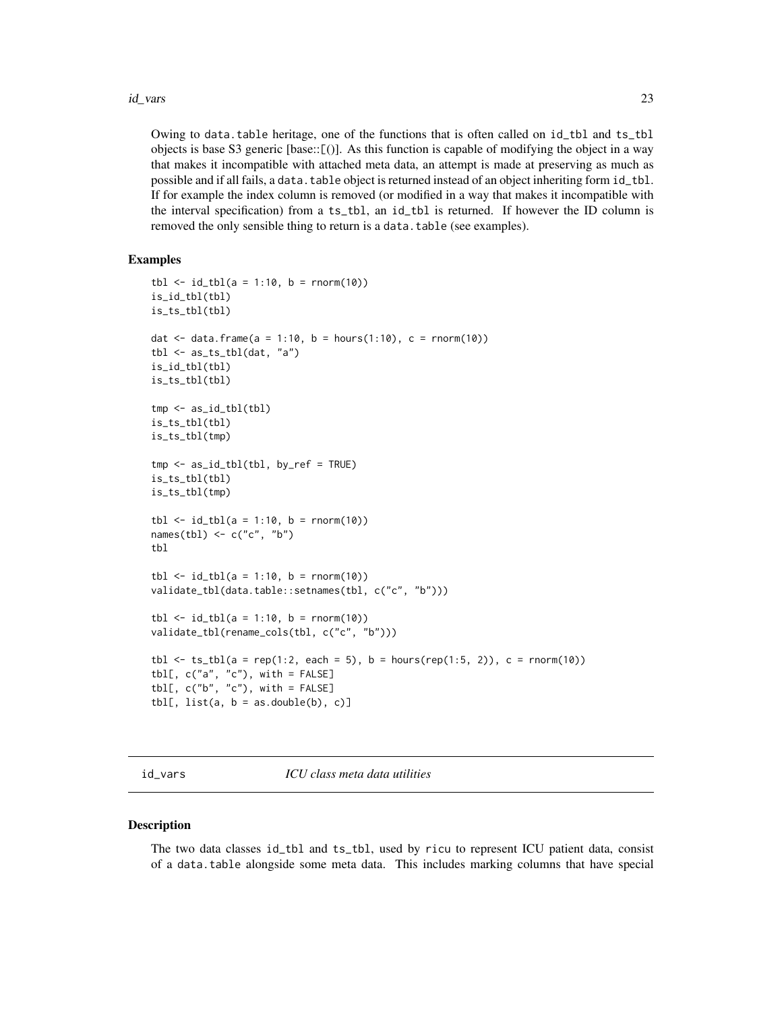#### <span id="page-22-0"></span>id\_vars 23

Owing to data.table heritage, one of the functions that is often called on id\_tbl and ts\_tbl objects is base S3 generic [base::[()]. As this function is capable of modifying the object in a way that makes it incompatible with attached meta data, an attempt is made at preserving as much as possible and if all fails, a data.table object is returned instead of an object inheriting form id\_tbl. If for example the index column is removed (or modified in a way that makes it incompatible with the interval specification) from a ts\_tbl, an id\_tbl is returned. If however the ID column is removed the only sensible thing to return is a data.table (see examples).

## Examples

```
tbl \le id_tbl(a = 1:10, b = rnorm(10))
is_id_tbl(tbl)
is_ts_tbl(tbl)
dat <- data.frame(a = 1:10, b = hours(1:10), c = rnorm(10))
tbl \leftarrow as_ts_tbl(data, "a")is_id_tbl(tbl)
is_ts_tbl(tbl)
tmp <- as_id_tbl(tbl)
is_ts_tbl(tbl)
is_ts_tbl(tmp)
tmp <- as_id_tbl(tbl, by_ref = TRUE)
is_ts_tbl(tbl)
is_ts_tbl(tmp)
tbl \leftarrow id_tbl(a = 1:10, b = rnorm(10))
names(tbl) <- c("c", "b")
tbl
tbl \leftarrow id_tbl(a = 1:10, b = rnorm(10))
validate_tbl(data.table::setnames(tbl, c("c", "b")))
tb1 < -id_tbl(a = 1:10, b = rnorm(10))validate_tbl(rename_cols(tbl, c("c", "b")))
tbl \le ts_tbl(a = rep(1:2, each = 5), b = hours(rep(1:5, 2)), c = rnorm(10))
tbl[, c("a", "c"), with = FALSE]tbl[, c("b", "c"), with = FALSE]
tbl[, list(a, b = as.double(b), c]]
```
<span id="page-22-1"></span>

#### <span id="page-22-2"></span>Description

The two data classes id\_tbl and ts\_tbl, used by ricu to represent ICU patient data, consist of a data.table alongside some meta data. This includes marking columns that have special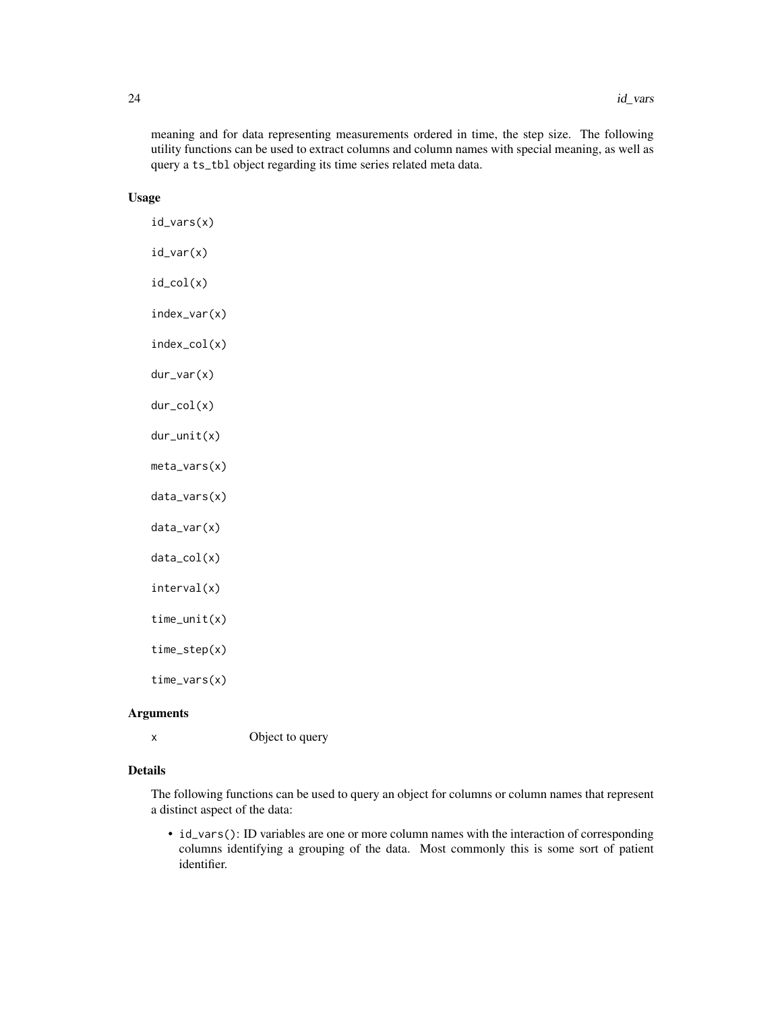meaning and for data representing measurements ordered in time, the step size. The following utility functions can be used to extract columns and column names with special meaning, as well as query a ts\_tbl object regarding its time series related meta data.

## Usage

| id_vars(x)       |
|------------------|
| $id_var(x)$      |
| $id_{col}(x)$    |
| $index\_var(x)$  |
| $index_{col(x)}$ |
| $dur_var(x)$     |
| $dur_col(x)$     |
| $dur\_unit(x)$   |
| meta_vars(x)     |
| $data_vars(x)$   |
| data_var(x)      |
| $data_col(x)$    |
| interval(x)      |
| $time\_unit(x)$  |
| $time\_step(x)$  |
| $time\_vars(x)$  |

## Arguments

x Object to query

## Details

The following functions can be used to query an object for columns or column names that represent a distinct aspect of the data:

• id\_vars(): ID variables are one or more column names with the interaction of corresponding columns identifying a grouping of the data. Most commonly this is some sort of patient identifier.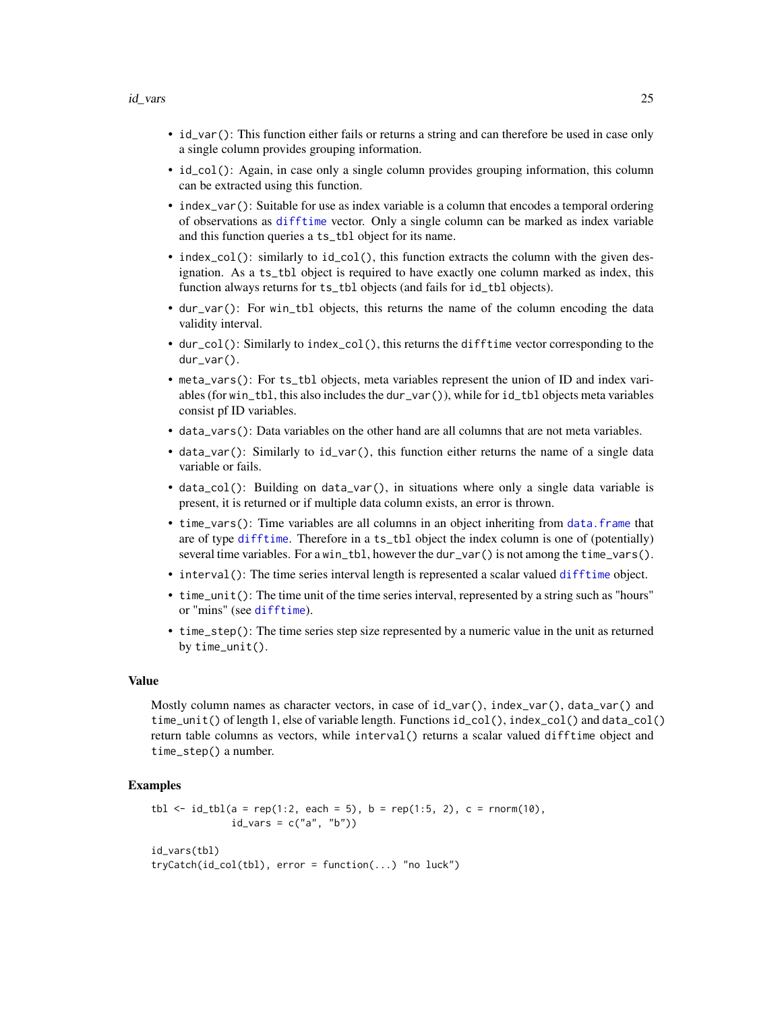- id\_var(): This function either fails or returns a string and can therefore be used in case only a single column provides grouping information.
- id\_col(): Again, in case only a single column provides grouping information, this column can be extracted using this function.
- index\_var(): Suitable for use as index variable is a column that encodes a temporal ordering of observations as [difftime](#page-0-0) vector. Only a single column can be marked as index variable and this function queries a ts\_tbl object for its name.
- index\_col(): similarly to id\_col(), this function extracts the column with the given designation. As a ts\_tbl object is required to have exactly one column marked as index, this function always returns for ts\_tbl objects (and fails for id\_tbl objects).
- dur\_var(): For win\_tbl objects, this returns the name of the column encoding the data validity interval.
- dur\_col(): Similarly to index\_col(), this returns the difftime vector corresponding to the dur\_var().
- meta\_vars(): For ts\_tbl objects, meta variables represent the union of ID and index variables (for win\_tbl, this also includes the dur\_var()), while for id\_tbl objects meta variables consist pf ID variables.
- data\_vars(): Data variables on the other hand are all columns that are not meta variables.
- data\_var(): Similarly to id\_var(), this function either returns the name of a single data variable or fails.
- data\_col(): Building on data\_var(), in situations where only a single data variable is present, it is returned or if multiple data column exists, an error is thrown.
- time\_vars(): Time variables are all columns in an object inheriting from [data.frame](#page-0-0) that are of type [difftime](#page-0-0). Therefore in a ts\_tbl object the index column is one of (potentially) several time variables. For a win\_tbl, however the dur\_var() is not among the time\_vars().
- interval(): The time series interval length is represented a scalar valued [difftime](#page-0-0) object.
- time\_unit(): The time unit of the time series interval, represented by a string such as "hours" or "mins" (see [difftime](#page-0-0)).
- time\_step(): The time series step size represented by a numeric value in the unit as returned by time\_unit().

## Value

Mostly column names as character vectors, in case of  $id\_\text{var}$  (), index\_var(), data\_var() and time\_unit() of length 1, else of variable length. Functions id\_col(), index\_col() and data\_col() return table columns as vectors, while interval() returns a scalar valued difftime object and time\_step() a number.

## Examples

```
tbl \le id_tbl(a = rep(1:2, each = 5), b = rep(1:5, 2), c = rnorm(10),
             id_{vars} = c("a", "b")id_vars(tbl)
tryCatch(id_col(tbl), error = function(...) "no luck")
```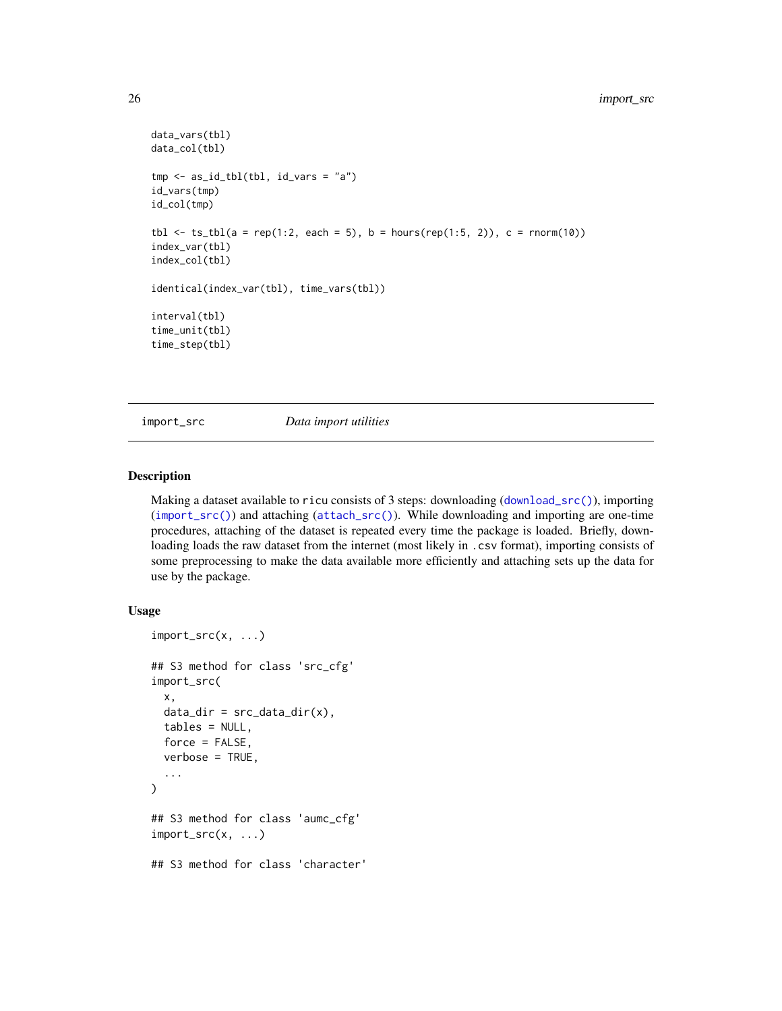```
data_vars(tbl)
data_col(tbl)
tmp \leftarrow as_id_tbl(tbl, id_vars = "a")id_vars(tmp)
id_col(tmp)
tbl \le ts_tbl(a = rep(1:2, each = 5), b = hours(rep(1:5, 2)), c = rnorm(10))
index_var(tbl)
index_col(tbl)
identical(index_var(tbl), time_vars(tbl))
interval(tbl)
time_unit(tbl)
time_step(tbl)
```
<span id="page-25-1"></span>import\_src *Data import utilities*

## Description

Making a dataset available to ricu consists of 3 steps: downloading ([download\\_src\(\)](#page-13-1)), importing ([import\\_src\(\)](#page-25-1)) and attaching ([attach\\_src\(\)](#page-1-1)). While downloading and importing are one-time procedures, attaching of the dataset is repeated every time the package is loaded. Briefly, downloading loads the raw dataset from the internet (most likely in .csv format), importing consists of some preprocessing to make the data available more efficiently and attaching sets up the data for use by the package.

## Usage

```
import_src(x, ...)
## S3 method for class 'src_cfg'
import_src(
 x,
 data\_dir = src\_data\_dir(x),
  tables = NULL,
 force = FALSE,verbose = TRUE,
  ...
\lambda## S3 method for class 'aumc_cfg'
import_src(x, ...)
## S3 method for class 'character'
```
<span id="page-25-0"></span>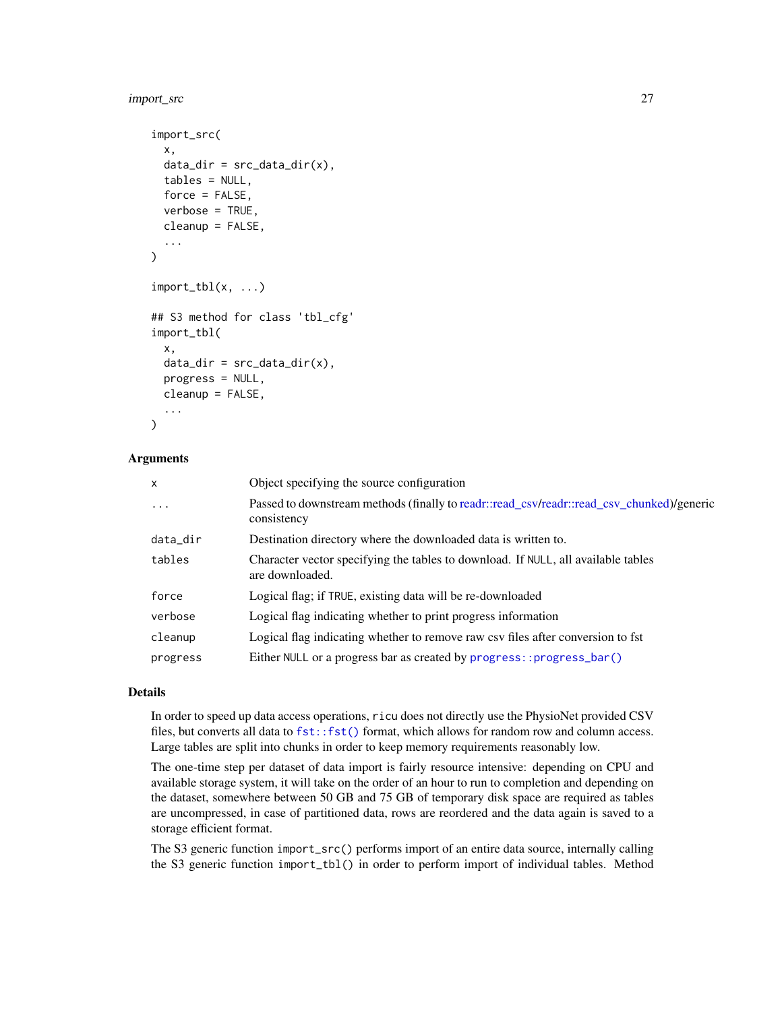## import\_src 27

```
import_src(
  x,
  data_dir = src_data_dir(x),
  tables = NULL,
  force = FALSE,
  verbose = TRUE,
  cleanup = FALSE,
  ...
)
import_tbl(x, ...)## S3 method for class 'tbl_cfg'
import_tbl(
 x,
  data\_dir = src\_data\_dir(x),
 progress = NULL,
 cleanup = FALSE,
  ...
\lambda
```
## **Arguments**

| x         | Object specifying the source configuration                                                               |
|-----------|----------------------------------------------------------------------------------------------------------|
| $\ddotsc$ | Passed to downstream methods (finally to readr::read_csv/readr::read_csv_chunked)/generic<br>consistency |
| data_dir  | Destination directory where the downloaded data is written to.                                           |
| tables    | Character vector specifying the tables to download. If NULL, all available tables<br>are downloaded.     |
| force     | Logical flag; if TRUE, existing data will be re-downloaded                                               |
| verbose   | Logical flag indicating whether to print progress information                                            |
| cleanup   | Logical flag indicating whether to remove raw csv files after conversion to fst                          |
| progress  | Either NULL or a progress bar as created by progress:: progress_bar()                                    |
|           |                                                                                                          |

#### Details

In order to speed up data access operations, ricu does not directly use the PhysioNet provided CSV files, but converts all data to  $fst:$ : fst() format, which allows for random row and column access. Large tables are split into chunks in order to keep memory requirements reasonably low.

The one-time step per dataset of data import is fairly resource intensive: depending on CPU and available storage system, it will take on the order of an hour to run to completion and depending on the dataset, somewhere between 50 GB and 75 GB of temporary disk space are required as tables are uncompressed, in case of partitioned data, rows are reordered and the data again is saved to a storage efficient format.

The S3 generic function import\_src() performs import of an entire data source, internally calling the S3 generic function import\_tbl() in order to perform import of individual tables. Method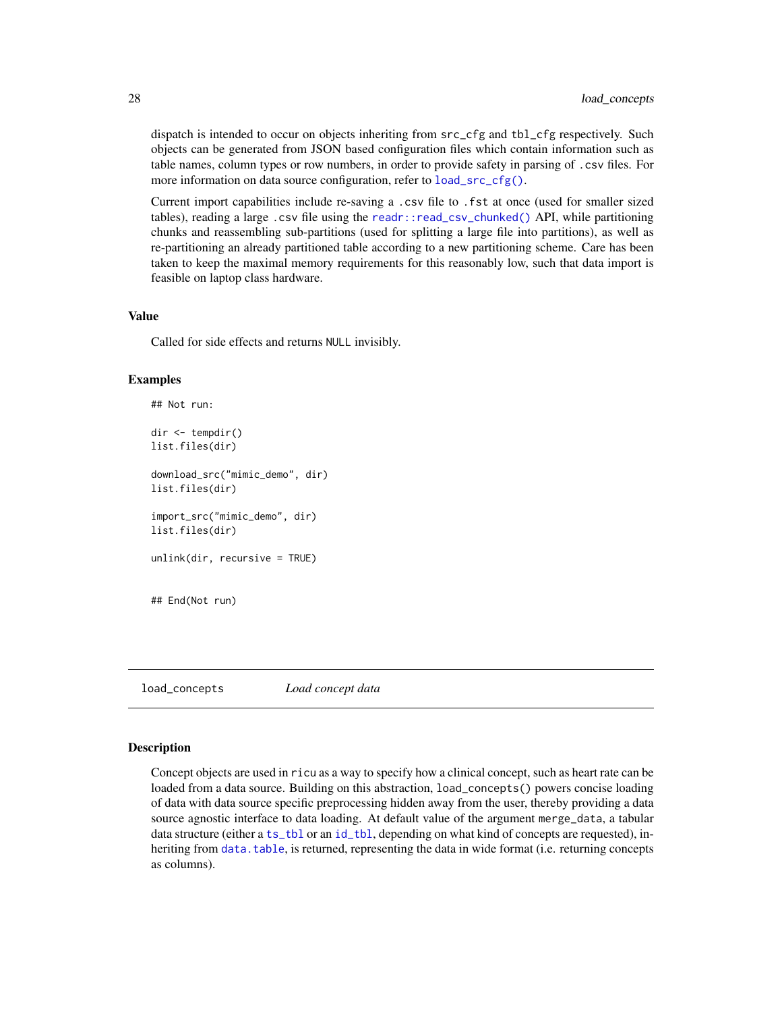dispatch is intended to occur on objects inheriting from  $src_cfg$  and  $tb_cfg$  respectively. Such objects can be generated from JSON based configuration files which contain information such as table names, column types or row numbers, in order to provide safety in parsing of .csv files. For more information on data source configuration, refer to [load\\_src\\_cfg\(\)](#page-41-1).

Current import capabilities include re-saving a .csv file to .fst at once (used for smaller sized tables), reading a large .csv file using the [readr::read\\_csv\\_chunked\(\)](#page-0-0) API, while partitioning chunks and reassembling sub-partitions (used for splitting a large file into partitions), as well as re-partitioning an already partitioned table according to a new partitioning scheme. Care has been taken to keep the maximal memory requirements for this reasonably low, such that data import is feasible on laptop class hardware.

#### Value

Called for side effects and returns NULL invisibly.

## Examples

```
## Not run:
dir <- tempdir()
list.files(dir)
download_src("mimic_demo", dir)
list.files(dir)
import_src("mimic_demo", dir)
list.files(dir)
unlink(dir, recursive = TRUE)
## End(Not run)
```
load\_concepts *Load concept data*

## **Description**

Concept objects are used in ricu as a way to specify how a clinical concept, such as heart rate can be loaded from a data source. Building on this abstraction, load\_concepts() powers concise loading of data with data source specific preprocessing hidden away from the user, thereby providing a data source agnostic interface to data loading. At default value of the argument merge\_data, a tabular data structure (either a [ts\\_tbl](#page-19-1) or an [id\\_tbl](#page-19-2), depending on what kind of concepts are requested), inheriting from [data.table](#page-0-0), is returned, representing the data in wide format (i.e. returning concepts as columns).

<span id="page-27-0"></span>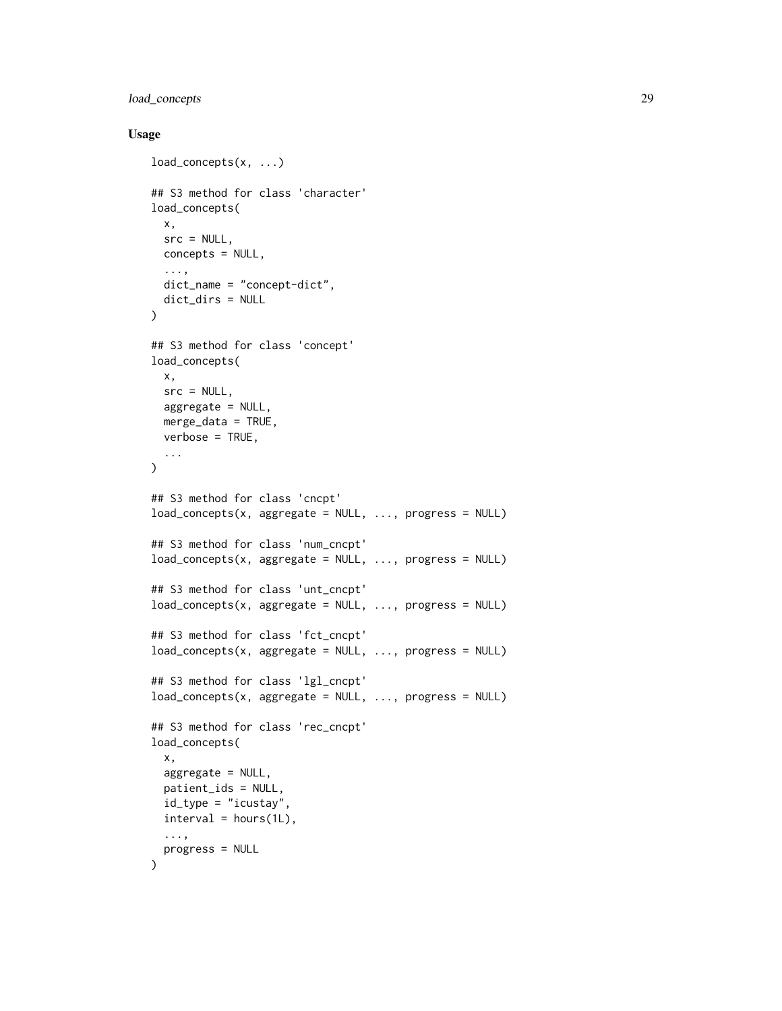## load\_concepts 29

## Usage

```
load_concepts(x, ...)
## S3 method for class 'character'
load_concepts(
 x,
 src = NULL,concepts = NULL,
  ...,
 dict_name = "concept-dict",
  dict_dirs = NULL
\lambda## S3 method for class 'concept'
load_concepts(
  x,
  src = NULL,aggregate = NULL,
 merge_data = TRUE,
 verbose = TRUE,
  ...
\mathcal{L}## S3 method for class 'cncpt'
load\_concepts(x, aggregate = NULL, ..., progress = NULL)## S3 method for class 'num_cncpt'
load\_concepts(x, aggregate = NULL, ..., progress = NULL)## S3 method for class 'unt_cncpt'
load\_concepts(x, aggregate = NULL, ..., progress = NULL)## S3 method for class 'fct_cncpt'
load\_concepts(x, aggregate = NULL, ..., progress = NULL)## S3 method for class 'lgl_cncpt'
load\_concepts(x, aggregate = NULL, ..., progress = NULL)## S3 method for class 'rec_cncpt'
load_concepts(
  x,
  aggregate = NULL,
  patient_ids = NULL,
 id_type = "icustay",
 interval = hours(1L),
  ...,
 progress = NULL
\mathcal{L}
```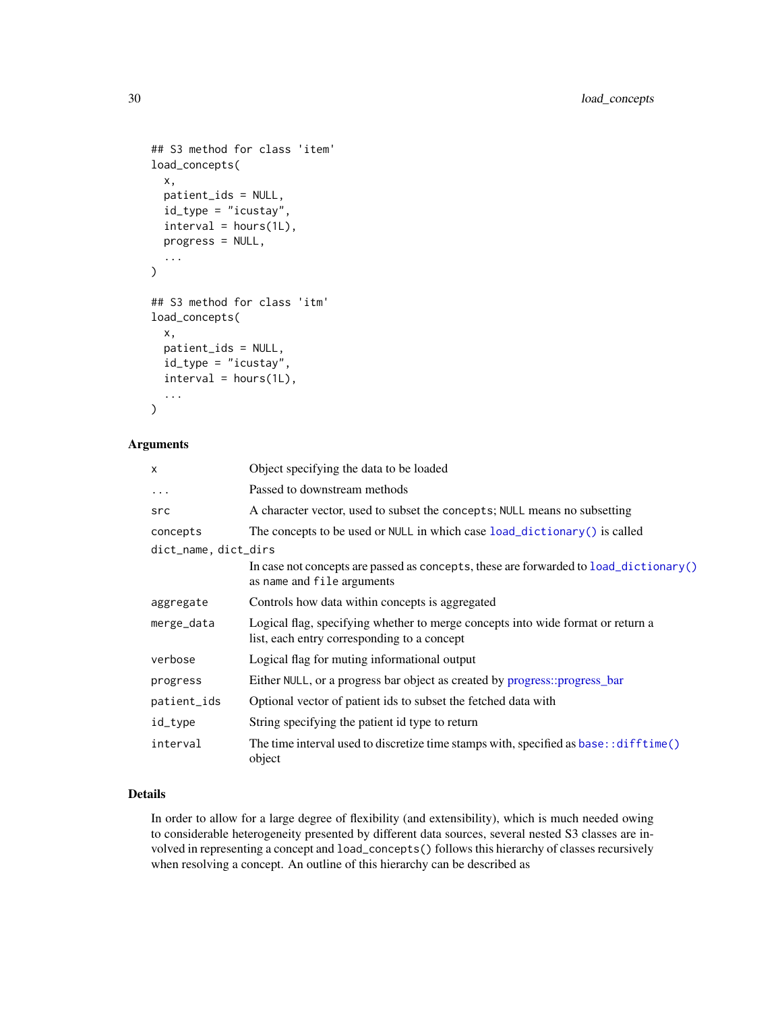```
## S3 method for class 'item'
load_concepts(
  x,
  patient_ids = NULL,
  id_type = "icustay",
  interval = hours(1L),
  progress = NULL,
  ...
\mathcal{L}## S3 method for class 'itm'
load_concepts(
  x,
  patient_ids = NULL,
  id_type = "icustay",
  interval = hours(1L),
  ...
\mathcal{L}
```
## Arguments

| X                    | Object specifying the data to be loaded                                                                                        |  |
|----------------------|--------------------------------------------------------------------------------------------------------------------------------|--|
| $\ddotsc$            | Passed to downstream methods                                                                                                   |  |
| src                  | A character vector, used to subset the concepts; NULL means no subsetting                                                      |  |
| concepts             | The concepts to be used or NULL in which case load_dictionary() is called                                                      |  |
| dict_name, dict_dirs |                                                                                                                                |  |
|                      | In case not concepts are passed as concepts, these are forwarded to $load\_dictionary()$<br>as name and file arguments         |  |
| aggregate            | Controls how data within concepts is aggregated                                                                                |  |
| merge_data           | Logical flag, specifying whether to merge concepts into wide format or return a<br>list, each entry corresponding to a concept |  |
| verbose              | Logical flag for muting informational output                                                                                   |  |
| progress             | Either NULL, or a progress bar object as created by progress::progress_bar                                                     |  |
| patient_ids          | Optional vector of patient ids to subset the fetched data with                                                                 |  |
| id_type              | String specifying the patient id type to return                                                                                |  |
| interval             | The time interval used to discretize time stamps with, specified as base: : difftime()<br>object                               |  |

## Details

In order to allow for a large degree of flexibility (and extensibility), which is much needed owing to considerable heterogeneity presented by different data sources, several nested S3 classes are involved in representing a concept and load\_concepts() follows this hierarchy of classes recursively when resolving a concept. An outline of this hierarchy can be described as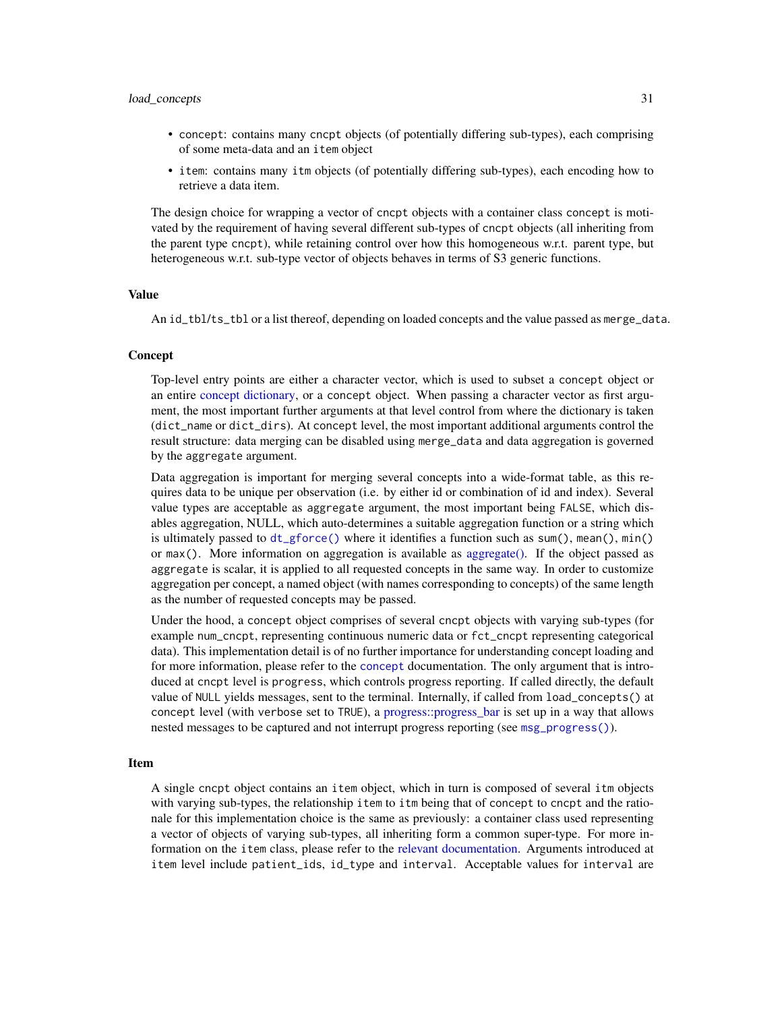#### load\_concepts 31

- concept: contains many cncpt objects (of potentially differing sub-types), each comprising of some meta-data and an item object
- item: contains many itm objects (of potentially differing sub-types), each encoding how to retrieve a data item.

The design choice for wrapping a vector of cncpt objects with a container class concept is motivated by the requirement of having several different sub-types of cncpt objects (all inheriting from the parent type cncpt), while retaining control over how this homogeneous w.r.t. parent type, but heterogeneous w.r.t. sub-type vector of objects behaves in terms of S3 generic functions.

## Value

An id\_tbl/ts\_tbl or a list thereof, depending on loaded concepts and the value passed as merge\_data.

## Concept

Top-level entry points are either a character vector, which is used to subset a concept object or an entire [concept dictionary,](#page-32-1) or a concept object. When passing a character vector as first argument, the most important further arguments at that level control from where the dictionary is taken (dict\_name or dict\_dirs). At concept level, the most important additional arguments control the result structure: data merging can be disabled using merge\_data and data aggregation is governed by the aggregate argument.

Data aggregation is important for merging several concepts into a wide-format table, as this requires data to be unique per observation (i.e. by either id or combination of id and index). Several value types are acceptable as aggregate argument, the most important being FALSE, which disables aggregation, NULL, which auto-determines a suitable aggregation function or a string which is ultimately passed to  $dt_g$  force() where it identifies a function such as sum(), mean(), min() or max(). More information on aggregation is available as [aggregate\(\).](#page-56-2) If the object passed as aggregate is scalar, it is applied to all requested concepts in the same way. In order to customize aggregation per concept, a named object (with names corresponding to concepts) of the same length as the number of requested concepts may be passed.

Under the hood, a concept object comprises of several cncpt objects with varying sub-types (for example num\_cncpt, representing continuous numeric data or fct\_cncpt representing categorical data). This implementation detail is of no further importance for understanding concept loading and for more information, please refer to the [concept](#page-47-1) documentation. The only argument that is introduced at cncpt level is progress, which controls progress reporting. If called directly, the default value of NULL yields messages, sent to the terminal. Internally, if called from load\_concepts() at concept level (with verbose set to TRUE), a [progress::progress\\_bar](#page-0-0) is set up in a way that allows nested messages to be captured and not interrupt progress reporting (see [msg\\_progress\(\)](#page-46-1)).

#### Item

A single cncpt object contains an item object, which in turn is composed of several itm objects with varying sub-types, the relationship item to itm being that of concept to cncpt and the rationale for this implementation choice is the same as previously: a container class used representing a vector of objects of varying sub-types, all inheriting form a common super-type. For more information on the item class, please refer to the [relevant documentation.](#page-50-1) Arguments introduced at item level include patient\_ids, id\_type and interval. Acceptable values for interval are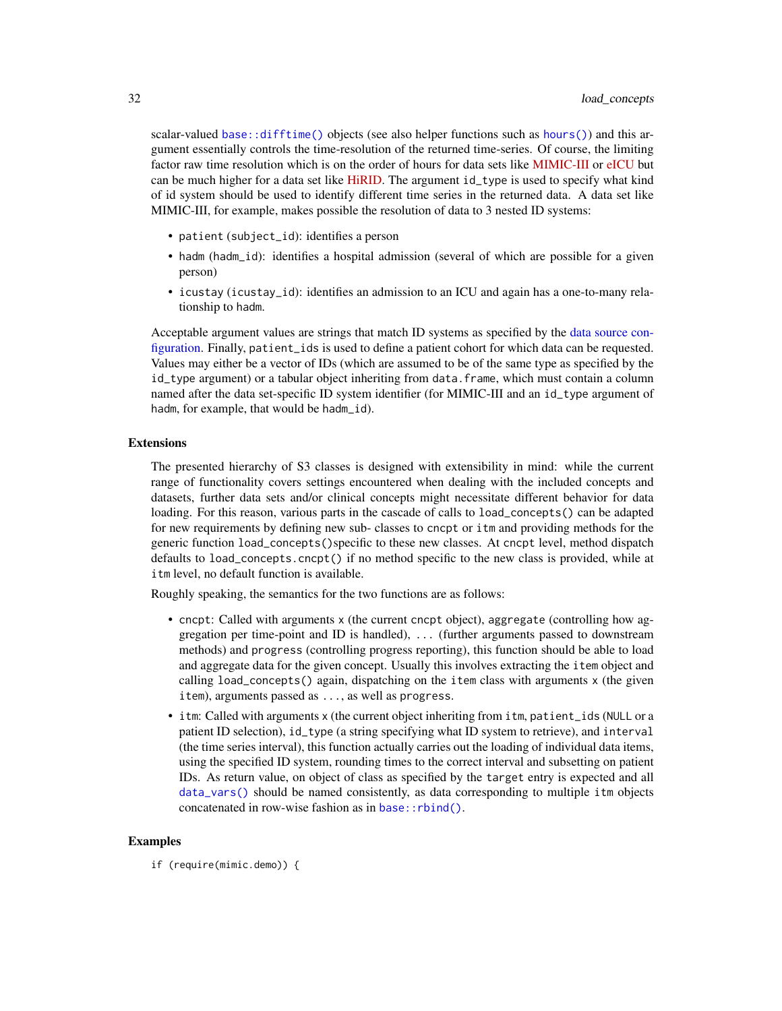scalar-valued [base::difftime\(\)](#page-0-0) objects (see also helper functions such as [hours\(\)](#page-60-1)) and this argument essentially controls the time-resolution of the returned time-series. Of course, the limiting factor raw time resolution which is on the order of hours for data sets like [MIMIC-III](https://physionet.org/content/mimiciii/) or [eICU](https://physionet.org/content/eicu-crd) but can be much higher for a data set like [HiRID.](https://physionet.org/content/hirid/) The argument id\_type is used to specify what kind of id system should be used to identify different time series in the returned data. A data set like MIMIC-III, for example, makes possible the resolution of data to 3 nested ID systems:

- patient (subject\_id): identifies a person
- hadm (hadm\_id): identifies a hospital admission (several of which are possible for a given person)
- icustay (icustay\_id): identifies an admission to an ICU and again has a one-to-many relationship to hadm.

Acceptable argument values are strings that match ID systems as specified by the [data source con](#page-41-1)[figuration.](#page-41-1) Finally, patient\_ids is used to define a patient cohort for which data can be requested. Values may either be a vector of IDs (which are assumed to be of the same type as specified by the id\_type argument) or a tabular object inheriting from data.frame, which must contain a column named after the data set-specific ID system identifier (for MIMIC-III and an id\_type argument of hadm, for example, that would be hadm\_id).

## Extensions

The presented hierarchy of S3 classes is designed with extensibility in mind: while the current range of functionality covers settings encountered when dealing with the included concepts and datasets, further data sets and/or clinical concepts might necessitate different behavior for data loading. For this reason, various parts in the cascade of calls to load\_concepts() can be adapted for new requirements by defining new sub- classes to cncpt or itm and providing methods for the generic function load\_concepts()specific to these new classes. At cncpt level, method dispatch defaults to load\_concepts.cncpt() if no method specific to the new class is provided, while at itm level, no default function is available.

Roughly speaking, the semantics for the two functions are as follows:

- cncpt: Called with arguments x (the current cncpt object), aggregate (controlling how aggregation per time-point and ID is handled), ... (further arguments passed to downstream methods) and progress (controlling progress reporting), this function should be able to load and aggregate data for the given concept. Usually this involves extracting the item object and calling load\_concepts() again, dispatching on the item class with arguments x (the given item), arguments passed as ..., as well as progress.
- itm: Called with arguments x (the current object inheriting from itm, patient\_ids (NULL or a patient ID selection), id\_type (a string specifying what ID system to retrieve), and interval (the time series interval), this function actually carries out the loading of individual data items, using the specified ID system, rounding times to the correct interval and subsetting on patient IDs. As return value, on object of class as specified by the target entry is expected and all [data\\_vars\(\)](#page-22-2) should be named consistently, as data corresponding to multiple itm objects concatenated in row-wise fashion as in [base::rbind\(\)](#page-0-0).

## Examples

if (require(mimic.demo)) {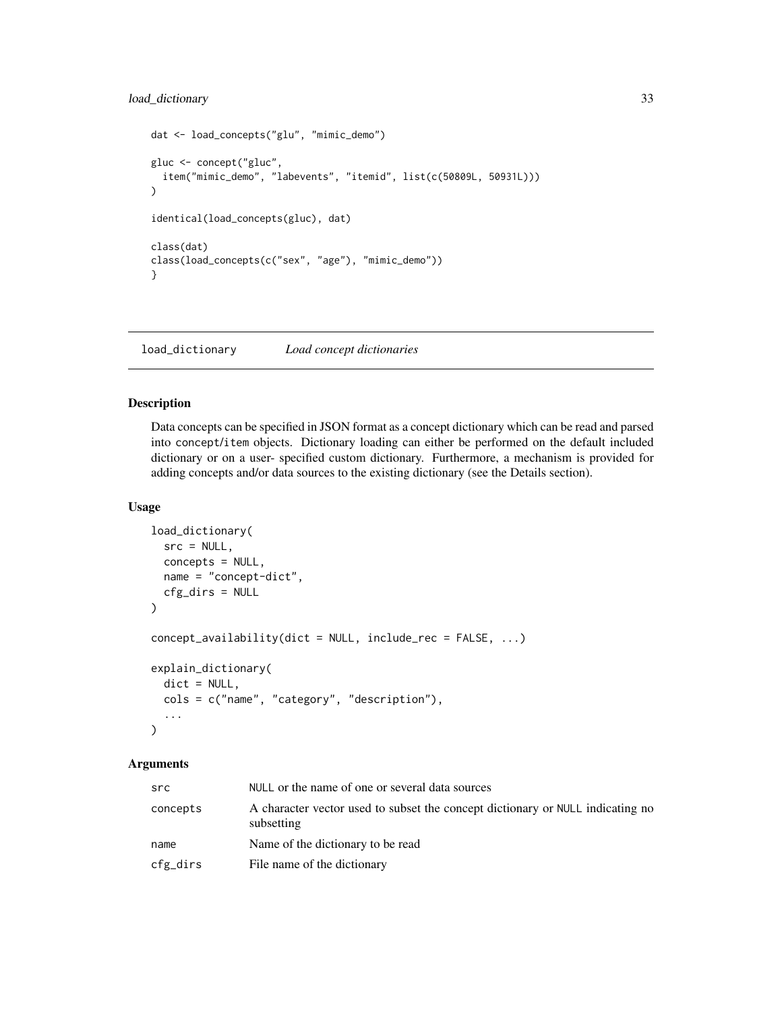## <span id="page-32-0"></span>load\_dictionary 33

```
dat <- load_concepts("glu", "mimic_demo")
gluc <- concept("gluc",
  item("mimic_demo", "labevents", "itemid", list(c(50809L, 50931L)))
\mathcal{L}identical(load_concepts(gluc), dat)
class(dat)
class(load_concepts(c("sex", "age"), "mimic_demo"))
}
```
<span id="page-32-1"></span>load\_dictionary *Load concept dictionaries*

## Description

Data concepts can be specified in JSON format as a concept dictionary which can be read and parsed into concept/item objects. Dictionary loading can either be performed on the default included dictionary or on a user- specified custom dictionary. Furthermore, a mechanism is provided for adding concepts and/or data sources to the existing dictionary (see the Details section).

#### Usage

```
load_dictionary(
  src = NULL,concepts = NULL,
  name = "concept-dict",
  cfg_dirs = NULL
\mathcal{L}concept_availability(dict = NULL, include_rec = FALSE, ...)
explain_dictionary(
  dict = NULL,
  cols = c("name", "category", "description"),
  ...
\mathcal{L}
```
## Arguments

| src      | NULL or the name of one or several data sources                                              |
|----------|----------------------------------------------------------------------------------------------|
| concepts | A character vector used to subset the concept dictionary or NULL indicating no<br>subsetting |
| name     | Name of the dictionary to be read                                                            |
| cfg_dirs | File name of the dictionary                                                                  |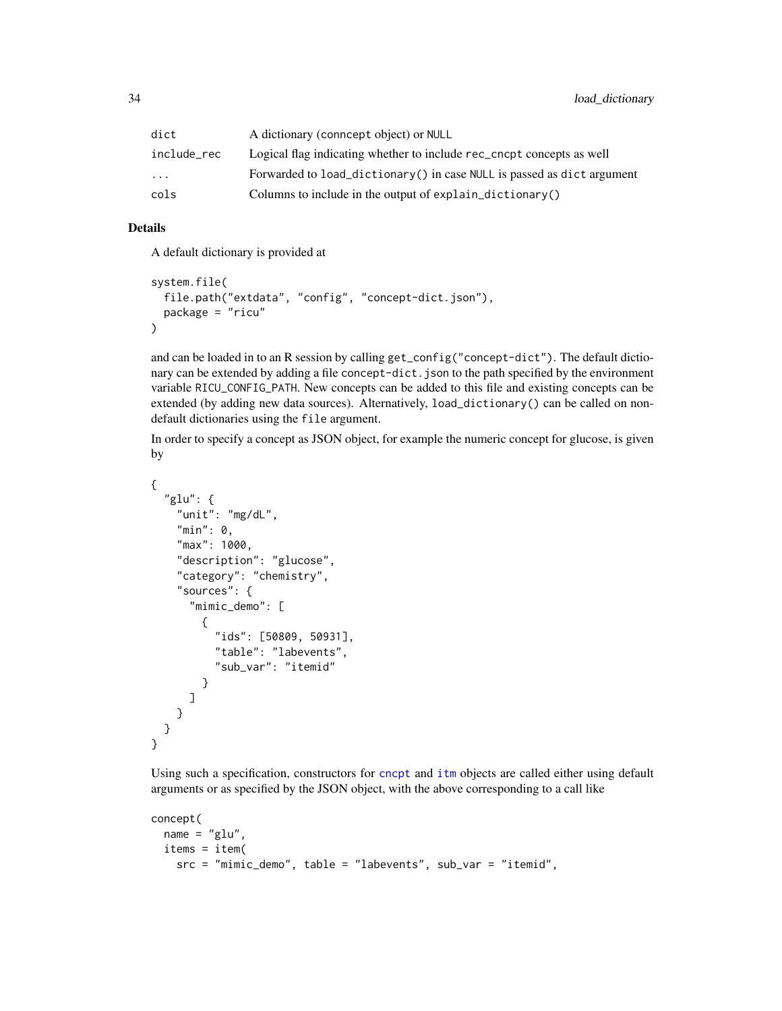| dict        | A dictionary (conneept object) or NULL                                 |
|-------------|------------------------------------------------------------------------|
| include_rec | Logical flag indicating whether to include rec_cncpt concepts as well  |
| .           | Forwarded to load_dictionary() in case NULL is passed as dict argument |
| cols        | Columns to include in the output of explain_dictionary()               |

#### Details

A default dictionary is provided at

```
system.file(
  file.path("extdata", "config", "concept-dict.json"),
  package = "ricu"
\mathcal{L}
```
and can be loaded in to an R session by calling get\_config("concept-dict"). The default dictionary can be extended by adding a file concept-dict.json to the path specified by the environment variable RICU\_CONFIG\_PATH. New concepts can be added to this file and existing concepts can be extended (by adding new data sources). Alternatively, load\_dictionary() can be called on nondefault dictionaries using the file argument.

In order to specify a concept as JSON object, for example the numeric concept for glucose, is given by

```
{
  "glu": {
    "unit": "mg/dL",
    "min": 0,
    "max": 1000,
    "description": "glucose",
    "category": "chemistry",
    "sources": {
      "mimic_demo": [
        {
          "ids": [50809, 50931],
          "table": "labevents",
          "sub_var": "itemid"
        }
      ]
    }
  }
}
```
Using such a specification, constructors for [cncpt](#page-47-2) and [itm](#page-50-2) objects are called either using default arguments or as specified by the JSON object, with the above corresponding to a call like

```
concept(
 name = "glu",items = item(
   src = "mimic_demo", table = "labevents", sub_var = "itemid",
```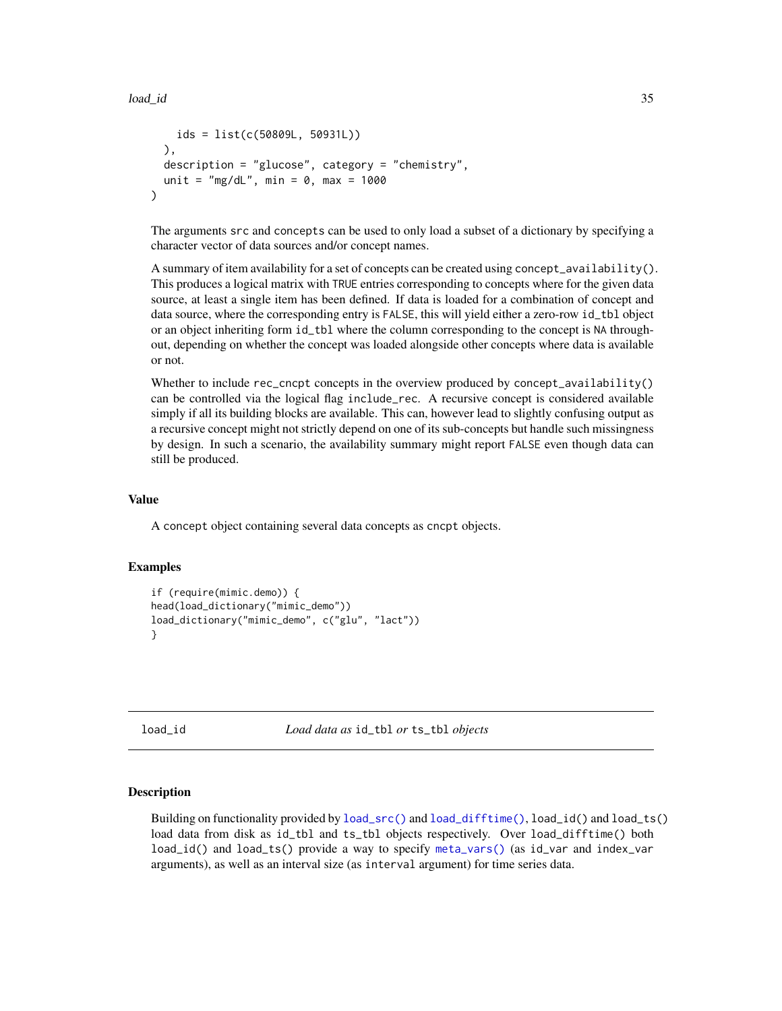```
ids = list(c(50809L, 50931L))
 ),
 description = "glucose", category = "chemistry",
 unit = "mg/dL", min = 0, max = 1000
)
```
The arguments src and concepts can be used to only load a subset of a dictionary by specifying a character vector of data sources and/or concept names.

A summary of item availability for a set of concepts can be created using concept\_availability(). This produces a logical matrix with TRUE entries corresponding to concepts where for the given data source, at least a single item has been defined. If data is loaded for a combination of concept and data source, where the corresponding entry is FALSE, this will yield either a zero-row id\_tbl object or an object inheriting form id\_tbl where the column corresponding to the concept is NA throughout, depending on whether the concept was loaded alongside other concepts where data is available or not.

Whether to include rec\_cncpt concepts in the overview produced by concept\_availability() can be controlled via the logical flag include\_rec. A recursive concept is considered available simply if all its building blocks are available. This can, however lead to slightly confusing output as a recursive concept might not strictly depend on one of its sub-concepts but handle such missingness by design. In such a scenario, the availability summary might report FALSE even though data can still be produced.

## Value

A concept object containing several data concepts as cncpt objects.

## Examples

```
if (require(mimic.demo)) {
head(load_dictionary("mimic_demo"))
load_dictionary("mimic_demo", c("glu", "lact"))
}
```
load\_id *Load data as* id\_tbl *or* ts\_tbl *objects*

## **Description**

Building on functionality provided by [load\\_src\(\)](#page-38-1) and [load\\_difftime\(\)](#page-38-2), load\_id() and load\_ts() load data from disk as id\_tbl and ts\_tbl objects respectively. Over load\_difftime() both load\_id() and load\_ts() provide a way to specify [meta\\_vars\(\)](#page-22-2) (as id\_var and index\_var arguments), as well as an interval size (as interval argument) for time series data.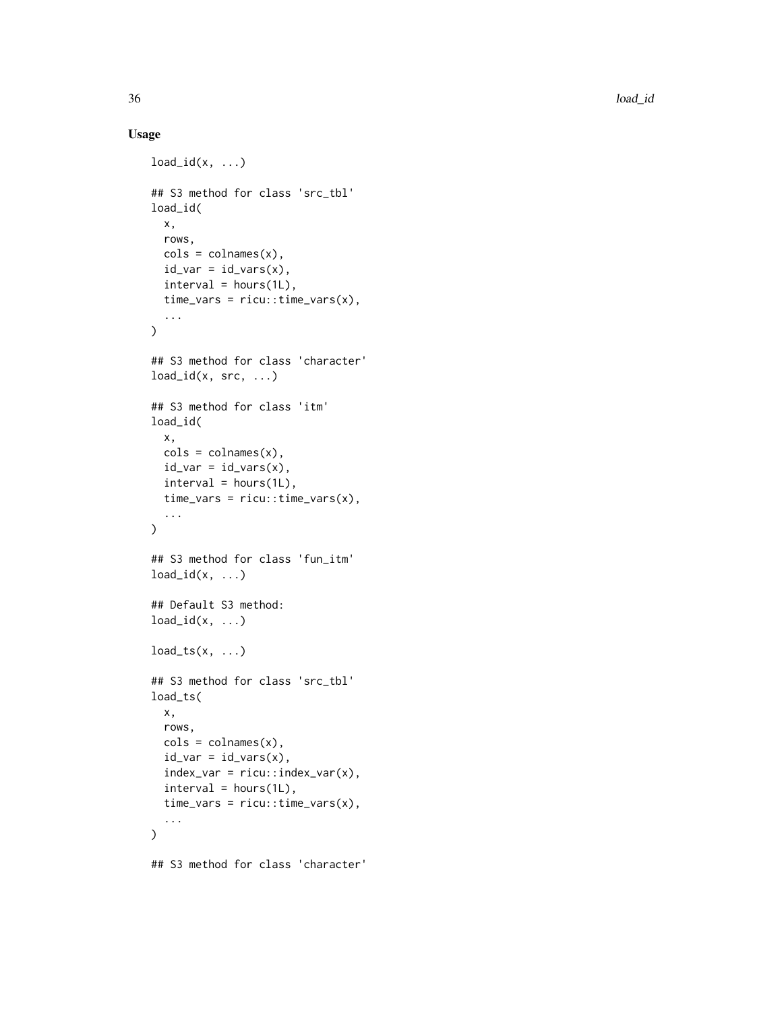## Usage

```
load_id(x, ...)## S3 method for class 'src_tbl'
load_id(
  x,
  rows,
  \text{cols} = \text{colnames}(x),
  id_{var} = id_{vars}(x),
  interval = hours(1L),
  time\_vars = ricu::time\_vars(x),
  ...
\mathcal{L}## S3 method for class 'character'
load_id(x, src, ...)## S3 method for class 'itm'
load_id(
  x,
  \text{cols} = \text{colnames}(x),
  id\_var = id\_vars(x),
  interval = hours(1L),
  time_vars = ricu::time_vars(x),
  ...
\mathcal{L}## S3 method for class 'fun_itm'
load_id(x, ...)## Default S3 method:
load_id(x, ...)load_{ts(x, \ldots)}## S3 method for class 'src_tbl'
load_ts(
  x,
  rows,
  \text{cols} = \text{colnames}(x),
  id\_var = id\_vars(x),
  index_var = ricu::index_var(x),
  interval = hours(1L),
  time_vars = ricu::time_vars(x),
  ...
\mathcal{L}## S3 method for class 'character'
```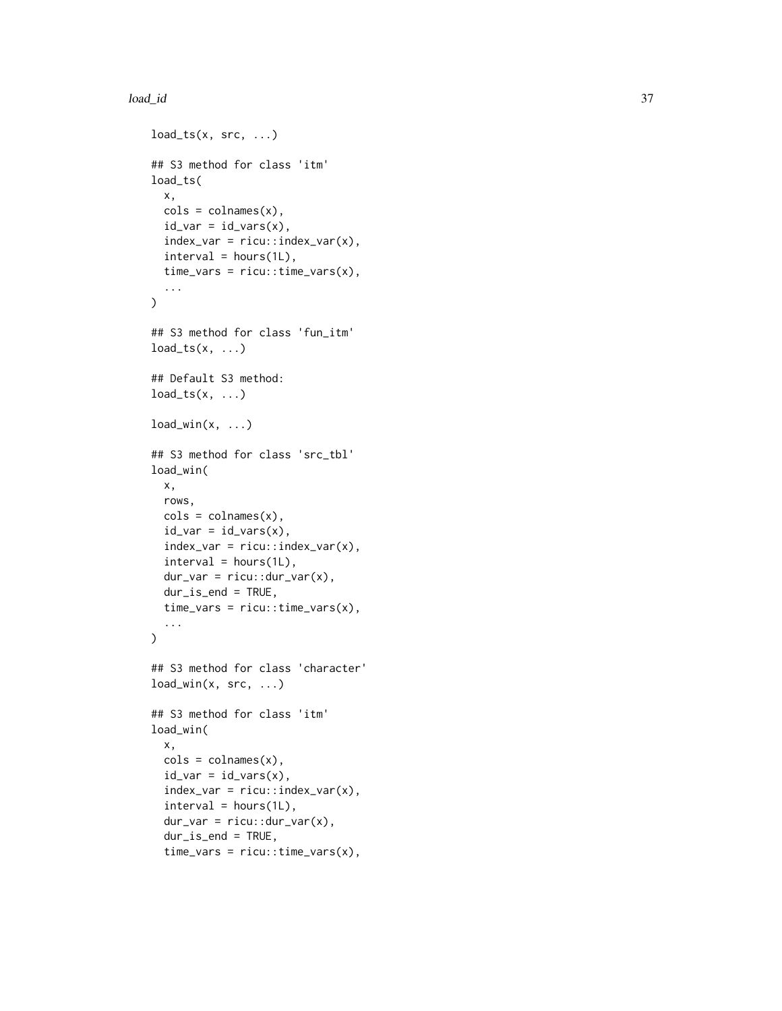## load\_id 37

```
load_t s(x, src, ...)## S3 method for class 'itm'
load_ts(
  x,
  \text{cols} = \text{colnames}(x),id\_var = id\_vars(x),
  index\_var = ricu::index\_var(x),
  interval = hours(1L),
  time\_vars = ricu::time\_vars(x),
  ...
\mathcal{L}## S3 method for class 'fun_itm'
load_{ts(x, \ldots)}## Default S3 method:
load_t s(x, \ldots)load\_win(x, ...)## S3 method for class 'src_tbl'
load_win(
  x,
  rows,
  \text{cols} = \text{colnames}(x),
  id\_var = id\_vars(x),
  index_var = ricu::index_var(x),
  interval = hours(1L),
  dur_{var} = ricu::dur_{var}(x),dur_is_end = TRUE,
  time\_vars = ricu::time\_vars(x),
  ...
\lambda## S3 method for class 'character'
load\_win(x, src, ...)## S3 method for class 'itm'
load_win(
  x,
  \text{cols} = \text{colnames}(x),
  id_{var} = id_{vars}(x),
  index\_var = ricu::index\_var(x),
  interval = hours(1L),
  dur_{var} = ricu::dur_{var}(x),dur_is_end = TRUE,
  time\_vars = ricu::time\_vars(x),
```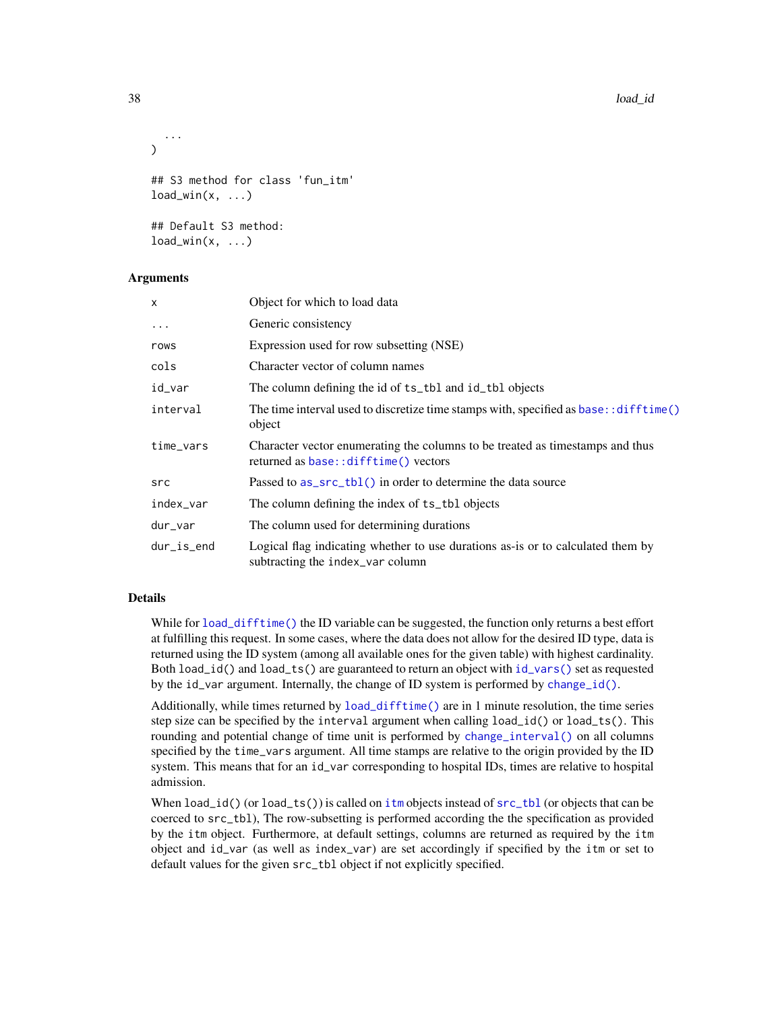```
...
)
## S3 method for class 'fun_itm'
load\_win(x, ...)## Default S3 method:
load\_win(x, ...)
```
#### Arguments

| X          | Object for which to load data                                                                                         |
|------------|-----------------------------------------------------------------------------------------------------------------------|
| $\ddots$   | Generic consistency                                                                                                   |
| rows       | Expression used for row subsetting (NSE)                                                                              |
| cols       | Character vector of column names                                                                                      |
| id_var     | The column defining the id of ts_tbl and id_tbl objects                                                               |
| interval   | The time interval used to discretize time stamps with, specified as base: : difftime()<br>object                      |
| time_vars  | Character vector enumerating the columns to be treated as timestamps and thus<br>returned as base::difftime() vectors |
| src        | Passed to as_src_tbl() in order to determine the data source                                                          |
| index_var  | The column defining the index of ts_tb1 objects                                                                       |
| dur_var    | The column used for determining durations                                                                             |
| dur_is_end | Logical flag indicating whether to use durations as-is or to calculated them by<br>subtracting the index_var column   |

# Details

While for [load\\_difftime\(\)](#page-38-0) the ID variable can be suggested, the function only returns a best effort at fulfilling this request. In some cases, where the data does not allow for the desired ID type, data is returned using the ID system (among all available ones for the given table) with highest cardinality. Both load\_id() and load\_ts() are guaranteed to return an object with [id\\_vars\(\)](#page-22-0) set as requested by the id\_var argument. Internally, the change of ID system is performed by [change\\_id\(\)](#page-4-0).

Additionally, while times returned by [load\\_difftime\(\)](#page-38-0) are in 1 minute resolution, the time series step size can be specified by the interval argument when calling load  $id()$  or load  $ts()$ . This rounding and potential change of time unit is performed by [change\\_interval\(\)](#page-56-0) on all columns specified by the time\_vars argument. All time stamps are relative to the origin provided by the ID system. This means that for an id\_var corresponding to hospital IDs, times are relative to hospital admission.

When load\_id() (or load\_ts()) is called on [itm](#page-50-0) objects instead of  $src\_th$  (or objects that can be coerced to src\_tbl), The row-subsetting is performed according the the specification as provided by the itm object. Furthermore, at default settings, columns are returned as required by the itm object and id\_var (as well as index\_var) are set accordingly if specified by the itm or set to default values for the given src\_tbl object if not explicitly specified.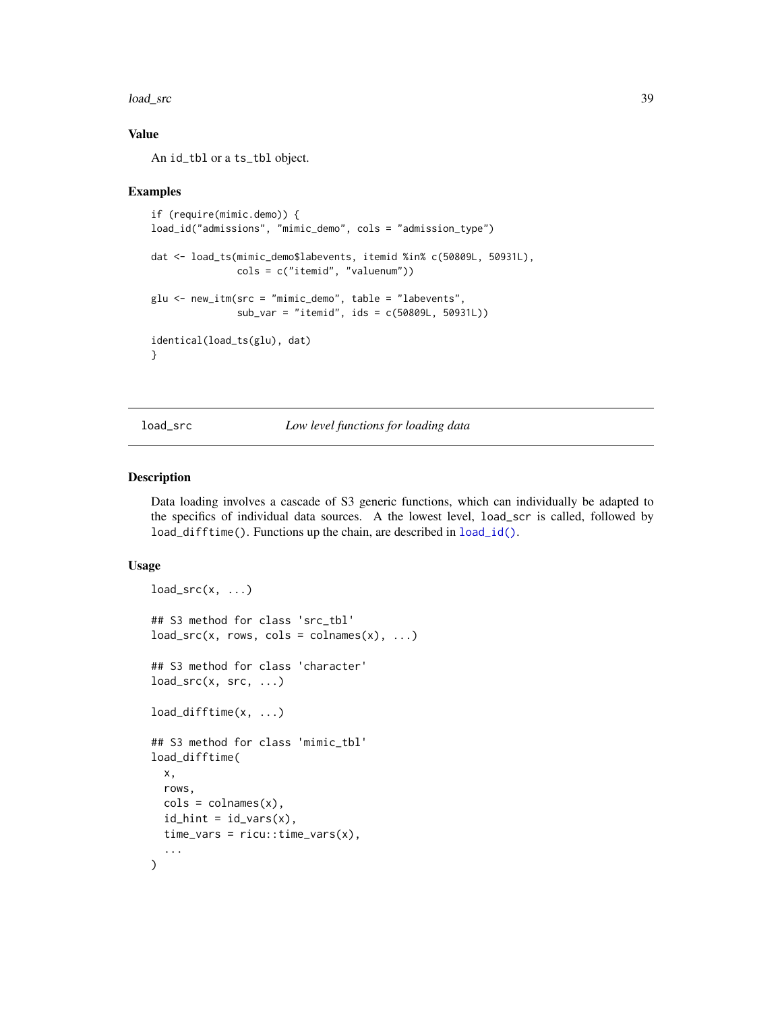load\_src 39

# Value

An id\_tbl or a ts\_tbl object.

#### Examples

```
if (require(mimic.demo)) {
load_id("admissions", "mimic_demo", cols = "admission_type")
dat <- load_ts(mimic_demo$labevents, itemid %in% c(50809L, 50931L),
              cols = c("itemid", "valuenum"))
glu <- new_itm(src = "mimic_demo", table = "labevents",
               sub_var = "itemid", ids = c(50809L, 50931L))
identical(load_ts(glu), dat)
}
```
load\_src *Low level functions for loading data*

#### <span id="page-38-0"></span>Description

Data loading involves a cascade of S3 generic functions, which can individually be adapted to the specifics of individual data sources. A the lowest level, load\_scr is called, followed by load\_difftime(). Functions up the chain, are described in [load\\_id\(\)](#page-34-0).

#### Usage

```
load\_src(x, ...)## S3 method for class 'src_tbl'
load\_src(x, rows, \text{cols} = \text{colnames}(x), ...)## S3 method for class 'character'
load\_src(x, src, ...)load_difftime(x, ...)
## S3 method for class 'mimic_tbl'
load_difftime(
  x,
  rows,
  \text{cols} = \text{colnames}(x),
  id\_hint = id\_vars(x),
  time_vars = ricu::time_vars(x),
  ...
)
```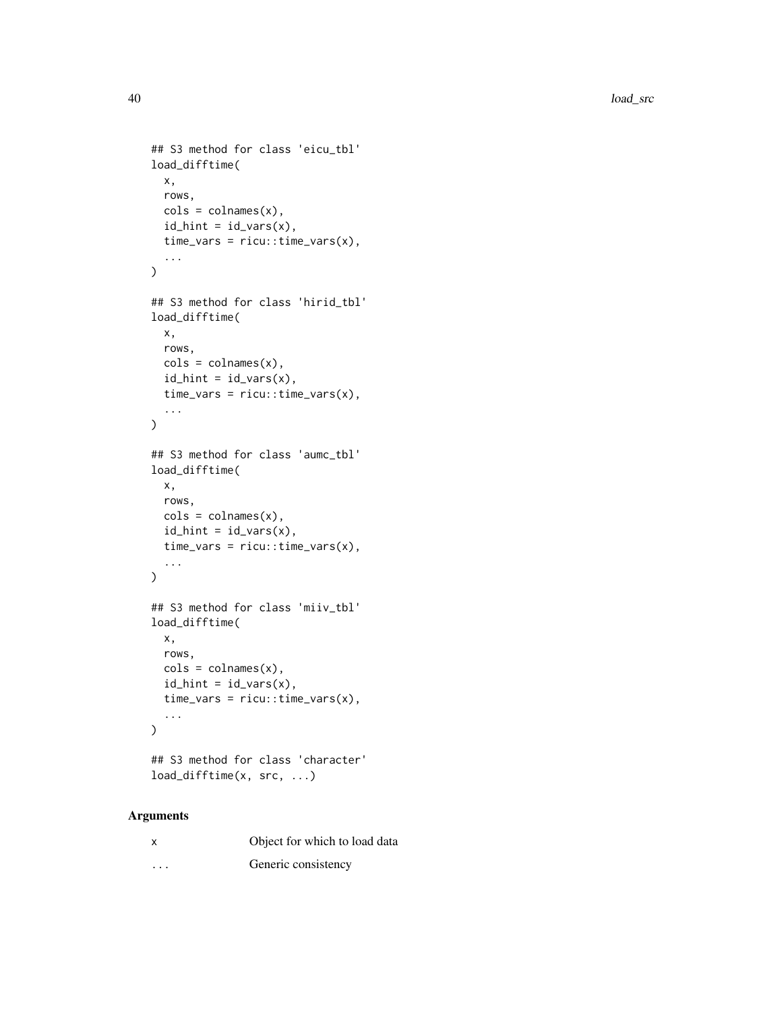```
## S3 method for class 'eicu_tbl'
load_difftime(
  x,
  rows,
  \text{cols} = \text{colnames}(x),id\_hint = id\_vars(x),
  time\_vars = ricu::time\_vars(x),
  ...
)
## S3 method for class 'hirid_tbl'
load_difftime(
  x,
  rows,
  \text{cols} = \text{colnames}(x),
  id\_hint = id\_vars(x),
  time\_vars = ricu::time\_vars(x),
  ...
\mathcal{L}## S3 method for class 'aumc_tbl'
load_difftime(
  x,
  rows,
  \text{cols} = \text{colnames}(x),
  id\_hint = id\_vars(x),
  time_vars = ricu::time_vars(x),
  ...
)
## S3 method for class 'miiv_tbl'
load_difftime(
  x,
  rows,
  \text{cols} = \text{colnames}(x),
  id\_hint = id\_vars(x),
  time_vars = ricu::time_vars(x),
  ...
\mathcal{L}## S3 method for class 'character'
```
# load\_difftime(x, src, ...)

| X        | Object for which to load data |
|----------|-------------------------------|
| $\cdots$ | Generic consistency           |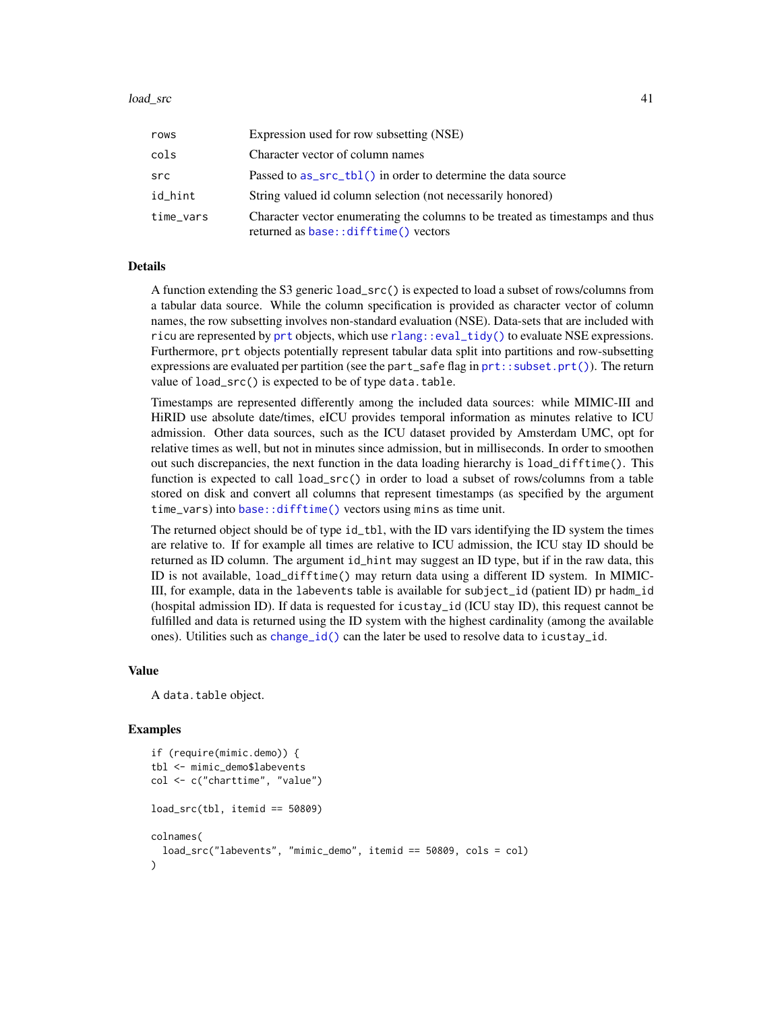#### load\_src 41

| rows      | Expression used for row subsetting (NSE)                                                                              |
|-----------|-----------------------------------------------------------------------------------------------------------------------|
| cols      | Character vector of column names                                                                                      |
| src       | Passed to as_src_tbl() in order to determine the data source                                                          |
| id_hint   | String valued id column selection (not necessarily honored)                                                           |
| time_vars | Character vector enumerating the columns to be treated as timestamps and thus<br>returned as base::difftime() vectors |

#### Details

A function extending the S3 generic load\_src() is expected to load a subset of rows/columns from a tabular data source. While the column specification is provided as character vector of column names, the row subsetting involves non-standard evaluation (NSE). Data-sets that are included with ricu are represented by [prt](#page-0-0) objects, which use [rlang::eval\\_tidy\(\)](#page-0-0) to evaluate NSE expressions. Furthermore, prt objects potentially represent tabular data split into partitions and row-subsetting expressions are evaluated per partition (see the part\_safe flag in  $prt$ : subset.prt()). The return value of load\_src() is expected to be of type data.table.

Timestamps are represented differently among the included data sources: while MIMIC-III and HiRID use absolute date/times, eICU provides temporal information as minutes relative to ICU admission. Other data sources, such as the ICU dataset provided by Amsterdam UMC, opt for relative times as well, but not in minutes since admission, but in milliseconds. In order to smoothen out such discrepancies, the next function in the data loading hierarchy is load\_difftime(). This function is expected to call load\_src() in order to load a subset of rows/columns from a table stored on disk and convert all columns that represent timestamps (as specified by the argument time\_vars) into [base::difftime\(\)](#page-0-0) vectors using mins as time unit.

The returned object should be of type id\_tbl, with the ID vars identifying the ID system the times are relative to. If for example all times are relative to ICU admission, the ICU stay ID should be returned as ID column. The argument id\_hint may suggest an ID type, but if in the raw data, this ID is not available, load\_difftime() may return data using a different ID system. In MIMIC-III, for example, data in the labevents table is available for subject\_id (patient ID) pr hadm\_id (hospital admission ID). If data is requested for icustay\_id (ICU stay ID), this request cannot be fulfilled and data is returned using the ID system with the highest cardinality (among the available ones). Utilities such as [change\\_id\(\)](#page-4-0) can the later be used to resolve data to icustay\_id.

#### Value

A data.table object.

#### Examples

```
if (require(mimic.demo)) {
tbl <- mimic_demo$labevents
col <- c("charttime", "value")
load\_src(tbl, itemid == 50809)colnames(
 load_src("labevents", "mimic_demo", itemid == 50809, cols = col)
)
```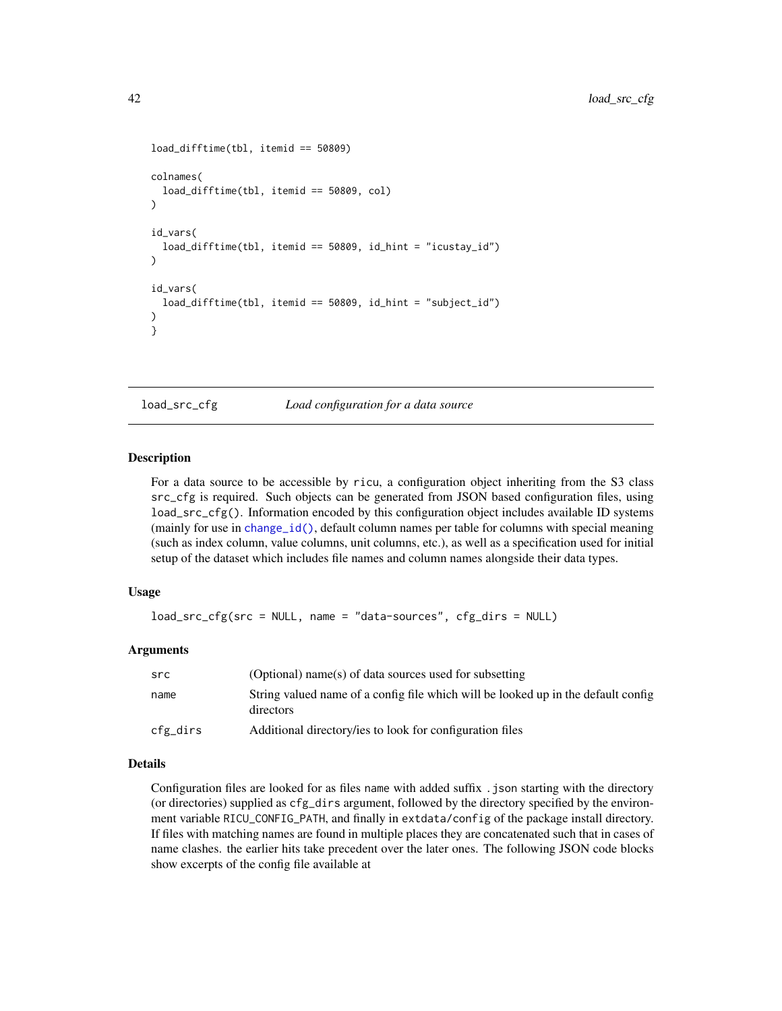```
load_difftime(tbl, itemid == 50809)
colnames(
 load_difftime(tbl, itemid == 50809, col)
)
id_vars(
 load_difftime(tbl, itemid == 50809, id_hint = "icustay_id")
\lambdaid_vars(
 load_difftime(tbl, itemid == 50809, id_hint = "subject_id")
)
}
```
<span id="page-41-0"></span>

load\_src\_cfg *Load configuration for a data source*

#### **Description**

For a data source to be accessible by ricu, a configuration object inheriting from the S3 class src\_cfg is required. Such objects can be generated from JSON based configuration files, using load\_src\_cfg(). Information encoded by this configuration object includes available ID systems (mainly for use in [change\\_id\(\)](#page-4-0), default column names per table for columns with special meaning (such as index column, value columns, unit columns, etc.), as well as a specification used for initial setup of the dataset which includes file names and column names alongside their data types.

#### Usage

```
load_src_cfg(src = NULL, name = "data-sources", cfg_dirs = NULL)
```
#### Arguments

| src      | (Optional) name(s) of data sources used for subsetting                                         |
|----------|------------------------------------------------------------------------------------------------|
| name     | String valued name of a config file which will be looked up in the default config<br>directors |
| cfg_dirs | Additional directory/ies to look for configuration files                                       |

## Details

Configuration files are looked for as files name with added suffix . json starting with the directory (or directories) supplied as cfg\_dirs argument, followed by the directory specified by the environment variable RICU\_CONFIG\_PATH, and finally in extdata/config of the package install directory. If files with matching names are found in multiple places they are concatenated such that in cases of name clashes. the earlier hits take precedent over the later ones. The following JSON code blocks show excerpts of the config file available at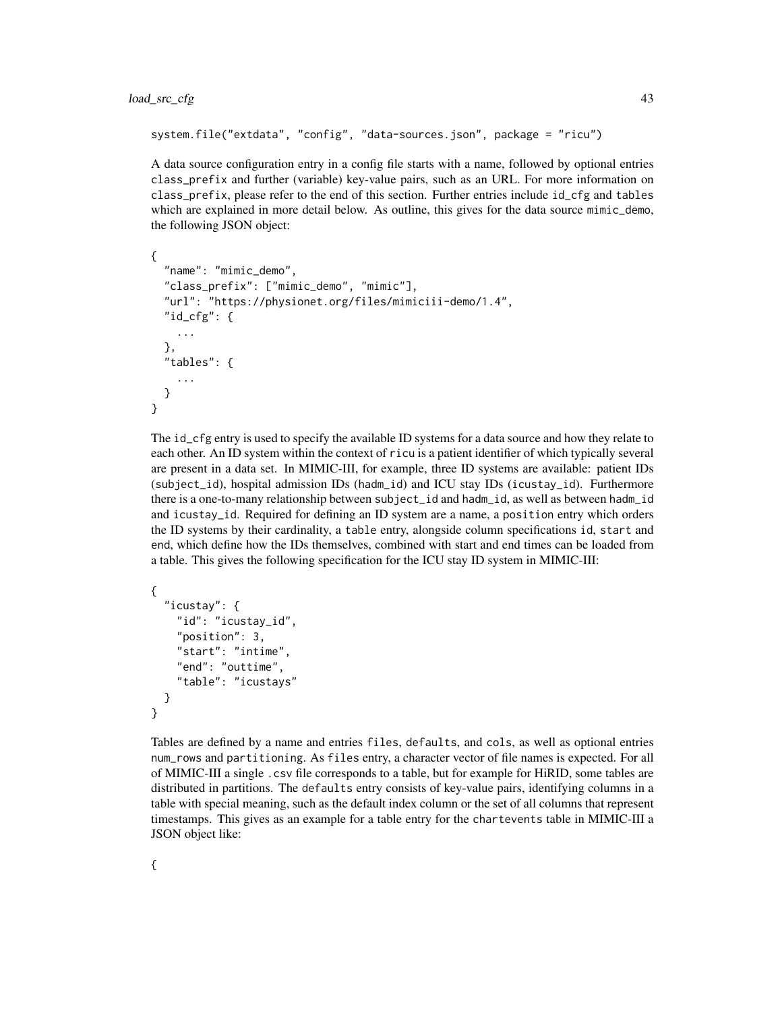```
system.file("extdata", "config", "data-sources.json", package = "ricu")
```
A data source configuration entry in a config file starts with a name, followed by optional entries class\_prefix and further (variable) key-value pairs, such as an URL. For more information on class\_prefix, please refer to the end of this section. Further entries include id\_cfg and tables which are explained in more detail below. As outline, this gives for the data source mimic\_demo, the following JSON object:

```
{
  "name": "mimic_demo",
  "class_prefix": ["mimic_demo", "mimic"],
  "url": "https://physionet.org/files/mimiciii-demo/1.4",
  "id_cfg": {
    ...
  },
  "tables": {
    ...
  }
}
```
The id\_cfg entry is used to specify the available ID systems for a data source and how they relate to each other. An ID system within the context of ricu is a patient identifier of which typically several are present in a data set. In MIMIC-III, for example, three ID systems are available: patient IDs (subject\_id), hospital admission IDs (hadm\_id) and ICU stay IDs (icustay\_id). Furthermore there is a one-to-many relationship between subject\_id and hadm\_id, as well as between hadm\_id and icustay\_id. Required for defining an ID system are a name, a position entry which orders the ID systems by their cardinality, a table entry, alongside column specifications id, start and end, which define how the IDs themselves, combined with start and end times can be loaded from a table. This gives the following specification for the ICU stay ID system in MIMIC-III:

```
{
  "icustay": {
    "id": "icustay_id",
    "position": 3,
    "start": "intime",
    "end": "outtime",
    "table": "icustays"
  }
}
```
Tables are defined by a name and entries files, defaults, and cols, as well as optional entries num\_rows and partitioning. As files entry, a character vector of file names is expected. For all of MIMIC-III a single .csv file corresponds to a table, but for example for HiRID, some tables are distributed in partitions. The defaults entry consists of key-value pairs, identifying columns in a table with special meaning, such as the default index column or the set of all columns that represent timestamps. This gives as an example for a table entry for the chartevents table in MIMIC-III a JSON object like: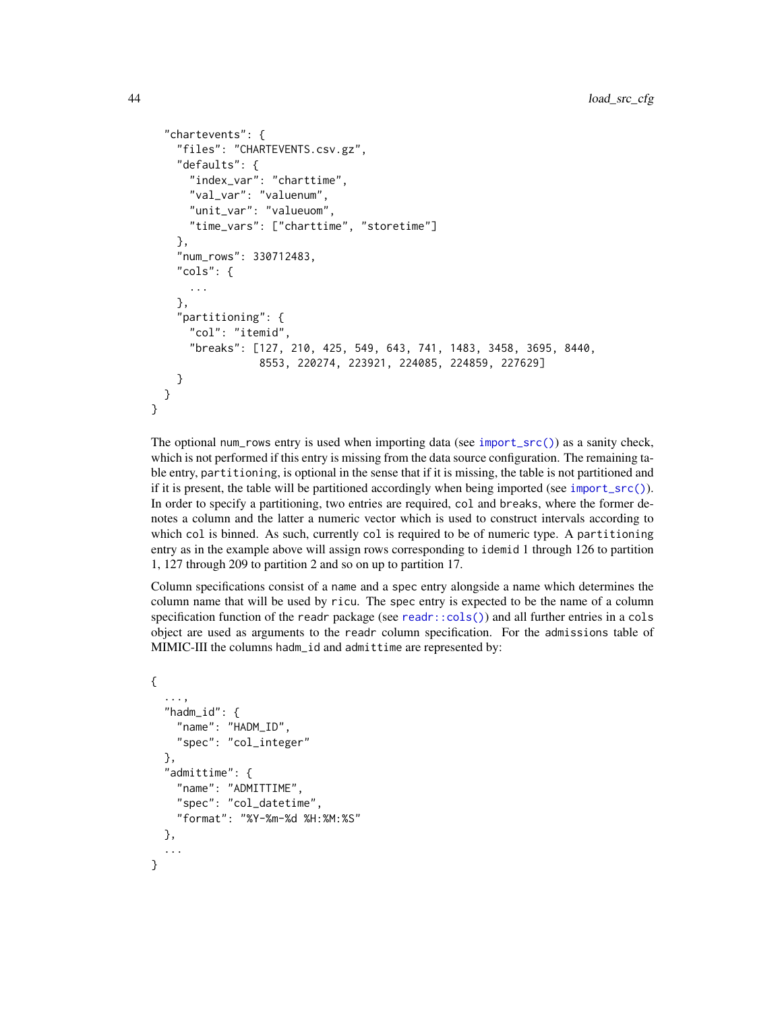```
"chartevents": {
    "files": "CHARTEVENTS.csv.gz",
    "defaults": {
      "index_var": "charttime",
      "val_var": "valuenum",
      "unit_var": "valueuom",
     "time_vars": ["charttime", "storetime"]
    },
    "num_rows": 330712483,
    "cols": {
     ...
    },
    "partitioning": {
     "col": "itemid",
      "breaks": [127, 210, 425, 549, 643, 741, 1483, 3458, 3695, 8440,
                 8553, 220274, 223921, 224085, 224859, 227629]
   }
 }
}
```
The optional num\_rows entry is used when importing data (see [import\\_src\(\)](#page-25-0)) as a sanity check, which is not performed if this entry is missing from the data source configuration. The remaining table entry, partitioning, is optional in the sense that if it is missing, the table is not partitioned and if it is present, the table will be partitioned accordingly when being imported (see [import\\_src\(\)](#page-25-0)). In order to specify a partitioning, two entries are required, col and breaks, where the former denotes a column and the latter a numeric vector which is used to construct intervals according to which col is binned. As such, currently col is required to be of numeric type. A partitioning entry as in the example above will assign rows corresponding to idemid 1 through 126 to partition 1, 127 through 209 to partition 2 and so on up to partition 17.

Column specifications consist of a name and a spec entry alongside a name which determines the column name that will be used by ricu. The spec entry is expected to be the name of a column specification function of the readr package (see [readr::cols\(\)](#page-0-0)) and all further entries in a cols object are used as arguments to the readr column specification. For the admissions table of MIMIC-III the columns hadm\_id and admittime are represented by:

```
{
  ...,
  "hadm_id": {
    "name": "HADM_ID",
    "spec": "col_integer"
  },
  "admittime": {
    "name": "ADMITTIME",
    "spec": "col_datetime",
    "format": "%Y-%m-%d %H:%M:%S"
  },
  ...
}
```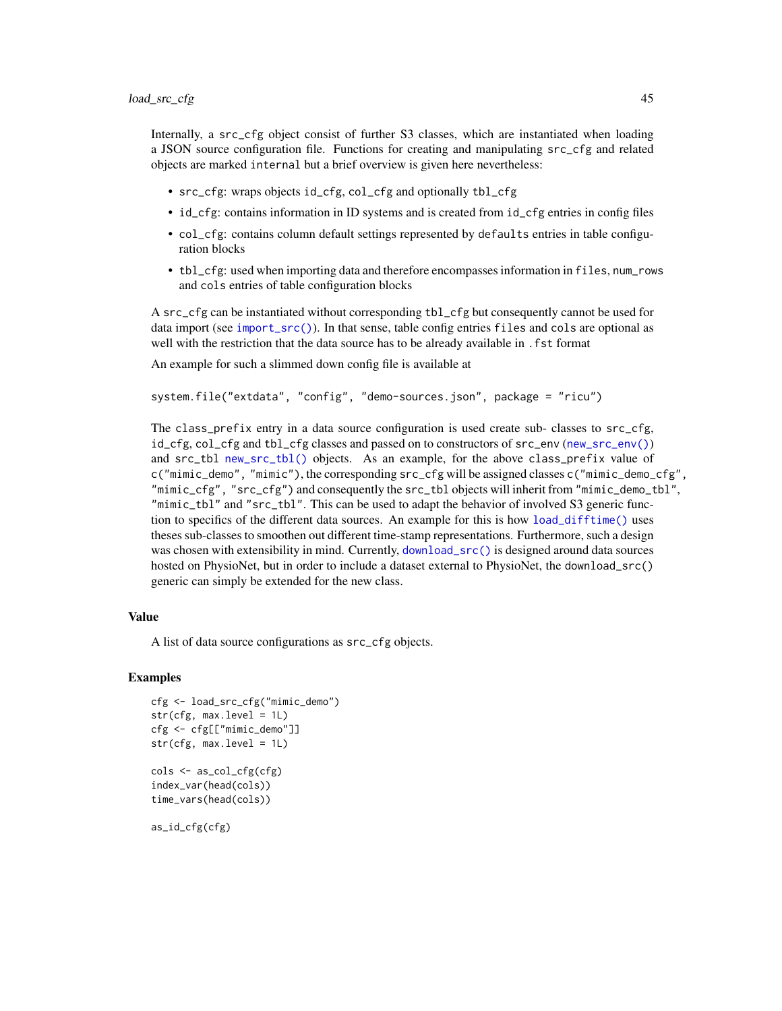Internally, a src\_cfg object consist of further S3 classes, which are instantiated when loading a JSON source configuration file. Functions for creating and manipulating src\_cfg and related objects are marked internal but a brief overview is given here nevertheless:

- src\_cfg: wraps objects id\_cfg, col\_cfg and optionally tbl\_cfg
- id\_cfg: contains information in ID systems and is created from id\_cfg entries in config files
- col\_cfg: contains column default settings represented by defaults entries in table configuration blocks
- tbl\_cfg: used when importing data and therefore encompasses information in files, num\_rows and cols entries of table configuration blocks

A src\_cfg can be instantiated without corresponding tbl\_cfg but consequently cannot be used for data import (see [import\\_src\(\)](#page-25-0)). In that sense, table config entries files and cols are optional as well with the restriction that the data source has to be already available in .fst format

An example for such a slimmed down config file is available at

```
system.file("extdata", "config", "demo-sources.json", package = "ricu")
```
The class\_prefix entry in a data source configuration is used create sub- classes to src\_cfg, id\_cfg, col\_cfg and tbl\_cfg classes and passed on to constructors of src\_env ([new\\_src\\_env\(\)](#page-0-0)) and src\_tbl [new\\_src\\_tbl\(\)](#page-0-0) objects. As an example, for the above class\_prefix value of c("mimic\_demo", "mimic"), the corresponding src\_cfg will be assigned classes c("mimic\_demo\_cfg", "mimic\_cfg", "src\_cfg") and consequently the src\_tbl objects will inherit from "mimic\_demo\_tbl", "mimic\_tbl" and "src\_tbl". This can be used to adapt the behavior of involved S3 generic function to specifics of the different data sources. An example for this is how [load\\_difftime\(\)](#page-38-0) uses theses sub-classes to smoothen out different time-stamp representations. Furthermore, such a design was chosen with extensibility in mind. Currently, [download\\_src\(\)](#page-13-0) is designed around data sources hosted on PhysioNet, but in order to include a dataset external to PhysioNet, the download\_src() generic can simply be extended for the new class.

# Value

A list of data source configurations as src\_cfg objects.

### Examples

```
cfg <- load_src_cfg("mimic_demo")
str(cfg, max.level = 1L)
cfg <- cfg[["mimic_demo"]]
str(cfg, max.level = 1L)
cols <- as_col_cfg(cfg)
index_var(head(cols))
time_vars(head(cols))
```
as\_id\_cfg(cfg)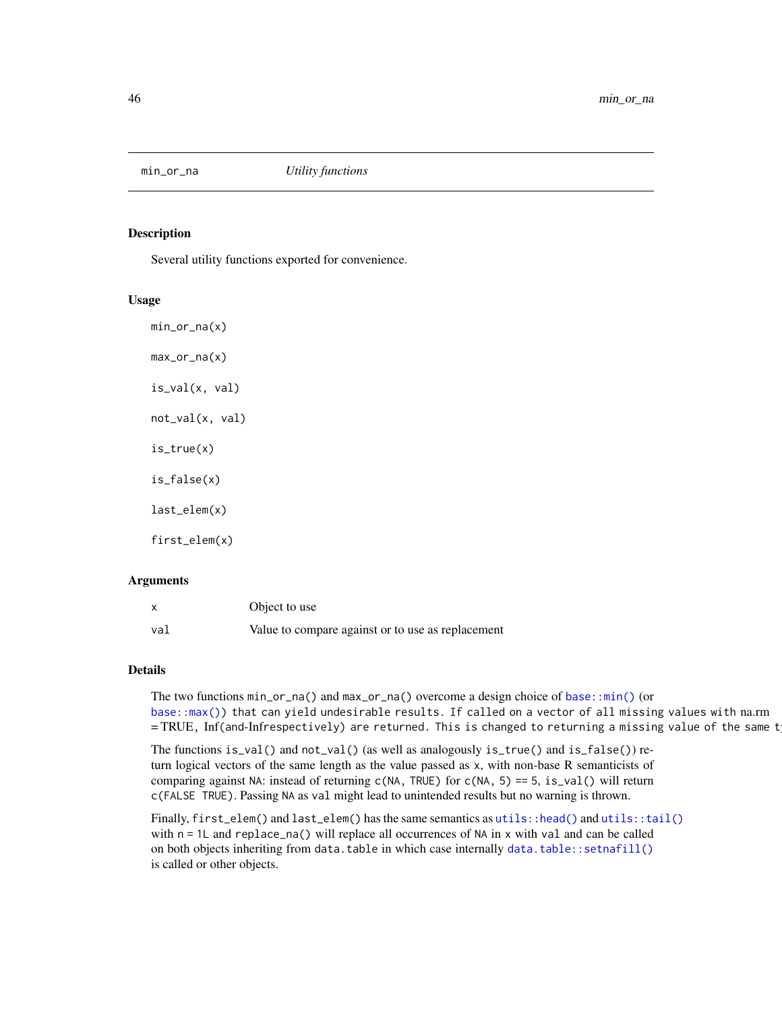## Description

Several utility functions exported for convenience.

## Usage

 $min_or_na(x)$ max\_or\_na(x) is\_val(x, val) not\_val(x, val) is\_true(x) is\_false(x) last\_elem(x) first\_elem(x)

#### Arguments

|     | Object to use                                     |
|-----|---------------------------------------------------|
| val | Value to compare against or to use as replacement |

#### Details

The two functions  $\min_{\alpha}$  or  $\max_{\alpha}$  and  $\max_{\alpha}$  overcome a design choice of base:: $\min()$  (or [base::max\(\)\)](#page-0-0) that can yield undesirable results. If called on a vector of all missing values with na.rm  $=$  TRUE, Inf(and-Infrespectively) are returned. This is changed to returning a missing value of the same t

The functions is\_val() and not\_val() (as well as analogously is\_true() and is\_false()) return logical vectors of the same length as the value passed as x, with non-base R semanticists of comparing against NA: instead of returning  $c(NA, TRUE)$  for  $c(NA, 5) == 5$ , is\_val() will return c(FALSE TRUE). Passing NA as val might lead to unintended results but no warning is thrown.

Finally, first\_elem() and last\_elem() has the same semantics as [utils::head\(\)](#page-0-0) and [utils::tail\(\)](#page-0-0) with  $n = 1$  and replace\_na() will replace all occurrences of NA in x with val and can be called on both objects inheriting from data.table in which case internally [data.table::setnafill\(\)](#page-0-0) is called or other objects.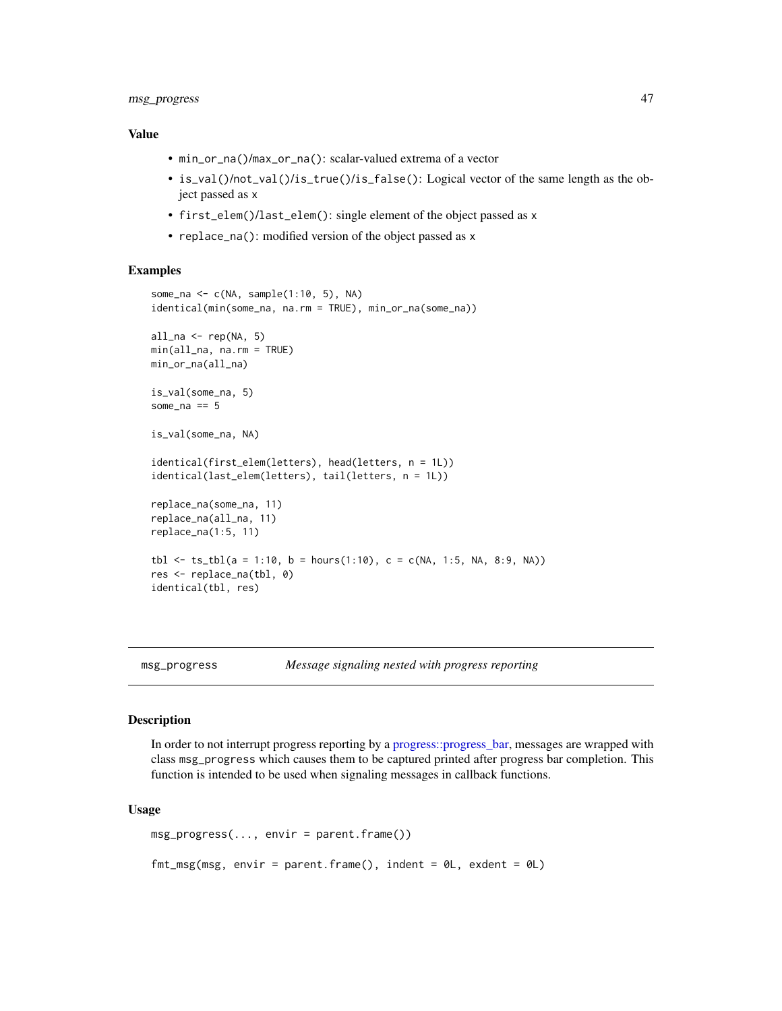# msg\_progress 47

## Value

- min\_or\_na()/max\_or\_na(): scalar-valued extrema of a vector
- is\_val()/not\_val()/is\_true()/is\_false(): Logical vector of the same length as the object passed as x
- first\_elem()/last\_elem(): single element of the object passed as x
- replace\_na(): modified version of the object passed as x

# Examples

```
some_na <- c(NA, sample(1:10, 5), NA)
identical(min(some_na, na.rm = TRUE), min_or_na(some_na))
all_na \leftarrow rep(NA, 5)min(all_na, na.rm = TRUE)
min_or_na(all_na)
is_val(some_na, 5)
some_na == 5is_val(some_na, NA)
identical(first_elem(letters), head(letters, n = 1L))
identical(last_elem(letters), tail(letters, n = 1L))
replace_na(some_na, 11)
replace_na(all_na, 11)
replace_na(1:5, 11)
tbl \le ts_tbl(a = 1:10, b = hours(1:10), c = c(NA, 1:5, NA, 8:9, NA))
res <- replace_na(tbl, 0)
identical(tbl, res)
```
## Description

In order to not interrupt progress reporting by a [progress::progress\\_bar,](#page-0-0) messages are wrapped with class msg\_progress which causes them to be captured printed after progress bar completion. This function is intended to be used when signaling messages in callback functions.

#### Usage

```
msg_progress(..., envir = parent.frame())
fmt_msg(msg, envir = parent.frame(), indent = 0L, exdent = 0L)
```
<span id="page-46-0"></span>msg\_progress *Message signaling nested with progress reporting*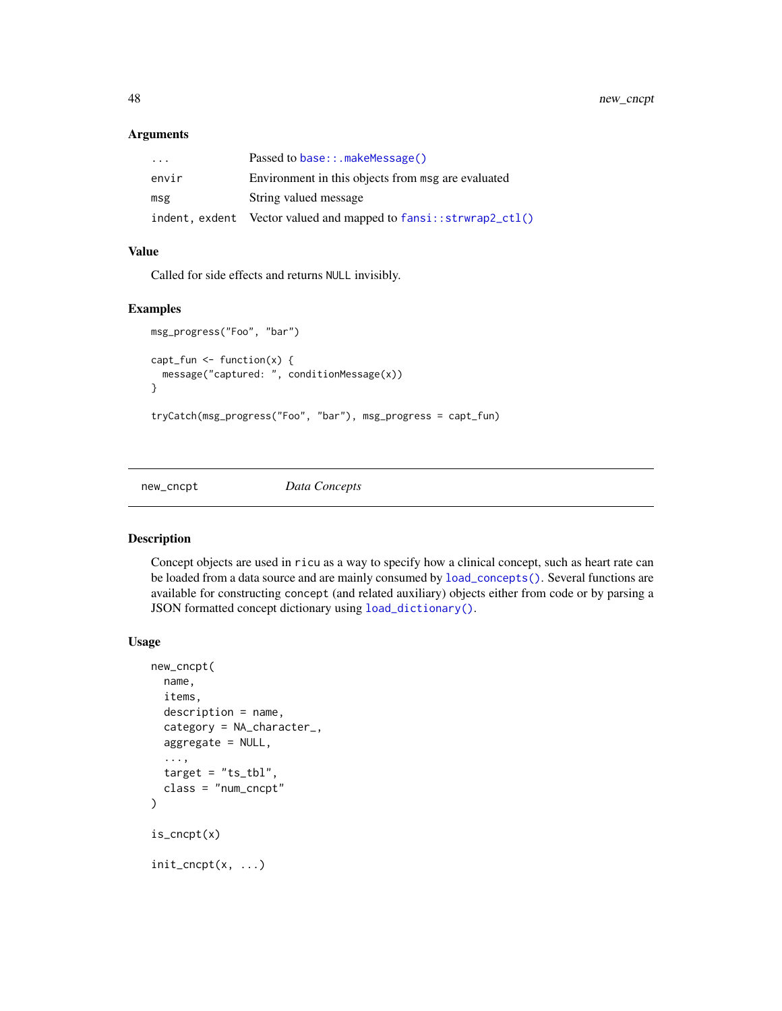# Arguments

| $\cdot$ | Passed to base::.makeMessage()                                        |
|---------|-----------------------------------------------------------------------|
| envir   | Environment in this objects from msg are evaluated                    |
| msg     | String valued message                                                 |
|         | indent, exdent Vector valued and mapped to $fansi$ : $strwrap2_ccl()$ |

# Value

Called for side effects and returns NULL invisibly.

# Examples

```
msg_progress("Foo", "bar")
capt_fun \leftarrow function(x) {
  message("captured: ", conditionMessage(x))
}
tryCatch(msg_progress("Foo", "bar"), msg_progress = capt_fun)
```
<span id="page-47-1"></span>new\_cncpt *Data Concepts*

# <span id="page-47-0"></span>Description

Concept objects are used in ricu as a way to specify how a clinical concept, such as heart rate can be loaded from a data source and are mainly consumed by [load\\_concepts\(\)](#page-27-0). Several functions are available for constructing concept (and related auxiliary) objects either from code or by parsing a JSON formatted concept dictionary using [load\\_dictionary\(\)](#page-32-0).

#### Usage

```
new_cncpt(
 name,
  items,
  description = name,
  category = NA_character_,
  aggregate = NULL,
  ...,
  target = "ts_tbl",class = "num_cncpt"
)
is_cncpt(x)
init\_cncpt(x, ...)
```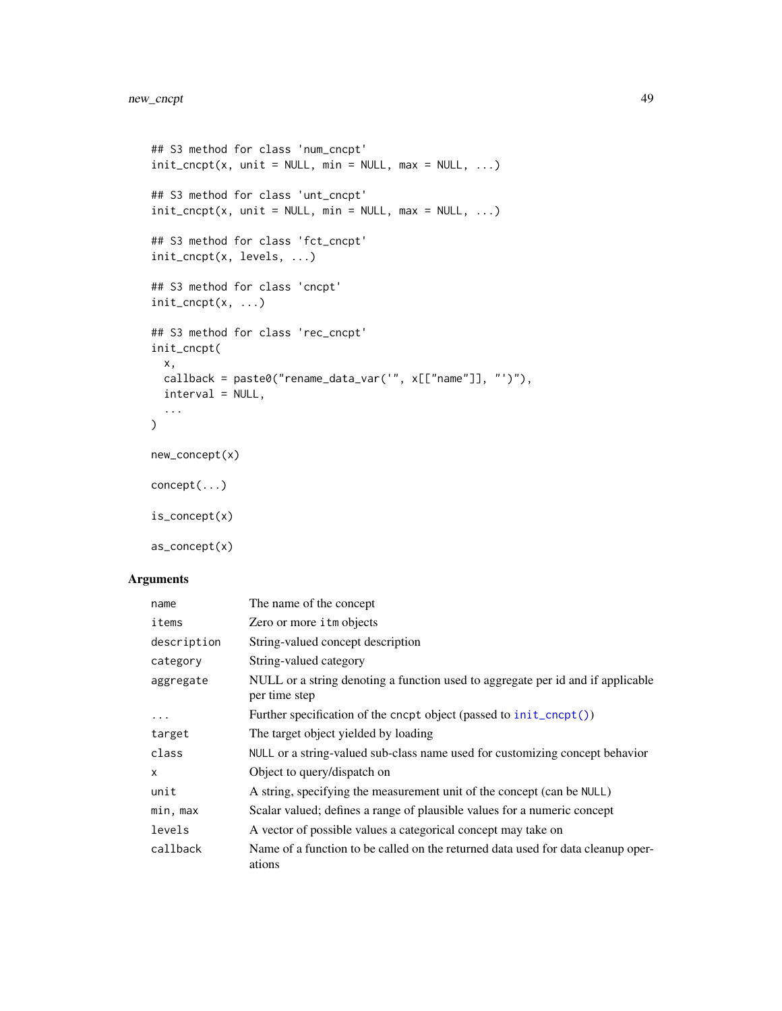```
## S3 method for class 'num_cncpt'
init\_concept(x, unit = NULL, min = NULL, max = NULL, ...)## S3 method for class 'unt_cncpt'
init\_cncpt(x, unit = NULL, min = NULL, max = NULL, ...)## S3 method for class 'fct_cncpt'
init_cncpt(x, levels, ...)
## S3 method for class 'cncpt'
init\_cncpt(x, \ldots)## S3 method for class 'rec_cncpt'
init_cncpt(
 x,
 callback = paste0("rename_data_var('", x[["name"]], "')"),
 interval = NULL,
  ...
\mathcal{L}new_concept(x)
concept(...)
is_concept(x)
```
as\_concept(x)

| name        | The name of the concept                                                                          |
|-------------|--------------------------------------------------------------------------------------------------|
| items       | Zero or more <i>i</i> tm objects                                                                 |
| description | String-valued concept description                                                                |
| category    | String-valued category                                                                           |
| aggregate   | NULL or a string denoting a function used to aggregate per id and if applicable<br>per time step |
| $\ddotsc$   | Further specification of the cncpt object (passed to init_cncpt())                               |
| target      | The target object yielded by loading                                                             |
| class       | NULL or a string-valued sub-class name used for customizing concept behavior                     |
| X           | Object to query/dispatch on                                                                      |
| unit        | A string, specifying the measurement unit of the concept (can be NULL)                           |
| min, max    | Scalar valued; defines a range of plausible values for a numeric concept                         |
| levels      | A vector of possible values a categorical concept may take on                                    |
| callback    | Name of a function to be called on the returned data used for data cleanup oper-<br>ations       |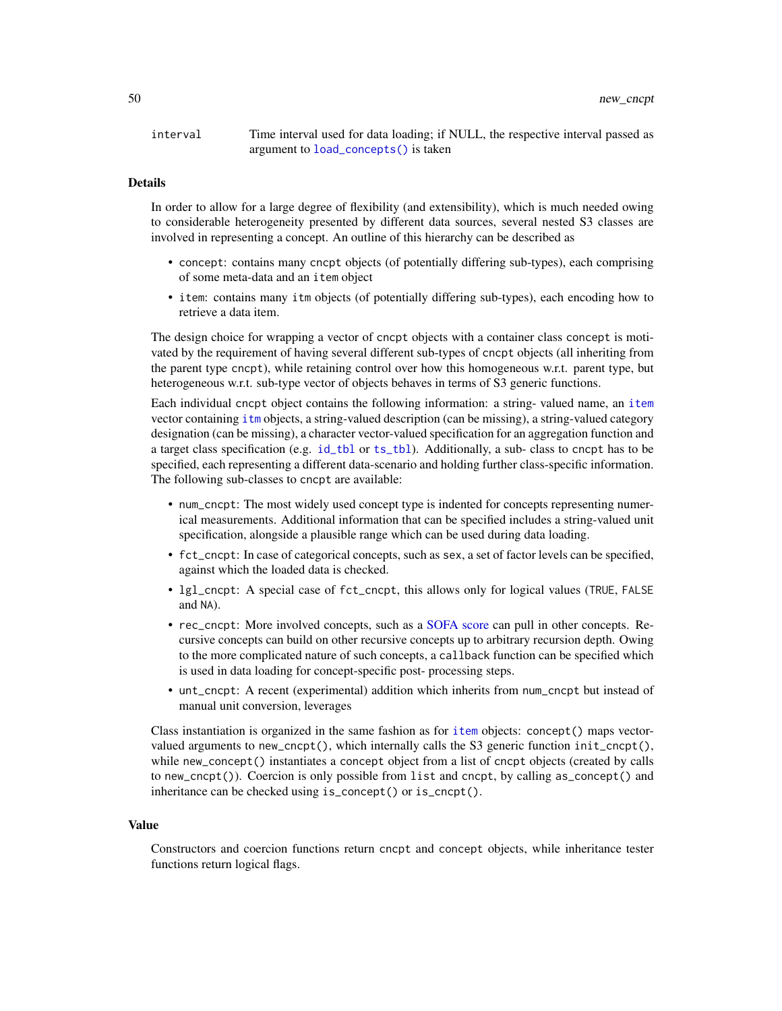interval Time interval used for data loading; if NULL, the respective interval passed as argument to [load\\_concepts\(\)](#page-27-0) is taken

# Details

In order to allow for a large degree of flexibility (and extensibility), which is much needed owing to considerable heterogeneity presented by different data sources, several nested S3 classes are involved in representing a concept. An outline of this hierarchy can be described as

- concept: contains many cncpt objects (of potentially differing sub-types), each comprising of some meta-data and an item object
- item: contains many itm objects (of potentially differing sub-types), each encoding how to retrieve a data item.

The design choice for wrapping a vector of cncpt objects with a container class concept is motivated by the requirement of having several different sub-types of cncpt objects (all inheriting from the parent type cncpt), while retaining control over how this homogeneous w.r.t. parent type, but heterogeneous w.r.t. sub-type vector of objects behaves in terms of S3 generic functions.

Each individual cncpt object contains the following information: a string- valued name, an [item](#page-50-0) vector containing [itm](#page-50-0) objects, a string-valued description (can be missing), a string-valued category designation (can be missing), a character vector-valued specification for an aggregation function and a target class specification (e.g. [id\\_tbl](#page-19-0) or [ts\\_tbl](#page-19-0)). Additionally, a sub- class to cncpt has to be specified, each representing a different data-scenario and holding further class-specific information. The following sub-classes to cncpt are available:

- num\_cncpt: The most widely used concept type is indented for concepts representing numerical measurements. Additional information that can be specified includes a string-valued unit specification, alongside a plausible range which can be used during data loading.
- fct\_cncpt: In case of categorical concepts, such as sex, a set of factor levels can be specified, against which the loaded data is checked.
- lgl\_cncpt: A special case of fct\_cncpt, this allows only for logical values (TRUE, FALSE and NA).
- rec\_cncpt: More involved concepts, such as a [SOFA score](#page-65-0) can pull in other concepts. Recursive concepts can build on other recursive concepts up to arbitrary recursion depth. Owing to the more complicated nature of such concepts, a callback function can be specified which is used in data loading for concept-specific post- processing steps.
- unt\_cncpt: A recent (experimental) addition which inherits from num\_cncpt but instead of manual unit conversion, leverages

Class instantiation is organized in the same fashion as for [item](#page-50-0) objects: concept() maps vectorvalued arguments to new\_cncpt(), which internally calls the S3 generic function init\_cncpt(), while new\_concept() instantiates a concept object from a list of cncpt objects (created by calls to new\_cncpt()). Coercion is only possible from list and cncpt, by calling as\_concept() and inheritance can be checked using is\_concept() or is\_cncpt().

#### Value

Constructors and coercion functions return cncpt and concept objects, while inheritance tester functions return logical flags.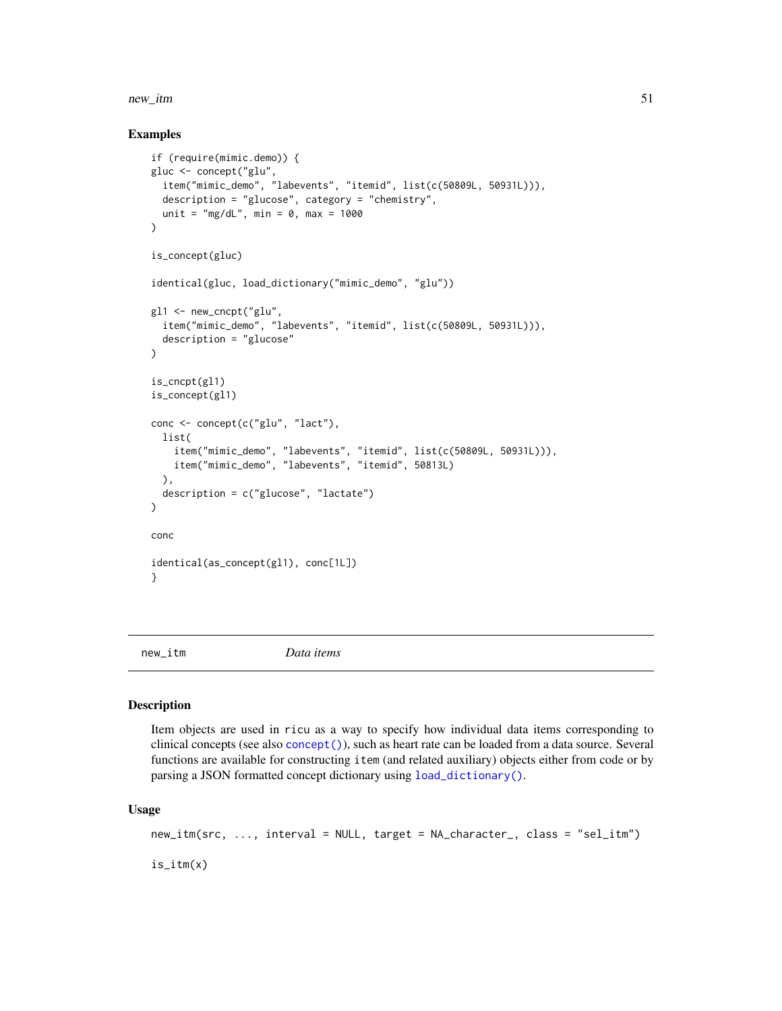#### new\_itm 51

# Examples

```
if (require(mimic.demo)) {
gluc <- concept("glu",
  item("mimic_demo", "labevents", "itemid", list(c(50809L, 50931L))),
  description = "glucose", category = "chemistry",
  unit = "mg/dL", min = 0, max = 1000
\lambdais_concept(gluc)
identical(gluc, load_dictionary("mimic_demo", "glu"))
gl1 <- new_cncpt("glu",
  item("mimic_demo", "labevents", "itemid", list(c(50809L, 50931L))),
  description = "glucose"
)
is_cncpt(gl1)
is_concept(gl1)
conc <- concept(c("glu", "lact"),
  list(
    item("mimic_demo", "labevents", "itemid", list(c(50809L, 50931L))),
   item("mimic_demo", "labevents", "itemid", 50813L)
  ),
  description = c("glucose", "lactate")
)
conc
identical(as_concept(gl1), conc[1L])
}
```
<span id="page-50-0"></span>

new\_itm *Data items*

## <span id="page-50-1"></span>Description

Item objects are used in ricu as a way to specify how individual data items corresponding to clinical concepts (see also [concept\(\)](#page-47-0)), such as heart rate can be loaded from a data source. Several functions are available for constructing item (and related auxiliary) objects either from code or by parsing a JSON formatted concept dictionary using [load\\_dictionary\(\)](#page-32-0).

## Usage

```
new_itm(src, ..., interval = NULL, target = NA_character_, class = "sel_itm")
```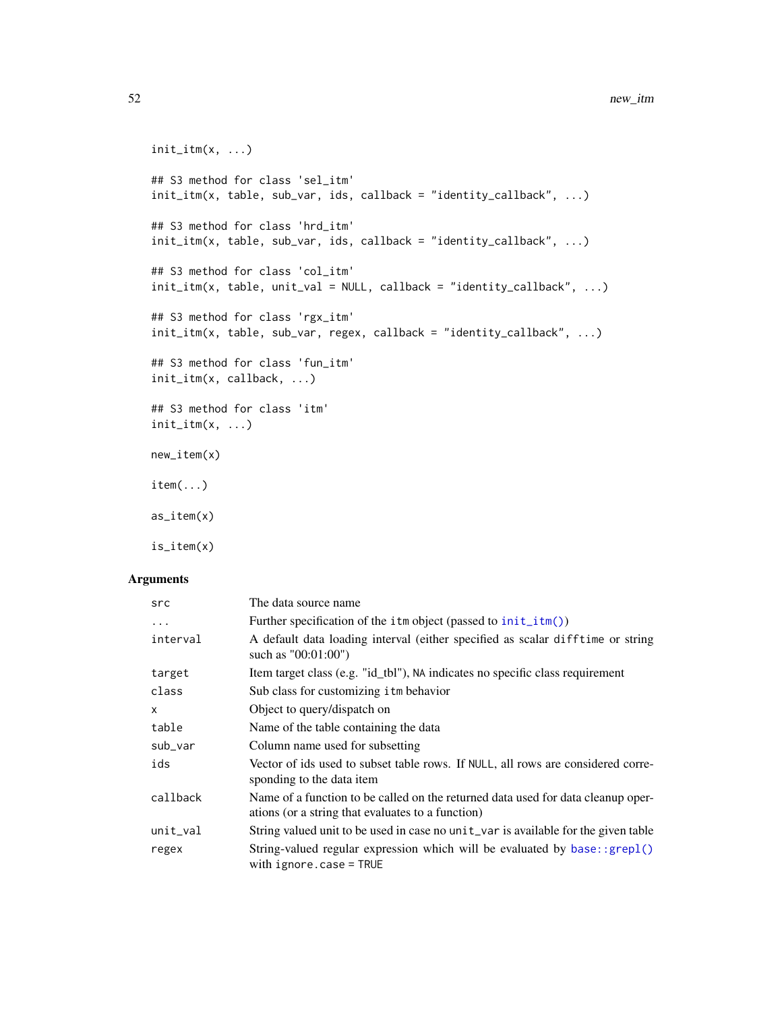```
init\_itm(x, \ldots)## S3 method for class 'sel_itm'
init\_itm(x, table, sub\_var,ids, callback = "identity\_callback", ...)## S3 method for class 'hrd_itm'
init\_itm(x, table, sub\_var,ids, callback = "identity\_callback", ...)## S3 method for class 'col_itm'
init_itm(x, table, unit_val = NULL, callback = "identity_callback", ...)
## S3 method for class 'rgx_itm'
init_itm(x, table, sub_var, regex, callback = "identity_callback", ...)
## S3 method for class 'fun_itm'
init_itm(x, callback, ...)
## S3 method for class 'itm'
init\_itm(x, \ldots)new_item(x)
item(...)
as_item(x)
```
is\_item(x)

| src          | The data source name                                                                                                                  |  |
|--------------|---------------------------------------------------------------------------------------------------------------------------------------|--|
| $\ddots$     | Further specification of the $\text{im}$ object (passed to $\text{init}\_\text{im}()$ )                                               |  |
| interval     | A default data loading interval (either specified as scalar difftime or string<br>such as $"00:01:00"$                                |  |
| target       | Item target class (e.g. "id_tbl"), NA indicates no specific class requirement                                                         |  |
| class        | Sub class for customizing itm behavior                                                                                                |  |
| $\mathsf{x}$ | Object to query/dispatch on                                                                                                           |  |
| table        | Name of the table containing the data                                                                                                 |  |
| sub_var      | Column name used for subsetting                                                                                                       |  |
| ids          | Vector of ids used to subset table rows. If NULL, all rows are considered corre-<br>sponding to the data item                         |  |
| callback     | Name of a function to be called on the returned data used for data cleanup oper-<br>ations (or a string that evaluates to a function) |  |
| $unit\_val$  | String valued unit to be used in case no unit_var is available for the given table                                                    |  |
| regex        | String-valued regular expression which will be evaluated by base::grep1()<br>with $ignore \cdot case = TRUE$                          |  |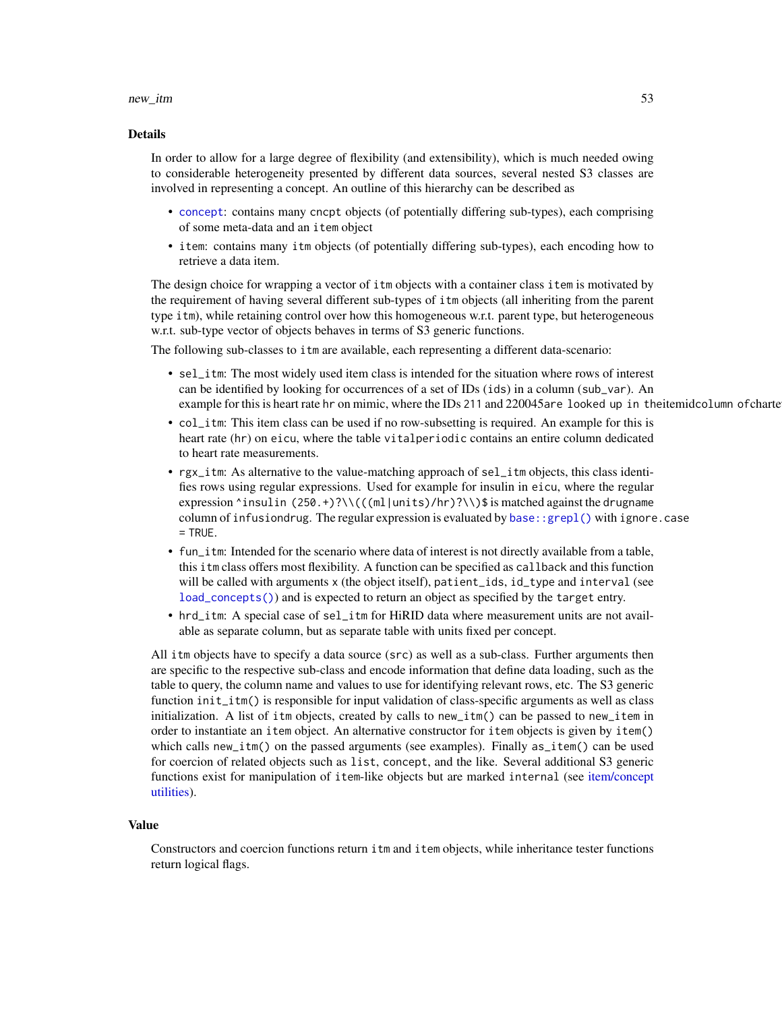#### new\_itm 53

#### Details

In order to allow for a large degree of flexibility (and extensibility), which is much needed owing to considerable heterogeneity presented by different data sources, several nested S3 classes are involved in representing a concept. An outline of this hierarchy can be described as

- [concept](#page-47-0): contains many cncpt objects (of potentially differing sub-types), each comprising of some meta-data and an item object
- item: contains many itm objects (of potentially differing sub-types), each encoding how to retrieve a data item.

The design choice for wrapping a vector of itm objects with a container class item is motivated by the requirement of having several different sub-types of itm objects (all inheriting from the parent type itm), while retaining control over how this homogeneous w.r.t. parent type, but heterogeneous w.r.t. sub-type vector of objects behaves in terms of S3 generic functions.

The following sub-classes to itm are available, each representing a different data-scenario:

- sel\_itm: The most widely used item class is intended for the situation where rows of interest can be identified by looking for occurrences of a set of IDs (ids) in a column (sub\_var). An example for this is heart rate hr on mimic, where the IDs 211 and 220045are looked up in theitemidcolumn of charte
- col\_itm: This item class can be used if no row-subsetting is required. An example for this is heart rate (hr) on eicu, where the table vitalperiodic contains an entire column dedicated to heart rate measurements.
- rgx\_itm: As alternative to the value-matching approach of sel\_itm objects, this class identifies rows using regular expressions. Used for example for insulin in eicu, where the regular expression  $\text{``insulin}$  (250.+)?\\(((ml|units)/hr)?\\)\$ is matched against the drugname column of infusiondrug. The regular expression is evaluated by [base::grepl\(\)](#page-0-0) with ignore.case  $=$  TRUE.
- fun\_itm: Intended for the scenario where data of interest is not directly available from a table, this itm class offers most flexibility. A function can be specified as callback and this function will be called with arguments x (the object itself), patient\_ids, id\_type and interval (see [load\\_concepts\(\)](#page-27-0)) and is expected to return an object as specified by the target entry.
- hrd\_itm: A special case of sel\_itm for HiRID data where measurement units are not available as separate column, but as separate table with units fixed per concept.

All itm objects have to specify a data source (src) as well as a sub-class. Further arguments then are specific to the respective sub-class and encode information that define data loading, such as the table to query, the column name and values to use for identifying relevant rows, etc. The S3 generic function init\_itm() is responsible for input validation of class-specific arguments as well as class initialization. A list of itm objects, created by calls to new\_itm() can be passed to new\_item in order to instantiate an item object. An alternative constructor for item objects is given by item() which calls new\_itm() on the passed arguments (see examples). Finally as\_item() can be used for coercion of related objects such as list, concept, and the like. Several additional S3 generic functions exist for manipulation of item-like objects but are marked internal (see [item/concept](#page-0-0) [utilities\)](#page-0-0).

#### Value

Constructors and coercion functions return itm and item objects, while inheritance tester functions return logical flags.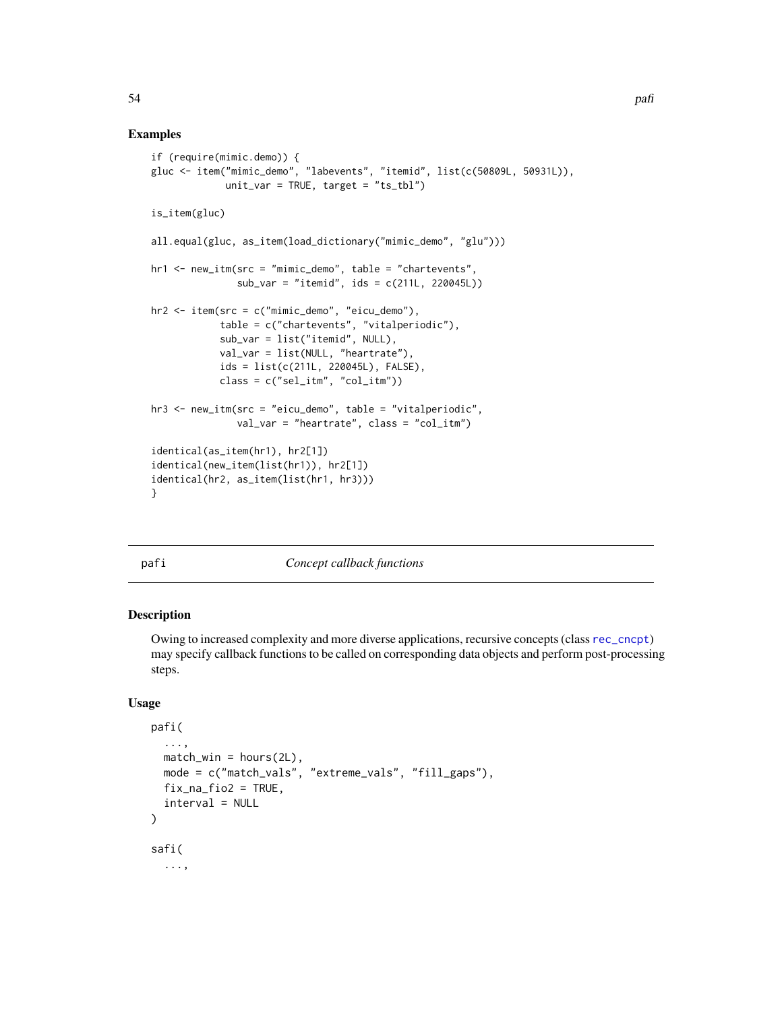# Examples

```
if (require(mimic.demo)) {
gluc <- item("mimic_demo", "labevents", "itemid", list(c(50809L, 50931L)),
             unit_var = TRUE, target = "ts_tbl")
is_item(gluc)
all.equal(gluc, as_item(load_dictionary("mimic_demo", "glu")))
hr1 <- new_itm(src = "mimic_demo", table = "chartevents",
               sub_var = "itemid", ids = c(211L, 220045L))
hr2 <- item(src = c("mimic_demo", "eicu_demo"),
            table = c("chartevents", "vitalperiodic"),
            sub_var = list("itemid", NULL),
            val_var = list(NULL, "heartrate"),
            ids = list(c(211L, 220045L), FALSE),
            class = c("sel_itm", "col_itm"))
hr3 <- new_itm(src = "eicu_demo", table = "vitalperiodic",
               val_var = "heartrate", class = "col_itm")
identical(as_item(hr1), hr2[1])
identical(new_item(list(hr1)), hr2[1])
identical(hr2, as_item(list(hr1, hr3)))
}
```
pafi *Concept callback functions*

# Description

Owing to increased complexity and more diverse applications, recursive concepts (class [rec\\_cncpt](#page-47-1)) may specify callback functions to be called on corresponding data objects and perform post-processing steps.

## Usage

```
pafi(
  ...,
  match\_win = hours(2L),
 mode = c("match_vals", "extreme_vals", "fill_gaps"),
  fix\_na\_fio2 = TRUE,interval = NULL
)
safi(
  ...,
```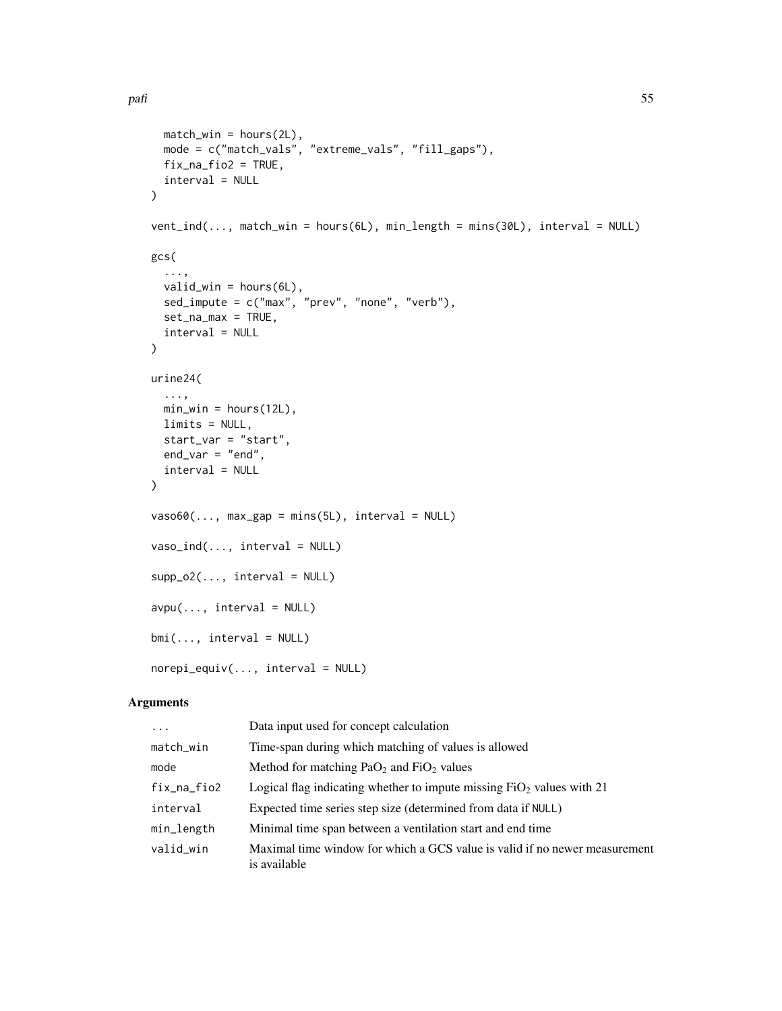```
match_win = hours(2L),
 mode = c("match_vals", "extreme_vals", "fill_gaps"),
 fix\_na\_fio2 = TRUE,interval = NULL
\lambdavent_ind(..., match_win = hours(6L), min_length = mins(30L), interval = NULL)
gcs(
  ...,
 valid_win = hours(6L),
  sed_impute = c("max", "prev", "none", "verb"),
 set_na_max = TRUE,
 interval = NULL
)
urine24(
  ...,
 min\_win = hours(12L),
 limits = NULL,
 start_var = "start",
 end_var = "end",interval = NULL
\mathcal{L}vaso60(..., max\_gap = mins(5L), interval = NULL)vaso\_ind(..., interval = NULL)supp_02(\ldots, interval = NULL)
avpu(..., interval = NULL)bmi(..., interval = NULL)norepi_equiv(..., interval = NULL)
```

| $\cdots$    | Data input used for concept calculation                                                    |
|-------------|--------------------------------------------------------------------------------------------|
| match_win   | Time-span during which matching of values is allowed                                       |
| mode        | Method for matching $PaO2$ and $FiO2$ values                                               |
| fix_na_fio2 | Logical flag indicating whether to impute missing $FiO2$ values with 21                    |
| interval    | Expected time series step size (determined from data if NULL)                              |
| min_length  | Minimal time span between a ventilation start and end time                                 |
| valid win   | Maximal time window for which a GCS value is valid if no newer measurement<br>is available |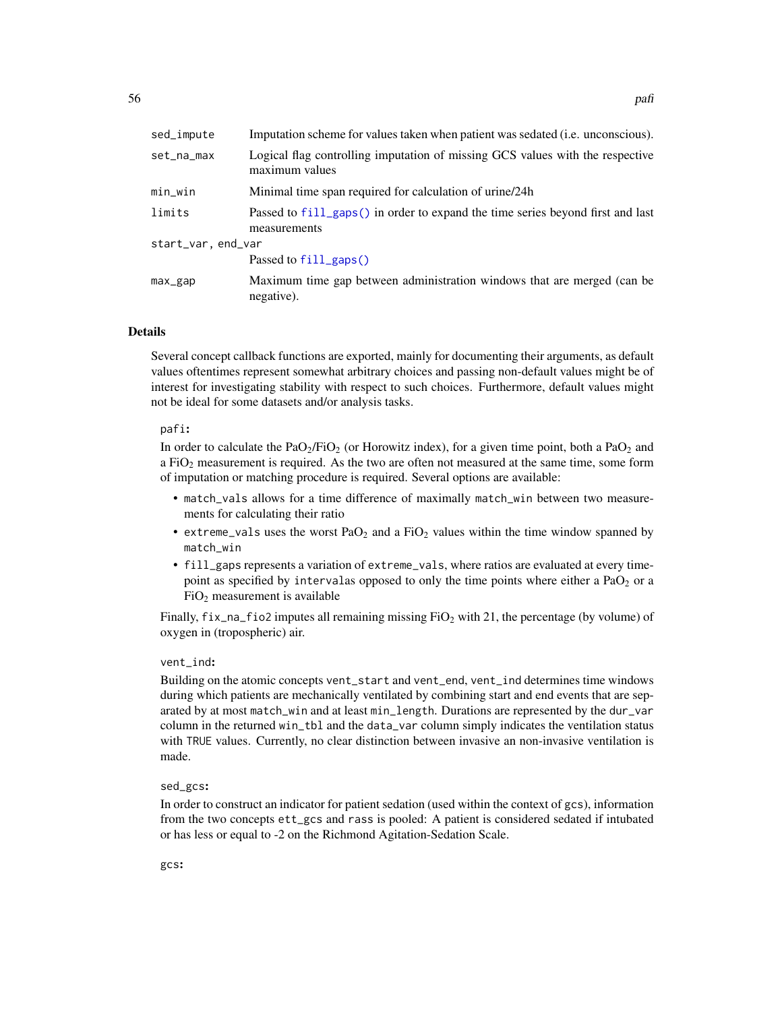| sed_impute         | Imputation scheme for values taken when patient was sedated (i.e. unconscious).                 |  |
|--------------------|-------------------------------------------------------------------------------------------------|--|
| set_na_max         | Logical flag controlling imputation of missing GCS values with the respective<br>maximum values |  |
| min_win            | Minimal time span required for calculation of urine/24h                                         |  |
| limits             | Passed to fill_gaps() in order to expand the time series beyond first and last<br>measurements  |  |
| start_var, end_var |                                                                                                 |  |
|                    | Passed to $fill\_gaps()$                                                                        |  |
| max_gap            | Maximum time gap between administration windows that are merged (can be<br>negative).           |  |

# Details

Several concept callback functions are exported, mainly for documenting their arguments, as default values oftentimes represent somewhat arbitrary choices and passing non-default values might be of interest for investigating stability with respect to such choices. Furthermore, default values might not be ideal for some datasets and/or analysis tasks.

#### pafi:

In order to calculate the  $PaO<sub>2</sub>/FiO<sub>2</sub>$  (or Horowitz index), for a given time point, both a PaO<sub>2</sub> and a FiO<sup>2</sup> measurement is required. As the two are often not measured at the same time, some form of imputation or matching procedure is required. Several options are available:

- match\_vals allows for a time difference of maximally match\_win between two measurements for calculating their ratio
- extreme\_vals uses the worst  $PaO<sub>2</sub>$  and a FiO<sub>2</sub> values within the time window spanned by match\_win
- fill\_gaps represents a variation of extreme\_vals, where ratios are evaluated at every timepoint as specified by intervalas opposed to only the time points where either a  $PaO<sub>2</sub>$  or a  $FiO<sub>2</sub>$  measurement is available

Finally,  $fix\_na\_fio2$  imputes all remaining missing  $FiO<sub>2</sub>$  with 21, the percentage (by volume) of oxygen in (tropospheric) air.

## vent\_ind:

Building on the atomic concepts vent\_start and vent\_end, vent\_ind determines time windows during which patients are mechanically ventilated by combining start and end events that are separated by at most match\_win and at least min\_length. Durations are represented by the dur\_var column in the returned win\_tbl and the data\_var column simply indicates the ventilation status with TRUE values. Currently, no clear distinction between invasive an non-invasive ventilation is made.

# sed\_gcs:

In order to construct an indicator for patient sedation (used within the context of gcs), information from the two concepts ett\_gcs and rass is pooled: A patient is considered sedated if intubated or has less or equal to -2 on the Richmond Agitation-Sedation Scale.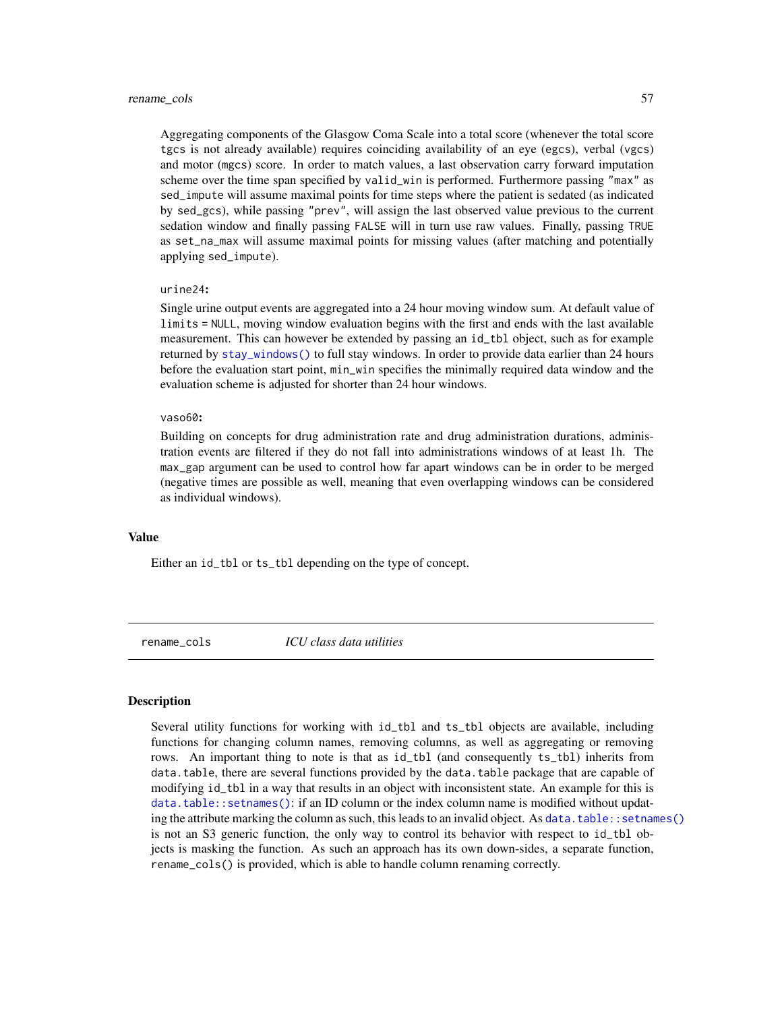#### rename\_cols 57

Aggregating components of the Glasgow Coma Scale into a total score (whenever the total score tgcs is not already available) requires coinciding availability of an eye (egcs), verbal (vgcs) and motor (mgcs) score. In order to match values, a last observation carry forward imputation scheme over the time span specified by valid\_win is performed. Furthermore passing "max" as sed\_impute will assume maximal points for time steps where the patient is sedated (as indicated by sed\_gcs), while passing "prev", will assign the last observed value previous to the current sedation window and finally passing FALSE will in turn use raw values. Finally, passing TRUE as set\_na\_max will assume maximal points for missing values (after matching and potentially applying sed\_impute).

### urine24:

Single urine output events are aggregated into a 24 hour moving window sum. At default value of limits = NULL, moving window evaluation begins with the first and ends with the last available measurement. This can however be extended by passing an id\_tbl object, such as for example returned by [stay\\_windows\(\)](#page-67-0) to full stay windows. In order to provide data earlier than 24 hours before the evaluation start point, min\_win specifies the minimally required data window and the evaluation scheme is adjusted for shorter than 24 hour windows.

#### vaso60:

Building on concepts for drug administration rate and drug administration durations, administration events are filtered if they do not fall into administrations windows of at least 1h. The max\_gap argument can be used to control how far apart windows can be in order to be merged (negative times are possible as well, meaning that even overlapping windows can be considered as individual windows).

## Value

Either an id\_tbl or ts\_tbl depending on the type of concept.

rename\_cols *ICU class data utilities*

# <span id="page-56-0"></span>Description

Several utility functions for working with id\_tbl and ts\_tbl objects are available, including functions for changing column names, removing columns, as well as aggregating or removing rows. An important thing to note is that as id\_tbl (and consequently ts\_tbl) inherits from data.table, there are several functions provided by the data.table package that are capable of modifying id\_tbl in a way that results in an object with inconsistent state. An example for this is [data.table::setnames\(\)](#page-0-0): if an ID column or the index column name is modified without updating the attribute marking the column as such, this leads to an invalid object. As data, table:: setnames() is not an S3 generic function, the only way to control its behavior with respect to id\_tbl objects is masking the function. As such an approach has its own down-sides, a separate function, rename\_cols() is provided, which is able to handle column renaming correctly.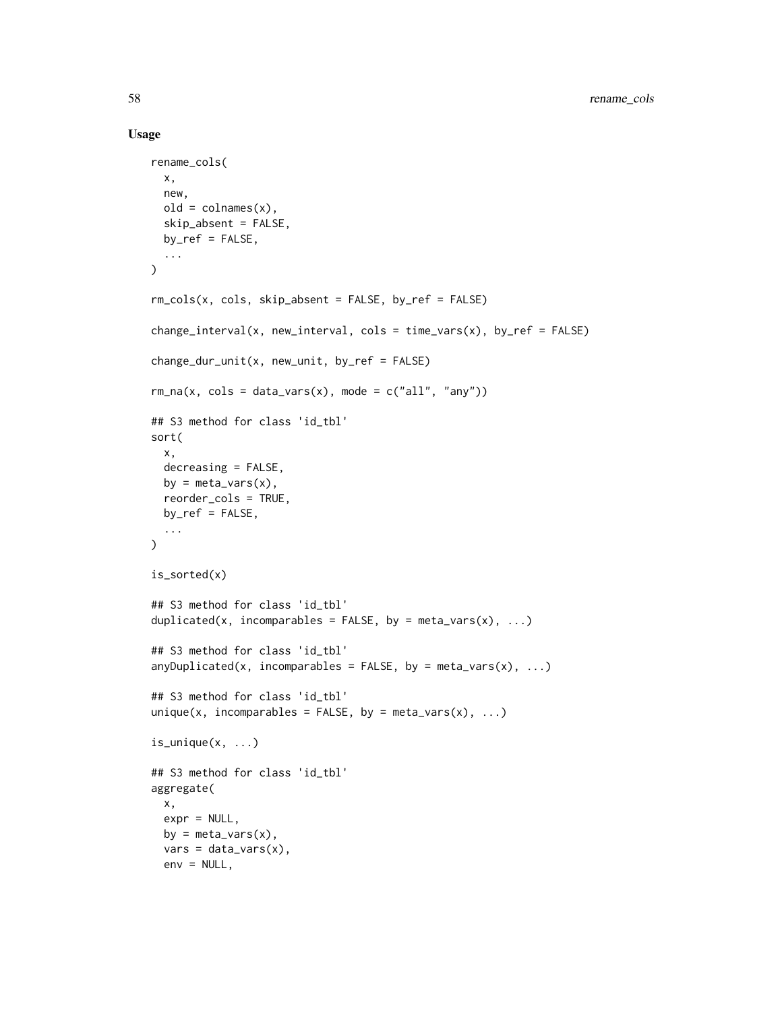#### Usage

```
rename_cols(
  x,
 new,
 old = colnames(x),
  skip_absent = FALSE,
 by_ref = FALSE,
  ...
\lambdarm_cols(x, cols, skip_absent = FALSE, by_ref = FALSE)
change_interval(x, new_interval, cols = time_vars(x), by_ref = FALSE)
change_dur\_unit(x, new\_unit, by\_ref = FALSE)rm_na(x, \text{cols} = data_vars(x), \text{mode} = c("all", "any"))## S3 method for class 'id_tbl'
sort(
 x,
 decreasing = FALSE,
 by = meta\_vars(x),
  reorder_cols = TRUE,
 by_ref = FALSE,...
\mathcal{L}is_sorted(x)
## S3 method for class 'id_tbl'
duplicated(x, incomparables = FALSE, by = meta_vars(x), \dots)
## S3 method for class 'id_tbl'
anyDuplicated(x, incomparables = FALSE, by = meta_vars(x), \dots)
## S3 method for class 'id_tbl'
unique(x, incomparables = FALSE, by = meta_vars(x), \dots)
is_unique(x, ...)
## S3 method for class 'id_tbl'
aggregate(
 x,
  expr = NULL,
 by = meta\_vars(x),
  vars = data_vars(x),
  env = NULL,
```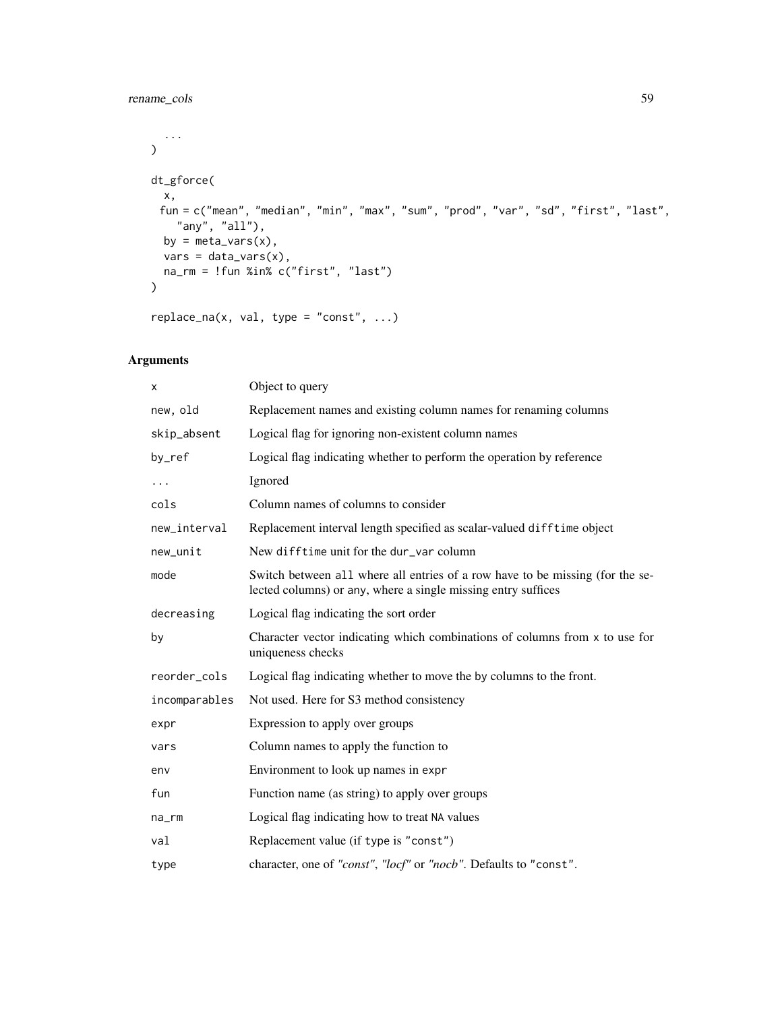# rename\_cols 59

```
...
\lambdadt_gforce(
 x,
 fun = c("mean", "median", "min", "max", "sum", "prod", "var", "sd", "first", "last",
   "any", "all"),
 by = meta\_vars(x),
 vars = data\_vars(x),
 na_rm = !fun %in% c("first", "last")
\mathcal{L}
```

```
replace_na(x, val, type = "const", ...)
```

| X             | Object to query                                                                                                                                |
|---------------|------------------------------------------------------------------------------------------------------------------------------------------------|
| new, old      | Replacement names and existing column names for renaming columns                                                                               |
| skip_absent   | Logical flag for ignoring non-existent column names                                                                                            |
| by_ref        | Logical flag indicating whether to perform the operation by reference                                                                          |
| $\cdots$      | Ignored                                                                                                                                        |
| cols          | Column names of columns to consider                                                                                                            |
| new_interval  | Replacement interval length specified as scalar-valued difftime object                                                                         |
| new_unit      | New difftime unit for the dur_var column                                                                                                       |
| mode          | Switch between all where all entries of a row have to be missing (for the se-<br>lected columns) or any, where a single missing entry suffices |
| decreasing    | Logical flag indicating the sort order                                                                                                         |
| by            | Character vector indicating which combinations of columns from x to use for<br>uniqueness checks                                               |
| reorder_cols  | Logical flag indicating whether to move the by columns to the front.                                                                           |
| incomparables | Not used. Here for S3 method consistency                                                                                                       |
| expr          | Expression to apply over groups                                                                                                                |
| vars          | Column names to apply the function to                                                                                                          |
| env           | Environment to look up names in expr                                                                                                           |
| fun           | Function name (as string) to apply over groups                                                                                                 |
| na_rm         | Logical flag indicating how to treat NA values                                                                                                 |
| val           | Replacement value (if type is "const")                                                                                                         |
| type          | character, one of "const", "locf" or "nocb". Defaults to "const".                                                                              |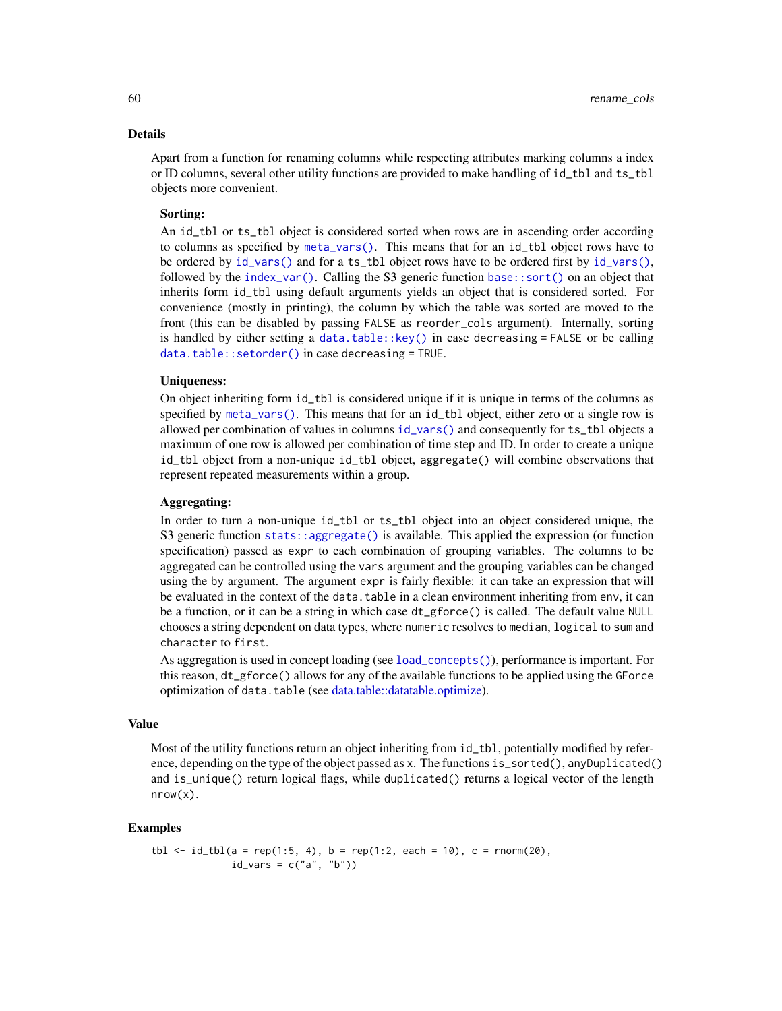#### Details

Apart from a function for renaming columns while respecting attributes marking columns a index or ID columns, several other utility functions are provided to make handling of id\_tbl and ts\_tbl objects more convenient.

#### Sorting:

An id\_tbl or ts\_tbl object is considered sorted when rows are in ascending order according to columns as specified by [meta\\_vars\(\)](#page-22-1). This means that for an id\_tbl object rows have to be ordered by  $id\_vars()$  and for a ts\_tbl object rows have to be ordered first by  $id\_vars()$ , followed by the [index\\_var\(\)](#page-22-1). Calling the S3 generic function [base::sort\(\)](#page-0-0) on an object that inherits form id\_tbl using default arguments yields an object that is considered sorted. For convenience (mostly in printing), the column by which the table was sorted are moved to the front (this can be disabled by passing FALSE as reorder\_cols argument). Internally, sorting is handled by either setting a data.table:: $key()$  in case decreasing = FALSE or be calling [data.table::setorder\(\)](#page-0-0) in case decreasing = TRUE.

## Uniqueness:

On object inheriting form id\_tbl is considered unique if it is unique in terms of the columns as specified by [meta\\_vars\(\)](#page-22-1). This means that for an id\_tbl object, either zero or a single row is allowed per combination of values in columns [id\\_vars\(\)](#page-22-0) and consequently for ts\_tbl objects a maximum of one row is allowed per combination of time step and ID. In order to create a unique id\_tbl object from a non-unique id\_tbl object, aggregate() will combine observations that represent repeated measurements within a group.

# Aggregating:

In order to turn a non-unique id\_tbl or ts\_tbl object into an object considered unique, the S3 generic function [stats::aggregate\(\)](#page-0-0) is available. This applied the expression (or function specification) passed as expr to each combination of grouping variables. The columns to be aggregated can be controlled using the vars argument and the grouping variables can be changed using the by argument. The argument expr is fairly flexible: it can take an expression that will be evaluated in the context of the data.table in a clean environment inheriting from env, it can be a function, or it can be a string in which case dt\_gforce() is called. The default value NULL chooses a string dependent on data types, where numeric resolves to median, logical to sum and character to first.

As aggregation is used in concept loading (see [load\\_concepts\(\)](#page-27-0)), performance is important. For this reason, dt\_gforce() allows for any of the available functions to be applied using the GForce optimization of data.table (see [data.table::datatable.optimize\)](#page-0-0).

### Value

Most of the utility functions return an object inheriting from  $id_t$  to  $l$ , potentially modified by reference, depending on the type of the object passed as x. The functions is\_sorted(), anyDuplicated() and is\_unique() return logical flags, while duplicated() returns a logical vector of the length nrow(x).

## Examples

```
tbl \le id_tbl(a = rep(1:5, 4), b = rep(1:2, each = 10), c = rnorm(20),
              id_{vars} = c("a", "b")
```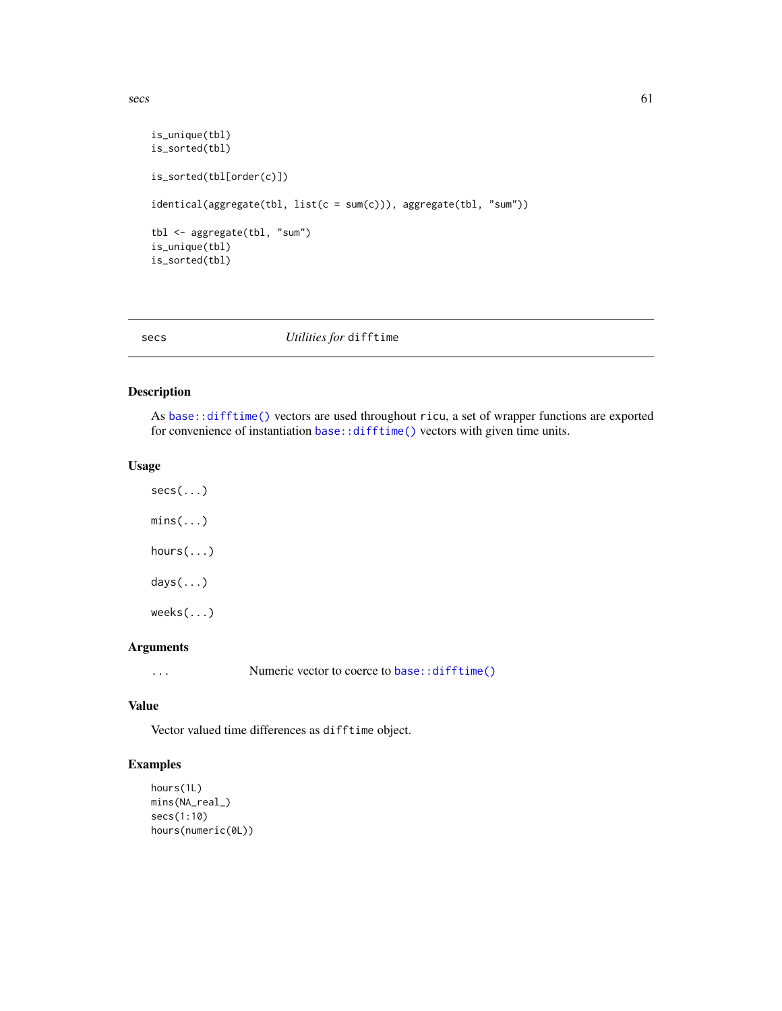```
is_unique(tbl)
is_sorted(tbl)
is_sorted(tbl[order(c)])
identical(aggregate(tbl, list(c = sum(c))), aggregate(tbl, "sum"))
tbl <- aggregate(tbl, "sum")
is_unique(tbl)
is_sorted(tbl)
```
# secs *Utilities for* difftime

# Description

As [base::difftime\(\)](#page-0-0) vectors are used throughout ricu, a set of wrapper functions are exported for convenience of instantiation [base::difftime\(\)](#page-0-0) vectors with given time units.

## Usage

 $mins(...)$ hours(...) days(...) weeks(...)

 $secs(...)$ 

# Arguments

... Numeric vector to coerce to [base::difftime\(\)](#page-0-0)

# Value

Vector valued time differences as difftime object.

# Examples

```
hours(1L)
mins(NA_real_)
secs(1:10)
hours(numeric(0L))
```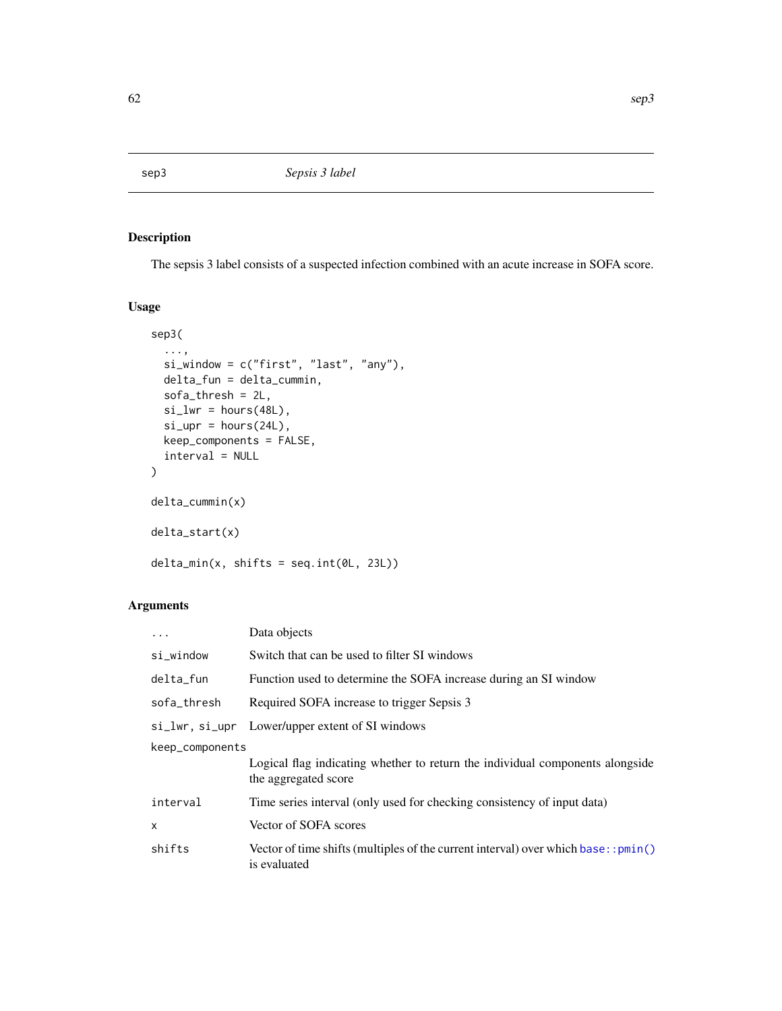# Description

The sepsis 3 label consists of a suspected infection combined with an acute increase in SOFA score.

# Usage

```
sep3(
  ...,
 si_window = c("first", "last", "any"),
 delta_fun = delta_cummin,
 sofa_thresh = 2L,
  si_l = hours(48L),
  si\_upr = hours(24L),
 keep_components = FALSE,
  interval = NULL
\mathcal{L}delta_cummin(x)
delta_start(x)
delta_min(x, shifts = seq.int(0L, 23L))
```

| Data objects                                                                                          |  |
|-------------------------------------------------------------------------------------------------------|--|
| Switch that can be used to filter SI windows                                                          |  |
| Function used to determine the SOFA increase during an SI window                                      |  |
| Required SOFA increase to trigger Sepsis 3                                                            |  |
| si_lwr, si_upr Lower/upper extent of SI windows                                                       |  |
| keep_components                                                                                       |  |
| Logical flag indicating whether to return the individual components alongside<br>the aggregated score |  |
| Time series interval (only used for checking consistency of input data)                               |  |
| Vector of SOFA scores                                                                                 |  |
| Vector of time shifts (multiples of the current interval) over which base: : $pmin()$<br>is evaluated |  |
|                                                                                                       |  |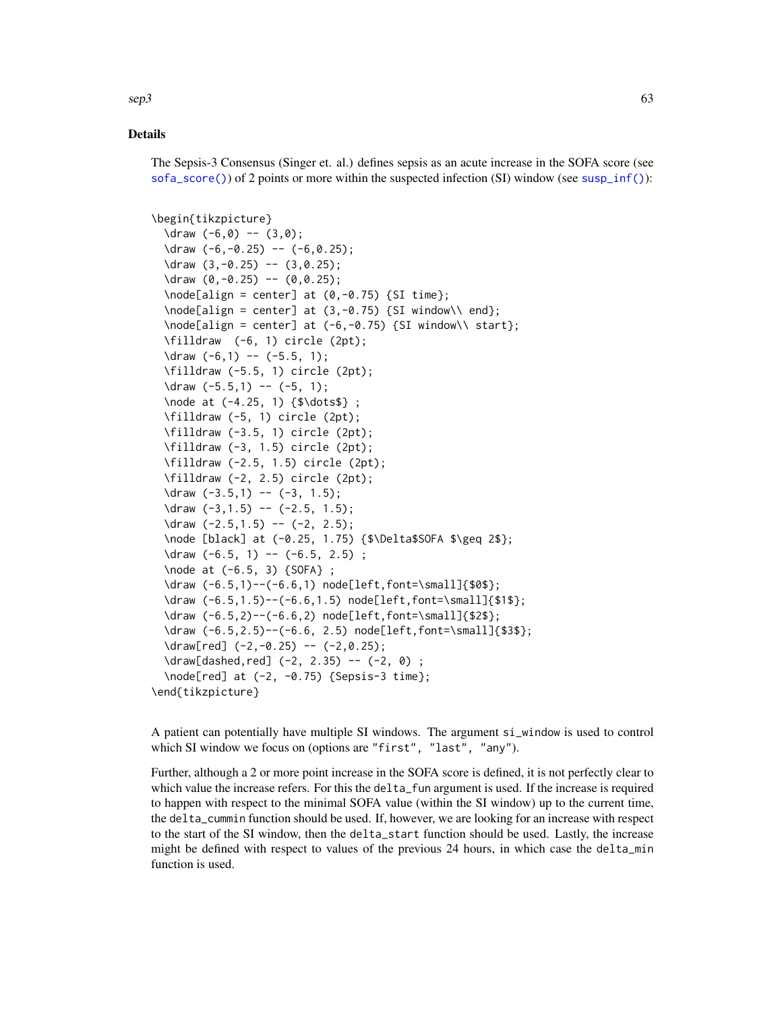$\mathsf{sep3}$  63

# Details

The Sepsis-3 Consensus (Singer et. al.) defines sepsis as an acute increase in the SOFA score (see  $sof a\_score()$  of 2 points or more within the suspected infection  $(SI)$  window (see [susp\\_inf\(\)](#page-68-0)):

```
\begin{tikzpicture}
```

```
\frac{-6,0} -- (3,0);
  \frac{-6,-0.25} -- (-6,0.25);
  \frac{3, -0.25}{ - (3, 0.25)}\frac{0, -0.25}{-0.25} -- (0, 0.25);
  \setminus \node[align = center] at (0, -0.75) {SI time};\setminus \node[align = center] at (3, -0.75) {SI window} and;\node[align = center] at (-6, -0.75) {SI window\\ start};
  \filldraw (-6, 1) circle (2pt);
  \frac{-6,1} \leftarrow (-5.5, 1);\filldraw (-5.5, 1) circle (2pt);
  \frac{-5.5,1} -- (-5, 1);
  \node at (-4.25, 1) {$\dots$} ;
  \filldraw (-5, 1) circle (2pt);
  \filldraw (-3.5, 1) circle (2pt);
  \filldraw (-3, 1.5) circle (2pt);
  \filldraw (-2.5, 1.5) circle (2pt);
  \filldraw (-2, 2.5) circle (2pt);
  \frac{-3.5,1} -- (-3, 1.5);
  \frac{-3,1.5} -- (-2.5, 1.5);
  \frac{-2.5,1.5} -- (-2, 2.5);
  \node [black] at (-0.25, 1.75) {$\Delta$SOFA $\geq 2$};
  \frac{-6.5}{1} -- (-6.5, 2.5);
  \node at (-6.5, 3) {SOFA} ;
  \draw (-6.5,1)--(-6.6,1) node[left,font=\small]{$0$};
  \draw (-6.5,1.5)--(-6.6,1.5) node[left,font=\small]{$1$};
  \draw (-6.5,2)--(-6.6,2) node[left,font=\small]{$2$};
  \draw (-6.5,2.5)--(-6.6, 2.5) node[left,font=\small]{$3$};
  \draw[red] (-2,-0.25) -- (-2,0.25);
  \draw[dashed,red] (-2, 2.35) -- (-2, 0) ;
  \node[red] at (-2, -0.75) {Sepsis-3 time};
\end{tikzpicture}
```
A patient can potentially have multiple SI windows. The argument si\_window is used to control which SI window we focus on (options are "first", "last", "any").

Further, although a 2 or more point increase in the SOFA score is defined, it is not perfectly clear to which value the increase refers. For this the delta\_fun argument is used. If the increase is required to happen with respect to the minimal SOFA value (within the SI window) up to the current time, the delta\_cummin function should be used. If, however, we are looking for an increase with respect to the start of the SI window, then the delta\_start function should be used. Lastly, the increase might be defined with respect to values of the previous 24 hours, in which case the delta\_min function is used.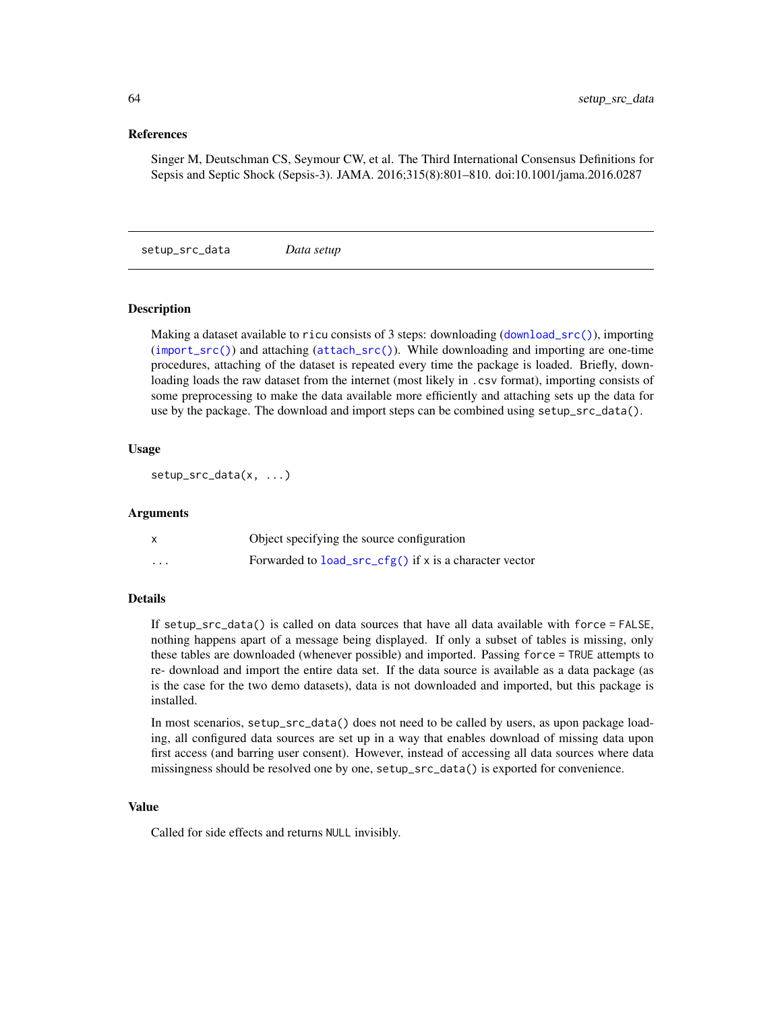## References

Singer M, Deutschman CS, Seymour CW, et al. The Third International Consensus Definitions for Sepsis and Septic Shock (Sepsis-3). JAMA. 2016;315(8):801–810. doi:10.1001/jama.2016.0287

setup\_src\_data *Data setup*

## Description

Making a dataset available to ricu consists of 3 steps: downloading ([download\\_src\(\)](#page-13-0)), importing ([import\\_src\(\)](#page-25-0)) and attaching ([attach\\_src\(\)](#page-1-0)). While downloading and importing are one-time procedures, attaching of the dataset is repeated every time the package is loaded. Briefly, downloading loads the raw dataset from the internet (most likely in .csv format), importing consists of some preprocessing to make the data available more efficiently and attaching sets up the data for use by the package. The download and import steps can be combined using setup\_src\_data().

## Usage

setup\_src\_data(x, ...)

#### Arguments

|          | Object specifying the source configuration                |
|----------|-----------------------------------------------------------|
| $\cdots$ | Forwarded to $load\_src_cfg()$ if x is a character vector |

## Details

If setup\_src\_data() is called on data sources that have all data available with force = FALSE, nothing happens apart of a message being displayed. If only a subset of tables is missing, only these tables are downloaded (whenever possible) and imported. Passing force = TRUE attempts to re- download and import the entire data set. If the data source is available as a data package (as is the case for the two demo datasets), data is not downloaded and imported, but this package is installed.

In most scenarios, setup\_src\_data() does not need to be called by users, as upon package loading, all configured data sources are set up in a way that enables download of missing data upon first access (and barring user consent). However, instead of accessing all data sources where data missingness should be resolved one by one, setup\_src\_data() is exported for convenience.

# Value

Called for side effects and returns NULL invisibly.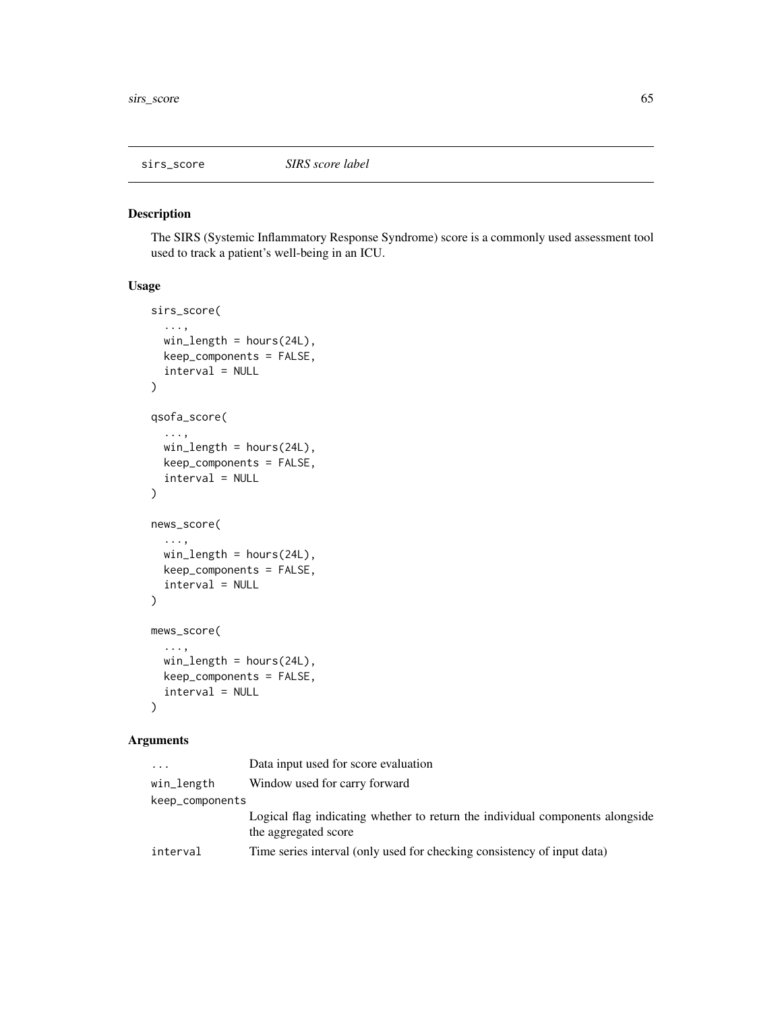#### Description

The SIRS (Systemic Inflammatory Response Syndrome) score is a commonly used assessment tool used to track a patient's well-being in an ICU.

#### Usage

```
sirs_score(
  ...,
 win_length = hours(24L),
 keep_components = FALSE,
  interval = NULL
)
qsofa_score(
  ...,
 win_length = hours(24L),
 keep_components = FALSE,
  interval = NULL
\mathcal{L}news_score(
  ...,
 win_length = hours(24L),
 keep_components = FALSE,
  interval = NULL
)
mews_score(
  ...,
 win_length = hours(24L),
 keep_components = FALSE,
  interval = NULL
)
```

| $\cdot$         | Data input used for score evaluation                                          |
|-----------------|-------------------------------------------------------------------------------|
| win_length      | Window used for carry forward                                                 |
| keep_components |                                                                               |
|                 | Logical flag indicating whether to return the individual components alongside |
|                 | the aggregated score                                                          |
| interval        | Time series interval (only used for checking consistency of input data)       |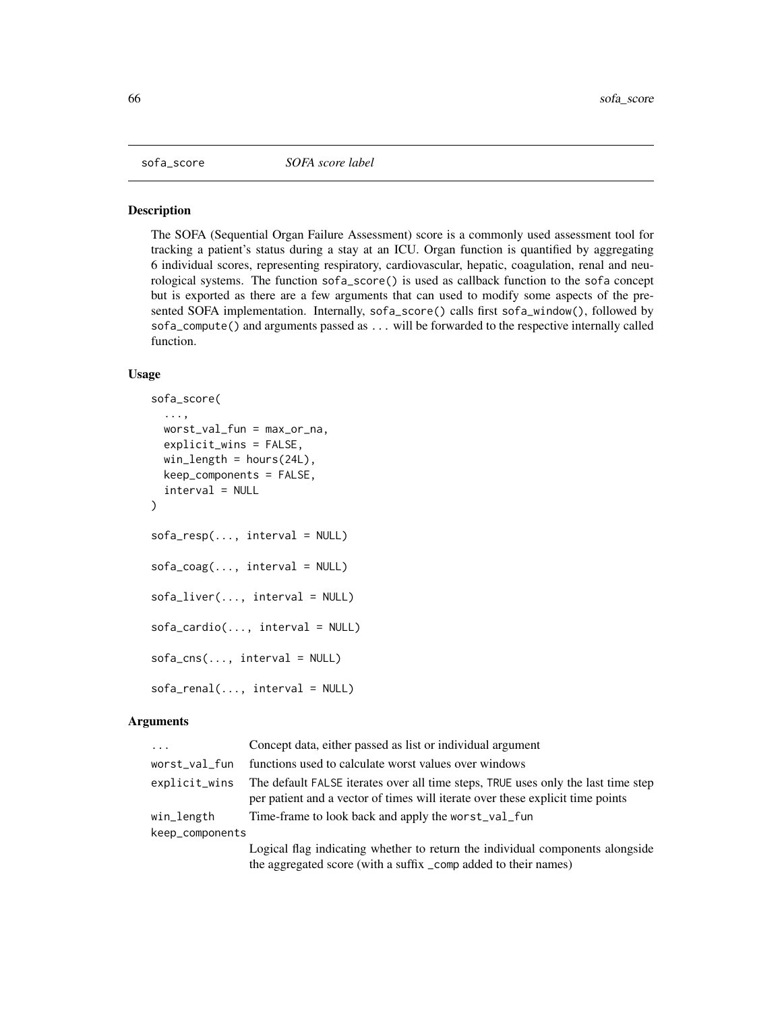<span id="page-65-0"></span>

# **Description**

The SOFA (Sequential Organ Failure Assessment) score is a commonly used assessment tool for tracking a patient's status during a stay at an ICU. Organ function is quantified by aggregating 6 individual scores, representing respiratory, cardiovascular, hepatic, coagulation, renal and neurological systems. The function sofa\_score() is used as callback function to the sofa concept but is exported as there are a few arguments that can used to modify some aspects of the presented SOFA implementation. Internally, sofa\_score() calls first sofa\_window(), followed by sofa\_compute() and arguments passed as ... will be forwarded to the respective internally called function.

## Usage

```
sofa_score(
  ...,
 worst_val_fun = max_or_na,
  explicit_wins = FALSE,
 win_length = hours(24L),
 keep\_components = FALSE,interval = NULL
)
sofa\_resp(..., interval = NULL)sofa\_coag(..., interval = NULL)sofa\_liver(..., interval = NULL)sofa\_cardio(..., interval = NULL)sofa\_cns(..., interval = NULL)sofa_renal(..., interval = NULL)
```

| $\cdots$        | Concept data, either passed as list or individual argument                                                                                                          |
|-----------------|---------------------------------------------------------------------------------------------------------------------------------------------------------------------|
| worst_val_fun   | functions used to calculate worst values over windows                                                                                                               |
| explicit_wins   | The default FALSE iterates over all time steps, TRUE uses only the last time step<br>per patient and a vector of times will iterate over these explicit time points |
| win_length      | Time-frame to look back and apply the worst_val_fun                                                                                                                 |
| keep_components |                                                                                                                                                                     |
|                 | Logical flag indicating whether to return the individual components alongside                                                                                       |
|                 | the aggregated score (with a suffix _comp added to their names)                                                                                                     |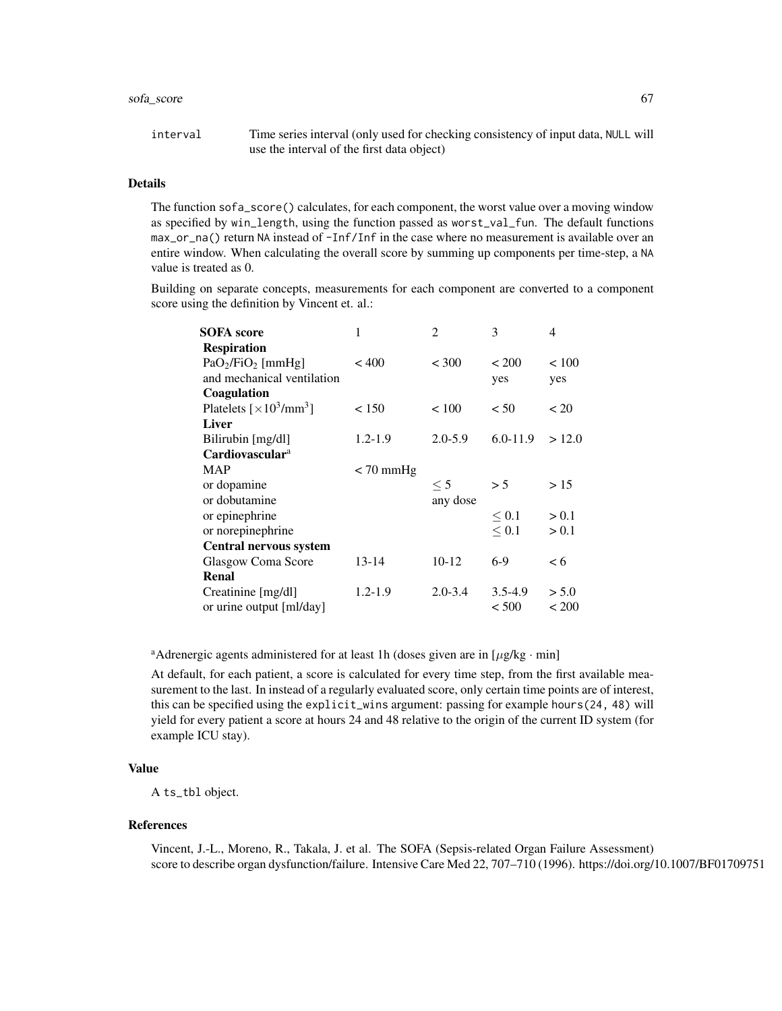## sofa\_score 67

interval Time series interval (only used for checking consistency of input data, NULL will use the interval of the first data object)

# Details

The function sofa\_score() calculates, for each component, the worst value over a moving window as specified by win\_length, using the function passed as worst\_val\_fun. The default functions max\_or\_na() return NA instead of -Inf/Inf in the case where no measurement is available over an entire window. When calculating the overall score by summing up components per time-step, a NA value is treated as 0.

Building on separate concepts, measurements for each component are converted to a component score using the definition by Vincent et. al.:

| 1            | $\overline{2}$ | 3            | 4            |
|--------------|----------------|--------------|--------------|
|              |                |              |              |
| ${}_{< 400}$ | ${}_{<} 300$   | ${}_{< 200}$ | ${}_{< 100}$ |
|              |                | yes          | yes          |
|              |                |              |              |
| < 150        | ${}_{< 100}$   | < 50         | < 20         |
|              |                |              |              |
| $1.2 - 1.9$  | $2.0 - 5.9$    | $6.0 - 11.9$ | >12.0        |
|              |                |              |              |
| $<$ 70 mmHg  |                |              |              |
|              | $\leq 5$       | > 5          | >15          |
|              | any dose       |              |              |
|              |                | $\leq 0.1$   | > 0.1        |
|              |                | $\leq 0.1$   | > 0.1        |
|              |                |              |              |
| 13-14        | $10-12$        | $6-9$        | < 6          |
|              |                |              |              |
| 1.2-1.9      | $2.0 - 3.4$    | $3.5 - 4.9$  | > 5.0        |
|              |                | < 500        | ${}_{<}$ 200 |
|              |                |              |              |

<sup>a</sup>Adrenergic agents administered for at least 1h (doses given are in  $[\mu g/kg \cdot min]$ 

At default, for each patient, a score is calculated for every time step, from the first available measurement to the last. In instead of a regularly evaluated score, only certain time points are of interest, this can be specified using the explicit\_wins argument: passing for example hours(24, 48) will yield for every patient a score at hours 24 and 48 relative to the origin of the current ID system (for example ICU stay).

## Value

A ts\_tbl object.

#### References

Vincent, J.-L., Moreno, R., Takala, J. et al. The SOFA (Sepsis-related Organ Failure Assessment) score to describe organ dysfunction/failure. Intensive Care Med 22, 707–710 (1996). https://doi.org/10.1007/BF01709751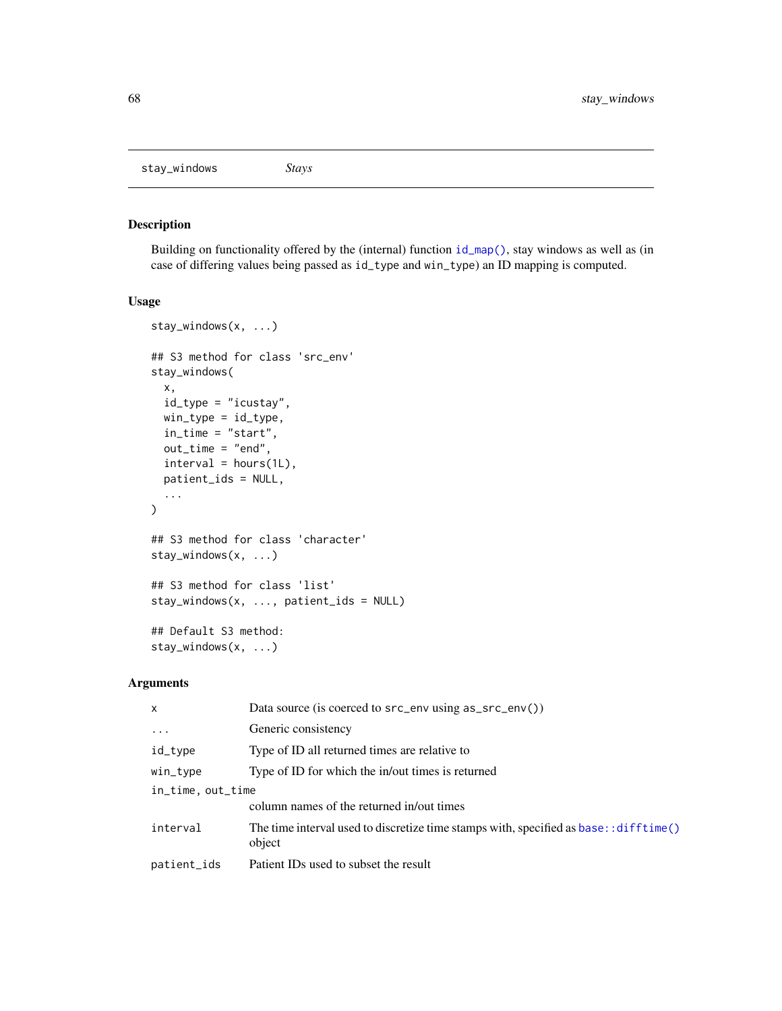<span id="page-67-0"></span>stay\_windows *Stays*

# Description

Building on functionality offered by the (internal) function [id\\_map\(\)](#page-0-0), stay windows as well as (in case of differing values being passed as id\_type and win\_type) an ID mapping is computed.

# Usage

```
stay_windows(x, ...)
## S3 method for class 'src_env'
stay_windows(
 x,
 id_type = "icustay",
 win_type = id_type,
 in_time = "start",
 out_time = "end",
 interval = hours(1L),
 patient_ids = NULL,
  ...
)
## S3 method for class 'character'
stay_windows(x, ...)
## S3 method for class 'list'
stay_windows(x, ..., patient_ids = NULL)
## Default S3 method:
stay_windows(x, ...)
```

| $\mathsf{x}$      | Data source (is coerced to src_env using as_src_env())                                            |
|-------------------|---------------------------------------------------------------------------------------------------|
| $\ddotsc$         | Generic consistency                                                                               |
| id_type           | Type of ID all returned times are relative to                                                     |
| win_type          | Type of ID for which the in/out times is returned                                                 |
| in_time, out_time |                                                                                                   |
|                   | column names of the returned in/out times                                                         |
| interval          | The time interval used to discretize time stamps with, specified as base: $:difftime()$<br>object |
| patient_ids       | Patient IDs used to subset the result                                                             |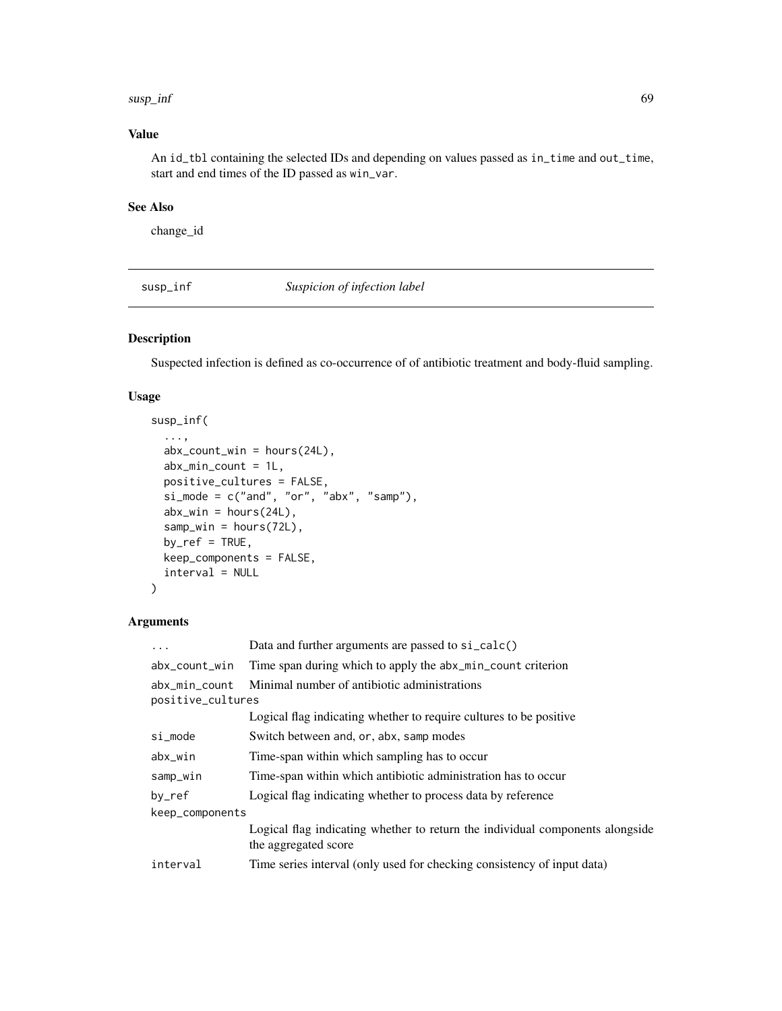#### $susp\_inf$  69

# Value

An id\_tbl containing the selected IDs and depending on values passed as in\_time and out\_time, start and end times of the ID passed as win\_var.

# See Also

change\_id

<span id="page-68-0"></span>susp\_inf *Suspicion of infection label*

# Description

Suspected infection is defined as co-occurrence of of antibiotic treatment and body-fluid sampling.

## Usage

```
susp_inf(
  ...,
  abx_{c}count\_win = hours(24L),
 abx_min_count = 1L,
 positive_cultures = FALSE,
  si<sub>mode</sub> = c("and", "or", "abx", "samp"),
  abx_win = hours(24L),
  samp_win = hours(72L),
 by_ref = TRUE,
 keep_components = FALSE,
  interval = NULL
)
```

| .                                  | Data and further arguments are passed to si_calc()                                                    |
|------------------------------------|-------------------------------------------------------------------------------------------------------|
| abx_count_win                      | Time span during which to apply the abx_min_count criterion                                           |
| abx min count<br>positive_cultures | Minimal number of antibiotic administrations                                                          |
|                                    | Logical flag indicating whether to require cultures to be positive                                    |
| si_mode                            | Switch between and, or, abx, samp modes                                                               |
| abx_win                            | Time-span within which sampling has to occur                                                          |
| samp_win                           | Time-span within which antibiotic administration has to occur                                         |
| $by\_ref$                          | Logical flag indicating whether to process data by reference                                          |
| keep_components                    |                                                                                                       |
|                                    | Logical flag indicating whether to return the individual components alongside<br>the aggregated score |
| interval                           | Time series interval (only used for checking consistency of input data)                               |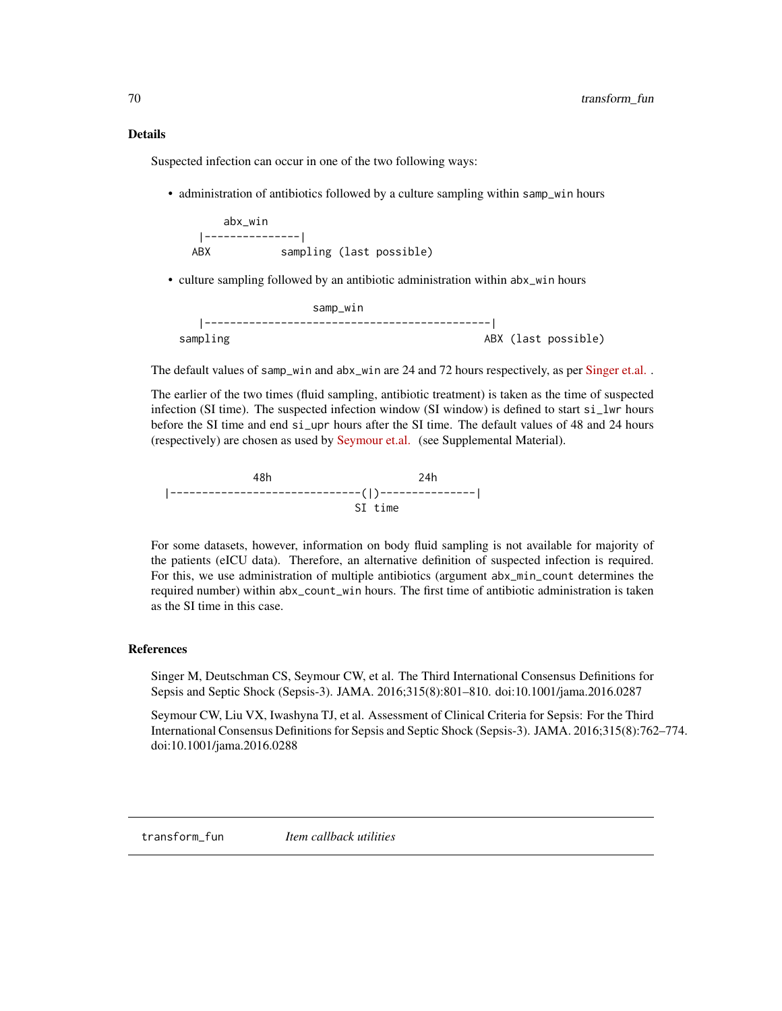#### Details

Suspected infection can occur in one of the two following ways:

• administration of antibiotics followed by a culture sampling within samp\_win hours

```
abx_win
 |---------------|
ABX sampling (last possible)
```
• culture sampling followed by an antibiotic administration within abx\_win hours

```
samp_win
      |---------------------------------------------|
sampling and about the control of the control of the control of the control of the control of the control of the control of the control of the control of the control of the control of the control of the control of the cont
```
The default values of samp\_win and abx\_win are 24 and 72 hours respectively, as per [Singer et.al.](https://jamanetwork.com/journals/jama/fullarticle/2492881).

The earlier of the two times (fluid sampling, antibiotic treatment) is taken as the time of suspected infection (SI time). The suspected infection window (SI window) is defined to start si\_lwr hours before the SI time and end si\_upr hours after the SI time. The default values of 48 and 24 hours (respectively) are chosen as used by [Seymour et.al.](https://jamanetwork.com/journals/jama/fullarticle/2492875) (see Supplemental Material).

48h 24h |------------------------------(|)---------------| SI time

For some datasets, however, information on body fluid sampling is not available for majority of the patients (eICU data). Therefore, an alternative definition of suspected infection is required. For this, we use administration of multiple antibiotics (argument abx\_min\_count determines the required number) within abx\_count\_win hours. The first time of antibiotic administration is taken as the SI time in this case.

#### References

Singer M, Deutschman CS, Seymour CW, et al. The Third International Consensus Definitions for Sepsis and Septic Shock (Sepsis-3). JAMA. 2016;315(8):801–810. doi:10.1001/jama.2016.0287

Seymour CW, Liu VX, Iwashyna TJ, et al. Assessment of Clinical Criteria for Sepsis: For the Third International Consensus Definitions for Sepsis and Septic Shock (Sepsis-3). JAMA. 2016;315(8):762–774. doi:10.1001/jama.2016.0288

transform\_fun *Item callback utilities*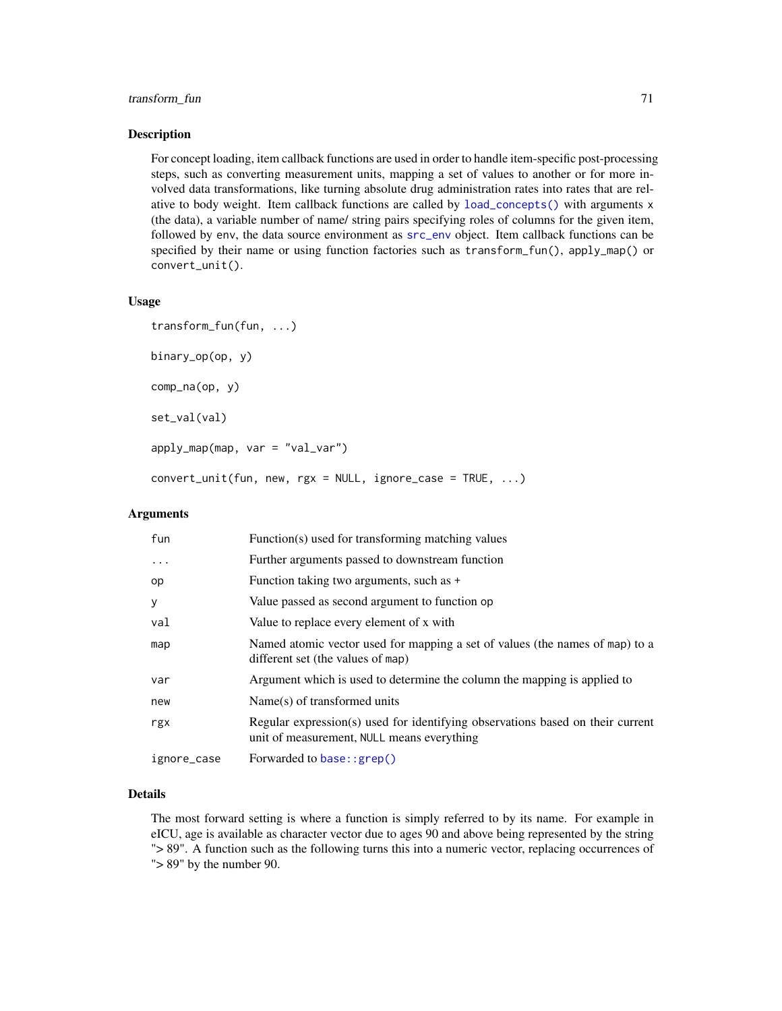# transform\_fun 71

#### Description

For concept loading, item callback functions are used in order to handle item-specific post-processing steps, such as converting measurement units, mapping a set of values to another or for more involved data transformations, like turning absolute drug administration rates into rates that are relative to body weight. Item callback functions are called by [load\\_concepts\(\)](#page-27-0) with arguments x (the data), a variable number of name/ string pairs specifying roles of columns for the given item, followed by env, the data source environment as [src\\_env](#page-0-0) object. Item callback functions can be specified by their name or using function factories such as transform\_fun(), apply\_map() or convert\_unit().

## Usage

transform\_fun(fun, ...) binary\_op(op, y) comp\_na(op, y) set\_val(val) apply\_map(map, var = "val\_var") convert\_unit(fun, new, rgx = NULL, ignore\_case = TRUE, ...)

## Arguments

| fun         | Function(s) used for transforming matching values                                                                            |
|-------------|------------------------------------------------------------------------------------------------------------------------------|
| $\ddotsc$   | Further arguments passed to downstream function                                                                              |
| op          | Function taking two arguments, such as +                                                                                     |
| У           | Value passed as second argument to function op                                                                               |
| val         | Value to replace every element of x with                                                                                     |
| map         | Named atomic vector used for mapping a set of values (the names of map) to a<br>different set (the values of map)            |
| var         | Argument which is used to determine the column the mapping is applied to                                                     |
| new         | $Name(s)$ of transformed units                                                                                               |
| rgx         | Regular expression(s) used for identifying observations based on their current<br>unit of measurement, NULL means everything |
| ignore_case | Forwarded to base: : grep()                                                                                                  |

# Details

The most forward setting is where a function is simply referred to by its name. For example in eICU, age is available as character vector due to ages 90 and above being represented by the string "> 89". A function such as the following turns this into a numeric vector, replacing occurrences of "> 89" by the number 90.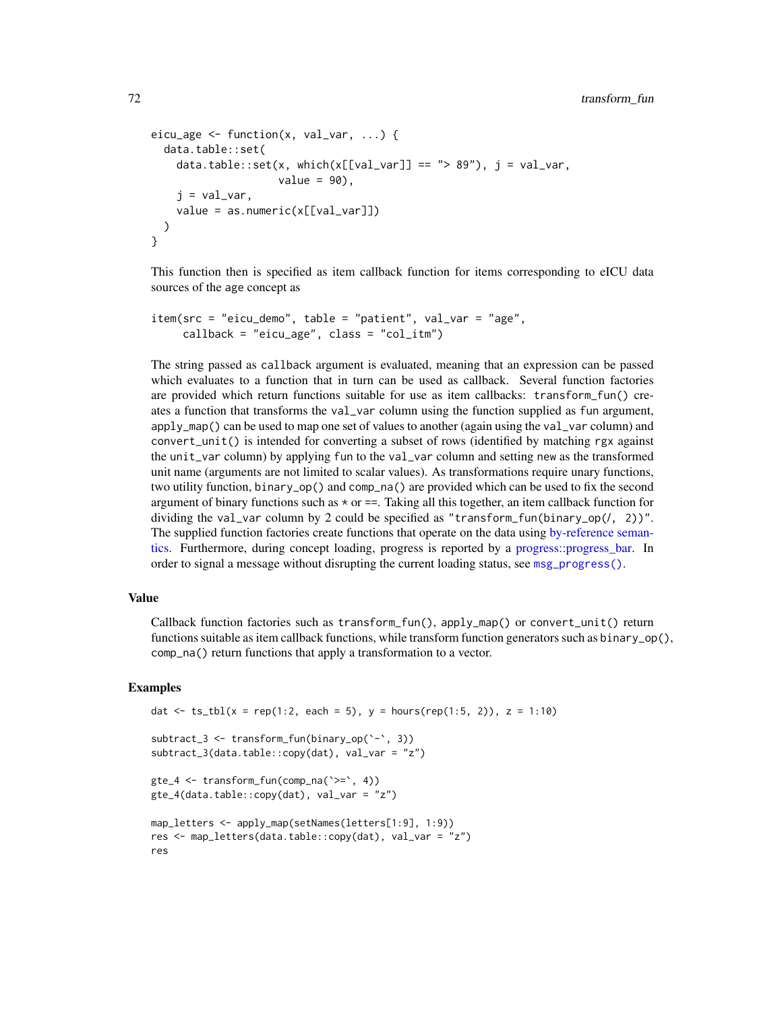```
eicu_age \leq function(x, val_var, ...) {
  data.table::set(
    data.table::set(x, which(x[[val_var]] == "> 89"), i = val\_var,
                    value = 90.
    j = val_var,
    value = as.numeric(x[[val_var]])
  )
}
```
This function then is specified as item callback function for items corresponding to eICU data sources of the age concept as

```
item(src = "eicu_demo", table = "patient", val_var = "age",
    callback = "eicu_age", class = "col_itm")
```
The string passed as callback argument is evaluated, meaning that an expression can be passed which evaluates to a function that in turn can be used as callback. Several function factories are provided which return functions suitable for use as item callbacks: transform\_fun() creates a function that transforms the val\_var column using the function supplied as fun argument, apply\_map() can be used to map one set of values to another (again using the val\_var column) and convert\_unit() is intended for converting a subset of rows (identified by matching rgx against the unit\_var column) by applying fun to the val\_var column and setting new as the transformed unit name (arguments are not limited to scalar values). As transformations require unary functions, two utility function, binary\_op() and comp\_na() are provided which can be used to fix the second argument of binary functions such as  $\star$  or  $==$ . Taking all this together, an item callback function for dividing the val\_var column by 2 could be specified as "transform\_fun(binary\_op(/, 2))". The supplied function factories create functions that operate on the data using [by-reference seman](#page-0-0)[tics.](#page-0-0) Furthermore, during concept loading, progress is reported by a [progress::progress\\_bar.](#page-0-0) In order to signal a message without disrupting the current loading status, see [msg\\_progress\(\)](#page-46-0).

# Value

Callback function factories such as transform\_fun(), apply\_map() or convert\_unit() return functions suitable as item callback functions, while transform function generators such as binary\_op(), comp\_na() return functions that apply a transformation to a vector.

#### Examples

```
dat <- ts_tbl(x = rep(1:2, each = 5), y = hours(rep(1:5, 2)), z = 1:10)
subtract_3 <- transform_fun(binary_op(`-`, 3))
subtract_3(data.table::copy(dat), val_var = "z")
gte_4 <- transform_fun(comp_na(`>=`, 4))
gte_4(data.table::copy(dat), val_var = "z")
map_letters <- apply_map(setNames(letters[1:9], 1:9))
res <- map_letters(data.table::copy(dat), val_var = "z")
res
```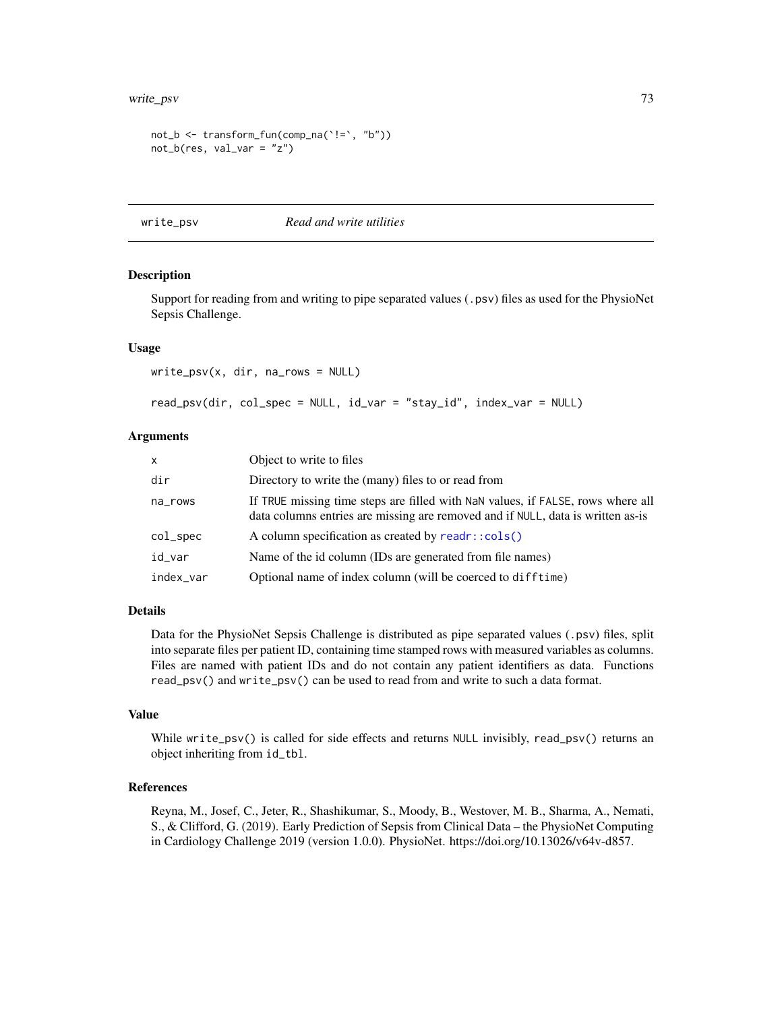```
not_b <- transform_fun(comp_na(`!=`, "b"))
not_b(res, val_var = "z")
```
write\_psv *Read and write utilities*

#### Description

Support for reading from and writing to pipe separated values (.psv) files as used for the PhysioNet Sepsis Challenge.

#### Usage

write\_psv(x, dir, na\_rows = NULL)

```
read_psv(dir, col_spec = NULL, id_var = "stay_id", index_var = NULL)
```
### Arguments

| $\mathsf{x}$ | Object to write to files                                                                                                                                           |
|--------------|--------------------------------------------------------------------------------------------------------------------------------------------------------------------|
| dir          | Directory to write the (many) files to or read from                                                                                                                |
| na_rows      | If TRUE missing time steps are filled with NaN values, if FALSE, rows where all<br>data columns entries are missing are removed and if NULL, data is written as-is |
| col_spec     | A column specification as created by readr::cols()                                                                                                                 |
| id_var       | Name of the id column (IDs are generated from file names)                                                                                                          |
| index_var    | Optional name of index column (will be coerced to difftime)                                                                                                        |

## Details

Data for the PhysioNet Sepsis Challenge is distributed as pipe separated values (.psv) files, split into separate files per patient ID, containing time stamped rows with measured variables as columns. Files are named with patient IDs and do not contain any patient identifiers as data. Functions read\_psv() and write\_psv() can be used to read from and write to such a data format.

### Value

While write\_psv() is called for side effects and returns NULL invisibly, read\_psv() returns an object inheriting from id\_tbl.

#### References

Reyna, M., Josef, C., Jeter, R., Shashikumar, S., Moody, B., Westover, M. B., Sharma, A., Nemati, S., & Clifford, G. (2019). Early Prediction of Sepsis from Clinical Data – the PhysioNet Computing in Cardiology Challenge 2019 (version 1.0.0). PhysioNet. https://doi.org/10.13026/v64v-d857.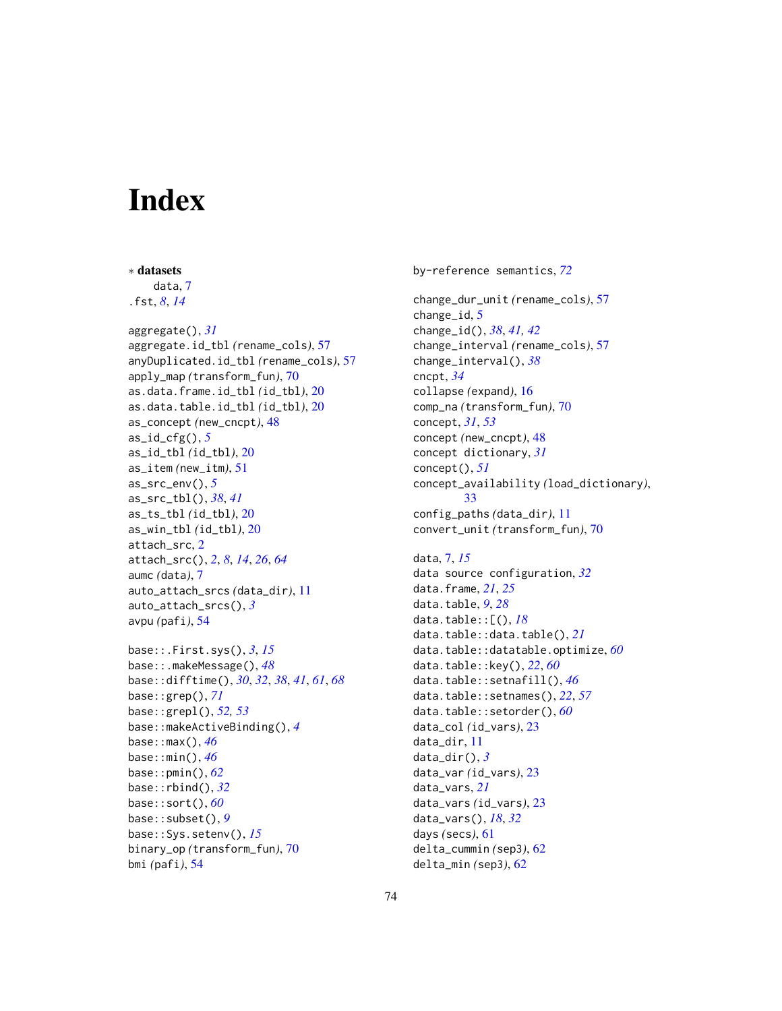# **Index**

∗ datasets

data, [7](#page-6-0) .fst, *[8](#page-7-0)*, *[14](#page-13-0)* aggregate(), *[31](#page-30-0)* aggregate.id\_tbl *(*rename\_cols*)*, [57](#page-56-0) anyDuplicated.id\_tbl *(*rename\_cols*)*, [57](#page-56-0) apply\_map *(*transform\_fun*)*, [70](#page-69-0) as.data.frame.id\_tbl *(*id\_tbl*)*, [20](#page-19-0) as.data.table.id\_tbl *(*id\_tbl*)*, [20](#page-19-0) as\_concept *(*new\_cncpt*)*, [48](#page-47-0) as\_id\_cfg(), *[5](#page-4-0)* as\_id\_tbl *(*id\_tbl*)*, [20](#page-19-0) as\_item *(*new\_itm*)*, [51](#page-50-0) as\_src\_env(), *[5](#page-4-0)* as\_src\_tbl(), *[38](#page-37-0)*, *[41](#page-40-0)* as\_ts\_tbl *(*id\_tbl*)*, [20](#page-19-0) as\_win\_tbl *(*id\_tbl*)*, [20](#page-19-0) attach\_src, [2](#page-1-0) attach\_src(), *[2](#page-1-0)*, *[8](#page-7-0)*, *[14](#page-13-0)*, *[26](#page-25-0)*, *[64](#page-63-0)* aumc *(*data*)*, [7](#page-6-0) auto\_attach\_srcs *(*data\_dir*)*, [11](#page-10-0) auto\_attach\_srcs(), *[3](#page-2-0)* avpu *(*pafi*)*, [54](#page-53-0) base::.First.sys(), *[3](#page-2-0)*, *[15](#page-14-0)* base::.makeMessage(), *[48](#page-47-0)*

```
base::difftime(), 30, 32, 38, 41, 61, 68
base::grep(), 71
base::grepl(), 52, 53
base::makeActiveBinding(), 4
base::max(), 46
base::min(), 46
base::pmin(), 62
base::rbind(), 32
base::sort(), 60
base::subset(), 9
base::Sys.setenv(), 15
binary_op (transform_fun), 70
bmi (pafi), 54
```
by-reference semantics, *[72](#page-71-0)*

change\_dur\_unit *(*rename\_cols*)*, [57](#page-56-0) change\_id, [5](#page-4-0) change\_id(), *[38](#page-37-0)*, *[41,](#page-40-0) [42](#page-41-0)* change\_interval *(*rename\_cols*)*, [57](#page-56-0) change\_interval(), *[38](#page-37-0)* cncpt, *[34](#page-33-0)* collapse *(*expand*)*, [16](#page-15-0) comp\_na *(*transform\_fun*)*, [70](#page-69-0) concept, *[31](#page-30-0)*, *[53](#page-52-0)* concept *(*new\_cncpt*)*, [48](#page-47-0) concept dictionary, *[31](#page-30-0)* concept(), *[51](#page-50-0)* concept\_availability *(*load\_dictionary*)*, [33](#page-32-0) config\_paths *(*data\_dir*)*, [11](#page-10-0) convert\_unit *(*transform\_fun*)*, [70](#page-69-0) data, [7,](#page-6-0) *[15](#page-14-0)* data source configuration, *[32](#page-31-0)* data.frame, *[21](#page-20-0)*, *[25](#page-24-0)* data.table, *[9](#page-8-0)*, *[28](#page-27-0)* data.table::[(), *[18](#page-17-0)* data.table::data.table(), *[21](#page-20-0)* data.table::datatable.optimize, *[60](#page-59-0)* data.table::key(), *[22](#page-21-0)*, *[60](#page-59-0)* data.table::setnafill(), *[46](#page-45-0)* data.table::setnames(), *[22](#page-21-0)*, *[57](#page-56-0)* data.table::setorder(), *[60](#page-59-0)* data\_col *(*id\_vars*)*, [23](#page-22-0) data\_dir, [11](#page-10-0) data\_dir(), *[3](#page-2-0)* data\_var *(*id\_vars*)*, [23](#page-22-0) data\_vars, *[21](#page-20-0)* data\_vars *(*id\_vars*)*, [23](#page-22-0) data\_vars(), *[18](#page-17-0)*, *[32](#page-31-0)* days *(*secs*)*, [61](#page-60-0) delta\_cummin *(*sep3*)*, [62](#page-61-0)

delta\_min *(*sep3*)*, [62](#page-61-0)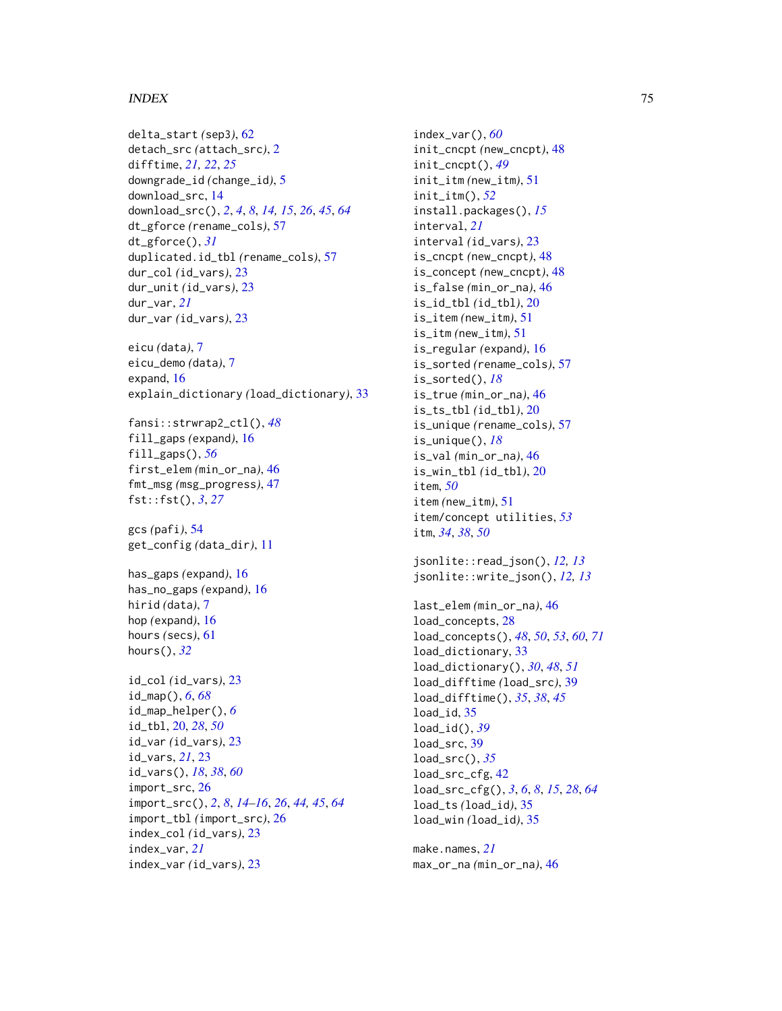### INDEX 75

```
delta_start (sep3), 62
detach_src (attach_src), 2
difftime, 21, 22, 25
downgrade_id (change_id), 5
download_src, 14
download_src(), 2, 4, 8, 14, 15, 26, 45, 64
dt_gforce (rename_cols), 57
dt_gforce(), 31
duplicated.id_tbl (rename_cols), 57
dur_col (id_vars), 23
dur_unit (id_vars), 23
dur_var, 21
dur_var (id_vars), 23
eicu (data), 7
eicu_demo (data), 7
expand, 16
explain_dictionary (load_dictionary), 33
fansi::strwrap2_ctl(), 48
fill_gaps (expand), 16
fill_gaps(), 56
first_elem (min_or_na), 46
fmt_msg (msg_progress), 47
fst::fst(), 3, 27
gcs (pafi), 54
get_config (data_dir), 11
has_gaps (expand), 16
has_no_gaps (expand), 16
hirid (data), 7
hop (expand), 16
hours (secs), 61
hours(), 32
id_col (id_vars), 23
id_map(), 6, 68
id_map_helper(), 6
id_tbl, 20, 28, 50
id_var (id_vars), 23
id_vars, 21, 23
id_vars(), 18, 38, 60
import_src, 26
import_src(), 2, 8, 14–16, 26, 44, 45, 64
import_tbl (import_src), 26
index_col (id_vars), 23
index_var, 21
index_var (id_vars), 23
```
index\_var(), *[60](#page-59-0)* init\_cncpt *(*new\_cncpt*)*, [48](#page-47-0) init\_cncpt(), *[49](#page-48-0)* init\_itm *(*new\_itm*)*, [51](#page-50-0) init\_itm(), *[52](#page-51-0)* install.packages(), *[15](#page-14-0)* interval, *[21](#page-20-0)* interval *(*id\_vars*)*, [23](#page-22-0) is\_cncpt *(*new\_cncpt*)*, [48](#page-47-0) is\_concept *(*new\_cncpt*)*, [48](#page-47-0) is\_false *(*min\_or\_na*)*, [46](#page-45-0) is\_id\_tbl *(*id\_tbl*)*, [20](#page-19-0) is\_item *(*new\_itm*)*, [51](#page-50-0) is\_itm *(*new\_itm*)*, [51](#page-50-0) is\_regular *(*expand*)*, [16](#page-15-0) is\_sorted *(*rename\_cols*)*, [57](#page-56-0) is\_sorted(), *[18](#page-17-0)* is\_true *(*min\_or\_na*)*, [46](#page-45-0) is\_ts\_tbl *(*id\_tbl*)*, [20](#page-19-0) is\_unique *(*rename\_cols*)*, [57](#page-56-0) is\_unique(), *[18](#page-17-0)* is\_val *(*min\_or\_na*)*, [46](#page-45-0) is\_win\_tbl *(*id\_tbl*)*, [20](#page-19-0) item, *[50](#page-49-0)* item *(*new\_itm*)*, [51](#page-50-0) item/concept utilities, *[53](#page-52-0)* itm, *[34](#page-33-0)*, *[38](#page-37-0)*, *[50](#page-49-0)* jsonlite::read\_json(), *[12,](#page-11-0) [13](#page-12-0)* jsonlite::write\_json(), *[12,](#page-11-0) [13](#page-12-0)* last\_elem *(*min\_or\_na*)*, [46](#page-45-0) load\_concepts, [28](#page-27-0) load\_concepts(), *[48](#page-47-0)*, *[50](#page-49-0)*, *[53](#page-52-0)*, *[60](#page-59-0)*, *[71](#page-70-0)* load\_dictionary, [33](#page-32-0) load\_dictionary(), *[30](#page-29-0)*, *[48](#page-47-0)*, *[51](#page-50-0)* load\_difftime *(*load\_src*)*, [39](#page-38-0) load\_difftime(), *[35](#page-34-0)*, *[38](#page-37-0)*, *[45](#page-44-0)* load\_id, [35](#page-34-0) load\_id(), *[39](#page-38-0)* load\_src, [39](#page-38-0) load\_src(), *[35](#page-34-0)* load\_src\_cfg, [42](#page-41-0) load\_src\_cfg(), *[3](#page-2-0)*, *[6](#page-5-0)*, *[8](#page-7-0)*, *[15](#page-14-0)*, *[28](#page-27-0)*, *[64](#page-63-0)* load\_ts *(*load\_id*)*, [35](#page-34-0) load\_win *(*load\_id*)*, [35](#page-34-0)

make.names, *[21](#page-20-0)* max\_or\_na *(*min\_or\_na*)*, [46](#page-45-0)